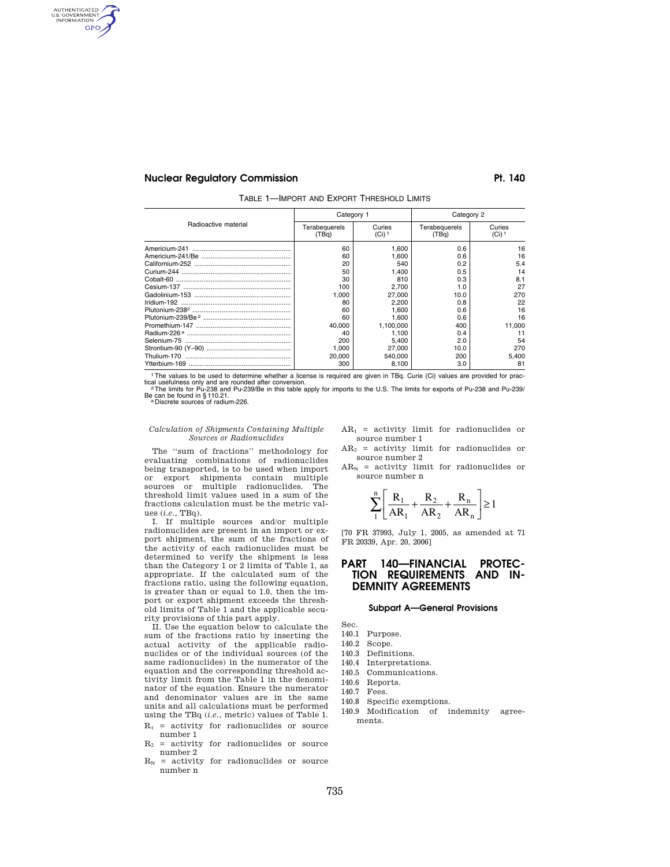AUTHENTICATED **GPO** 

## **Nuclear Regulatory Commission Pt. 140**

|  | TABLE 1-IMPORT AND EXPORT THRESHOLD LIMITS |  |  |  |
|--|--------------------------------------------|--|--|--|
|--|--------------------------------------------|--|--|--|

|                      | Category 1             |                               | Category 2             |                  |
|----------------------|------------------------|-------------------------------|------------------------|------------------|
| Radioactive material | Terabequerels<br>(TBg) | Curies<br>$(Ci)$ <sup>1</sup> | Terabequerels<br>(TBq) | Curies<br>(Ci) 1 |
|                      | 60                     | 1.600                         | 0.6                    | 16               |
|                      | 60                     | 1.600                         | 0.6                    | 16               |
|                      | 20                     | 540                           | 0.2                    | 5.4              |
|                      | 50                     | 1.400                         | 0.5                    | 14               |
|                      | 30                     | 810                           | 0.3                    | 8.1              |
|                      | 100                    | 2.700                         | 1.0                    | 27               |
|                      | 1.000                  | 27,000                        | 10.0                   | 270              |
|                      | 80                     | 2.200                         | 0.8                    | 22               |
|                      | 60                     | 1.600                         | 0.6                    | 16               |
|                      | 60                     | 1.600                         | 0.6                    | 16               |
|                      | 40.000                 | 1.100.000                     | 400                    | 11.000           |
|                      | 40                     | 1.100                         | 0.4                    | 11               |
|                      | 200                    | 5.400                         | 2.0                    | 54               |
|                      | 1.000                  | 27,000                        | 10.0                   | 270              |
|                      | 20,000                 | 540.000                       | 200                    | 5.400            |
|                      | 300                    | 8.100                         | 3.0                    | 81               |

1The values to be used to determine whether a license is required are given in TBq. Curie (Ci) values are provided for practical usefulness only and are rounded after conversion.<br><sup>2</sup>The limits for Pu-238 and Pu-239/Be in this table apply for imports to the U.S. The limits for exports of Pu-238 and Pu-239/

Be can be found in § 110.21.<br>a Discrete sources of radium-226.

#### *Calculation of Shipments Containing Multiple Sources or Radionuclides*

The ''sum of fractions'' methodology for evaluating combinations of radionuclides being transported, is to be used when import or export shipments contain multiple sources or multiple radionuclides. The threshold limit values used in a sum of the fractions calculation must be the metric values (*i.e.*, TBq).

I. If multiple sources and/or multiple radionuclides are present in an import or export shipment, the sum of the fractions of the activity of each radionuclides must be determined to verify the shipment is less than the Category 1 or 2 limits of Table 1, as appropriate. If the calculated sum of the fractions ratio, using the following equation, is greater than or equal to 1.0, then the import or export shipment exceeds the threshold limits of Table 1 and the applicable security provisions of this part apply.

II. Use the equation below to calculate the sum of the fractions ratio by inserting the actual activity of the applicable radionuclides or of the individual sources (of the same radionuclides) in the numerator of the equation and the corresponding threshold activity limit from the Table 1 in the denominator of the equation. Ensure the numerator and denominator values are in the same units and all calculations must be performed using the TBq (*i.e.*, metric) values of Table 1.

- $R_1$  = activity for radionuclides or source number 1
- $R_2$  = activity for radionuclides or source number 2
- $R_N$  = activity for radionuclides or source number n

 $AR<sub>1</sub>$  = activity limit for radionuclides or source number 1

- $AR<sub>2</sub>$  = activity limit for radionuclides or source number 2
- $AR_N$  = activity limit for radionuclides or source number n

$$
\sum_{1}^{n} \left[ \frac{R_{1}}{AR_{1}} + \frac{R_{2}}{AR_{2}} + \frac{R_{n}}{AR_{n}} \right] \ge 1
$$

[70 FR 37993, July 1, 2005, as amended at 71 FR 20339, Apr. 20, 2006]

## **PART 140—FINANCIAL PROTEC-TION REQUIREMENTS AND IN-DEMNITY AGREEMENTS**

## **Subpart A—General Provisions**

Sec.

- 140.1 Purpose.
- 140.2 Scope.
- 140.3 Definitions.
- 140.4 Interpretations.
- 140.5 Communications.
- 140.6 Reports.
- 140.7 Fees.
- 140.8 Specific exemptions.
- 140.9 Modification of indemnity agreements.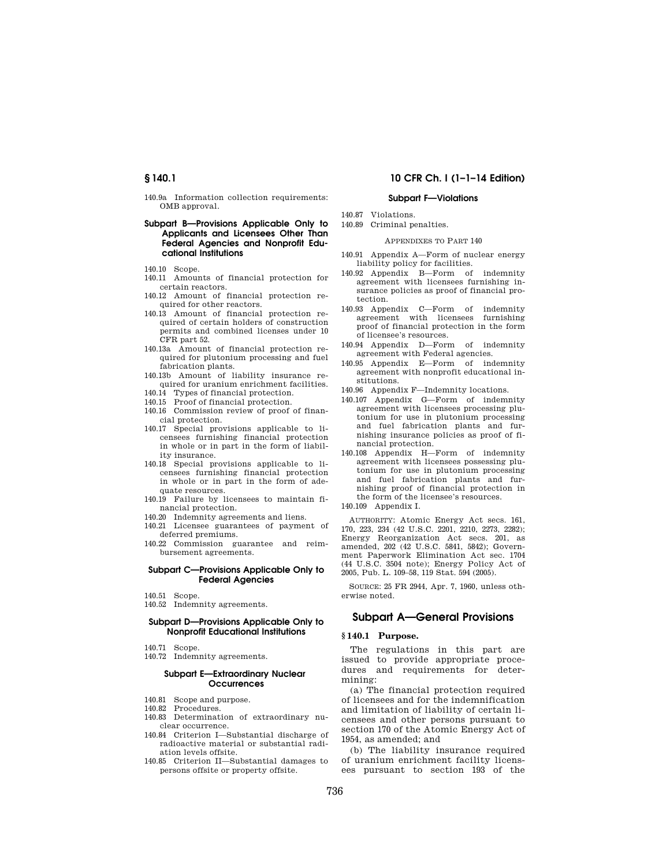140.9a Information collection requirements: OMB approval.

## **Subpart B—Provisions Applicable Only to Applicants and Licensees Other Than Federal Agencies and Nonprofit Educational Institutions**

- 140.10 Scope.
- 140.11 Amounts of financial protection for certain reactors.
- 140.12 Amount of financial protection required for other reactors.
- 140.13 Amount of financial protection required of certain holders of construction permits and combined licenses under 10 CFR part 52.
- 140.13a Amount of financial protection required for plutonium processing and fuel fabrication plants.
- 140.13b Amount of liability insurance required for uranium enrichment facilities.
- 140.14 Types of financial protection.
- 140.15 Proof of financial protection.
- 140.16 Commission review of proof of financial protection.
- 140.17 Special provisions applicable to licensees furnishing financial protection in whole or in part in the form of liability insurance.
- 140.18 Special provisions applicable to licensees furnishing financial protection in whole or in part in the form of adequate resources.
- 140.19 Failure by licensees to maintain financial protection.
- 140.20 Indemnity agreements and liens.
- 140.21 Licensee guarantees of payment of deferred premiums.
- 140.22 Commission guarantee and reimbursement agreements.

## **Subpart C—Provisions Applicable Only to Federal Agencies**

- 140.51 Scope.
- 140.52 Indemnity agreements.

## **Subpart D—Provisions Applicable Only to Nonprofit Educational Institutions**

- 140.71 Scope.
- 140.72 Indemnity agreements.

## **Subpart E—Extraordinary Nuclear Occurrences**

- 140.81 Scope and purpose.
- 140.82 Procedures.
- 140.83 Determination of extraordinary nuclear occurrence.
- 140.84 Criterion I—Substantial discharge of radioactive material or substantial radiation levels offsite.
- 140.85 Criterion II—Substantial damages to persons offsite or property offsite.

## **§ 140.1 10 CFR Ch. I (1–1–14 Edition)**

## **Subpart F—Violations**

- 140.87 Violations.
- 140.89 Criminal penalties.

#### APPENDIXES TO PART 140

- 140.91 Appendix A—Form of nuclear energy liability policy for facilities.
- 140.92 Appendix B—Form of indemnity agreement with licensees furnishing insurance policies as proof of financial protection.
- 140.93 Appendix C—Form of indemnity agreement with licensees furnishing proof of financial protection in the form of licensee's resources.
- 140.94 Appendix D—Form of indemnity agreement with Federal agencies.
- 140.95 Appendix E—Form of indemnity agreement with nonprofit educational institutions.
- 140.96 Appendix F—Indemnity locations.
- 140.107 Appendix G—Form of indemnity agreement with licensees processing plutonium for use in plutonium processing and fuel fabrication plants and furnishing insurance policies as proof of financial protection.
- 140.108 Appendix H—Form of indemnity agreement with licensees possessing plutonium for use in plutonium processing and fuel fabrication plants and furnishing proof of financial protection in the form of the licensee's resources.
- 140.109 Appendix I.

AUTHORITY: Atomic Energy Act secs. 161, 170, 223, 234 (42 U.S.C. 2201, 2210, 2273, 2282); Energy Reorganization Act secs. 201, as amended, 202 (42 U.S.C. 5841, 5842); Government Paperwork Elimination Act sec. 1704 (44 U.S.C. 3504 note); Energy Policy Act of 2005, Pub. L. 109–58, 119 Stat. 594 (2005).

SOURCE: 25 FR 2944, Apr. 7, 1960, unless otherwise noted.

## **Subpart A—General Provisions**

## **§ 140.1 Purpose.**

The regulations in this part are issued to provide appropriate procedures and requirements for determining:

(a) The financial protection required of licensees and for the indemnification and limitation of liability of certain licensees and other persons pursuant to section 170 of the Atomic Energy Act of 1954, as amended; and

(b) The liability insurance required of uranium enrichment facility licensees pursuant to section 193 of the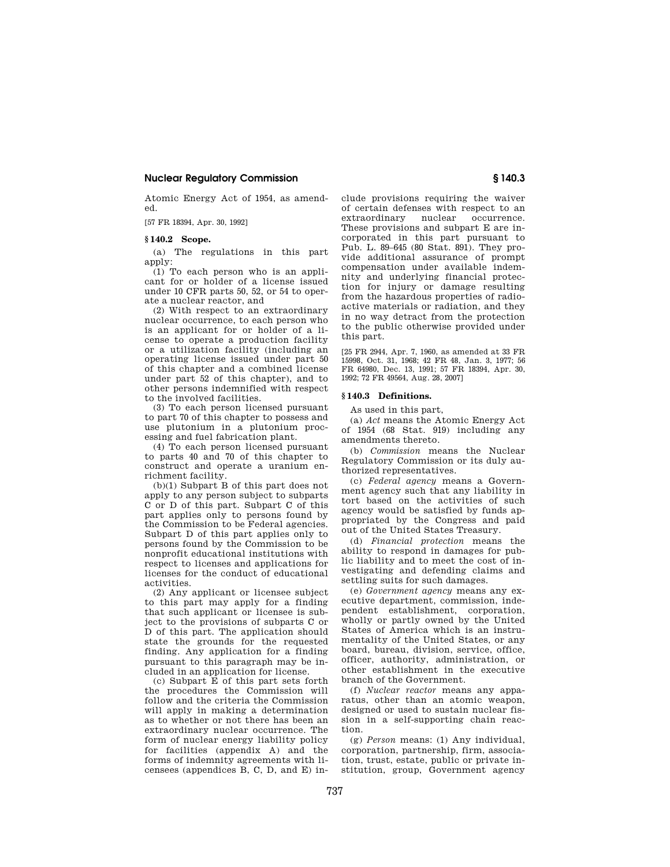Atomic Energy Act of 1954, as amended.

[57 FR 18394, Apr. 30, 1992]

## **§ 140.2 Scope.**

(a) The regulations in this part apply:

(1) To each person who is an applicant for or holder of a license issued under 10 CFR parts 50, 52, or 54 to operate a nuclear reactor, and

(2) With respect to an extraordinary nuclear occurrence, to each person who is an applicant for or holder of a license to operate a production facility or a utilization facility (including an operating license issued under part 50 of this chapter and a combined license under part 52 of this chapter), and to other persons indemnified with respect to the involved facilities.

(3) To each person licensed pursuant to part 70 of this chapter to possess and use plutonium in a plutonium processing and fuel fabrication plant.

(4) To each person licensed pursuant to parts 40 and 70 of this chapter to construct and operate a uranium enrichment facility.

(b)(1) Subpart B of this part does not apply to any person subject to subparts C or D of this part. Subpart C of this part applies only to persons found by the Commission to be Federal agencies. Subpart D of this part applies only to persons found by the Commission to be nonprofit educational institutions with respect to licenses and applications for licenses for the conduct of educational activities.

(2) Any applicant or licensee subject to this part may apply for a finding that such applicant or licensee is subject to the provisions of subparts C or D of this part. The application should state the grounds for the requested finding. Any application for a finding pursuant to this paragraph may be included in an application for license.

(c) Subpart E of this part sets forth the procedures the Commission will follow and the criteria the Commission will apply in making a determination as to whether or not there has been an extraordinary nuclear occurrence. The form of nuclear energy liability policy for facilities (appendix A) and the forms of indemnity agreements with licensees (appendices B, C, D, and E) include provisions requiring the waiver of certain defenses with respect to an extraordinary nuclear occurrence. These provisions and subpart E are incorporated in this part pursuant to Pub. L. 89–645 (80 Stat. 891). They provide additional assurance of prompt compensation under available indemnity and underlying financial protection for injury or damage resulting from the hazardous properties of radioactive materials or radiation, and they in no way detract from the protection to the public otherwise provided under this part.

[25 FR 2944, Apr. 7, 1960, as amended at 33 FR 15998, Oct. 31, 1968; 42 FR 48, Jan. 3, 1977; 56 FR 64980, Dec. 13, 1991; 57 FR 18394, Apr. 30, 1992; 72 FR 49564, Aug. 28, 2007]

## **§ 140.3 Definitions.**

As used in this part,

(a) *Act* means the Atomic Energy Act of 1954 (68 Stat. 919) including any amendments thereto.

(b) *Commission* means the Nuclear Regulatory Commission or its duly authorized representatives.

(c) *Federal agency* means a Government agency such that any liability in tort based on the activities of such agency would be satisfied by funds appropriated by the Congress and paid out of the United States Treasury.

(d) *Financial protection* means the ability to respond in damages for public liability and to meet the cost of investigating and defending claims and settling suits for such damages.

(e) *Government agency* means any executive department, commission, independent establishment, corporation, wholly or partly owned by the United States of America which is an instrumentality of the United States, or any board, bureau, division, service, office, officer, authority, administration, or other establishment in the executive branch of the Government.

(f) *Nuclear reactor* means any apparatus, other than an atomic weapon, designed or used to sustain nuclear fission in a self-supporting chain reaction.

(g) *Person* means: (1) Any individual, corporation, partnership, firm, association, trust, estate, public or private institution, group, Government agency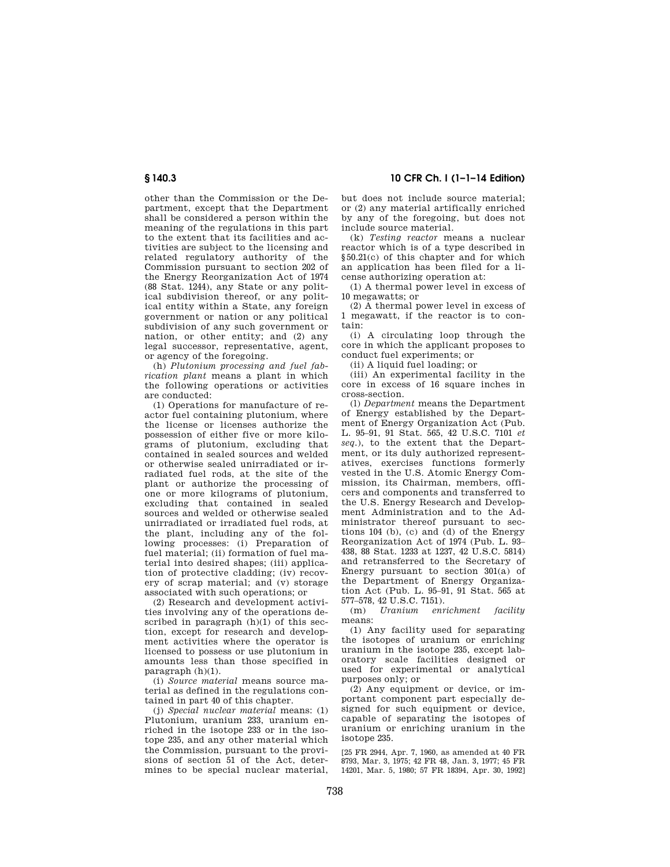## **§ 140.3 10 CFR Ch. I (1–1–14 Edition)**

other than the Commission or the Department, except that the Department shall be considered a person within the meaning of the regulations in this part to the extent that its facilities and activities are subject to the licensing and related regulatory authority of the Commission pursuant to section 202 of the Energy Reorganization Act of 1974 (88 Stat. 1244), any State or any political subdivision thereof, or any political entity within a State, any foreign government or nation or any political subdivision of any such government or nation, or other entity; and (2) any legal successor, representative, agent, or agency of the foregoing.

(h) *Plutonium processing and fuel fabrication plant* means a plant in which the following operations or activities are conducted:

(1) Operations for manufacture of reactor fuel containing plutonium, where the license or licenses authorize the possession of either five or more kilograms of plutonium, excluding that contained in sealed sources and welded or otherwise sealed unirradiated or irradiated fuel rods, at the site of the plant or authorize the processing of one or more kilograms of plutonium, excluding that contained in sealed sources and welded or otherwise sealed unirradiated or irradiated fuel rods, at the plant, including any of the following processes: (i) Preparation of fuel material; (ii) formation of fuel material into desired shapes; (iii) application of protective cladding; (iv) recovery of scrap material; and (v) storage associated with such operations; or

(2) Research and development activities involving any of the operations described in paragraph  $(h)(1)$  of this section, except for research and development activities where the operator is licensed to possess or use plutonium in amounts less than those specified in paragraph (h)(1).

(i) *Source material* means source material as defined in the regulations contained in part 40 of this chapter.

(j) *Special nuclear material* means: (1) Plutonium, uranium 233, uranium enriched in the isotope 233 or in the isotope 235, and any other material which the Commission, pursuant to the provisions of section 51 of the Act, determines to be special nuclear material, but does not include source material; or (2) any material artifically enriched by any of the foregoing, but does not include source material.

(k) *Testing reactor* means a nuclear reactor which is of a type described in §50.21(c) of this chapter and for which an application has been filed for a license authorizing operation at:

(1) A thermal power level in excess of 10 megawatts; or

(2) A thermal power level in excess of 1 megawatt, if the reactor is to contain:

(i) A circulating loop through the core in which the applicant proposes to conduct fuel experiments; or

(ii) A liquid fuel loading; or

(iii) An experimental facility in the core in excess of 16 square inches in cross-section.

(l) *Department* means the Department of Energy established by the Department of Energy Organization Act (Pub. L. 95–91, 91 Stat. 565, 42 U.S.C. 7101 *et seq.*), to the extent that the Department, or its duly authorized representatives, exercises functions formerly vested in the U.S. Atomic Energy Commission, its Chairman, members, officers and components and transferred to the U.S. Energy Research and Development Administration and to the Administrator thereof pursuant to sections 104 (b), (c) and  $(d)$  of the Energy Reorganization Act of 1974 (Pub. L. 93– 438, 88 Stat. 1233 at 1237, 42 U.S.C. 5814) and retransferred to the Secretary of Energy pursuant to section 301(a) of the Department of Energy Organization Act (Pub. L. 95–91, 91 Stat. 565 at 577–578, 42 U.S.C. 7151).

 $U$ ranium enrichment facility means:

(1) Any facility used for separating the isotopes of uranium or enriching uranium in the isotope 235, except laboratory scale facilities designed or used for experimental or analytical purposes only; or

(2) Any equipment or device, or important component part especially designed for such equipment or device. capable of separating the isotopes of uranium or enriching uranium in the isotope 235.

[25 FR 2944, Apr. 7, 1960, as amended at 40 FR 8793, Mar. 3, 1975; 42 FR 48, Jan. 3, 1977; 45 FR 14201, Mar. 5, 1980; 57 FR 18394, Apr. 30, 1992]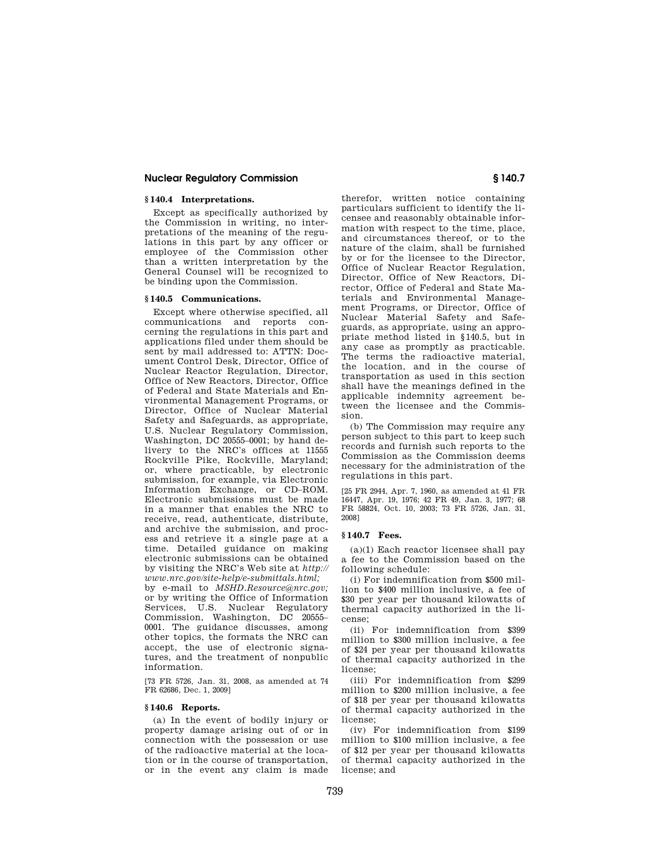## **§ 140.4 Interpretations.**

Except as specifically authorized by the Commission in writing, no interpretations of the meaning of the regulations in this part by any officer or employee of the Commission other than a written interpretation by the General Counsel will be recognized to be binding upon the Commission.

#### **§ 140.5 Communications.**

Except where otherwise specified, all communications and reports concerning the regulations in this part and applications filed under them should be sent by mail addressed to: ATTN: Document Control Desk, Director, Office of Nuclear Reactor Regulation, Director, Office of New Reactors, Director, Office of Federal and State Materials and Environmental Management Programs, or Director, Office of Nuclear Material Safety and Safeguards, as appropriate, U.S. Nuclear Regulatory Commission, Washington, DC 20555–0001; by hand delivery to the NRC's offices at 11555 Rockville Pike, Rockville, Maryland; or, where practicable, by electronic submission, for example, via Electronic Information Exchange, or CD–ROM. Electronic submissions must be made in a manner that enables the NRC to receive, read, authenticate, distribute, and archive the submission, and process and retrieve it a single page at a time. Detailed guidance on making electronic submissions can be obtained by visiting the NRC's Web site at *http:// www.nrc.gov/site-help/e-submittals.html;* 

by e-mail to *MSHD.Resource@nrc.gov;*  or by writing the Office of Information Services, U.S. Nuclear Regulatory Commission, Washington, DC 20555– 0001. The guidance discusses, among other topics, the formats the NRC can accept, the use of electronic signatures, and the treatment of nonpublic information.

[73 FR 5726, Jan. 31, 2008, as amended at 74 FR 62686, Dec. 1, 2009]

#### **§ 140.6 Reports.**

(a) In the event of bodily injury or property damage arising out of or in connection with the possession or use of the radioactive material at the location or in the course of transportation, or in the event any claim is made

therefor, written notice containing particulars sufficient to identify the licensee and reasonably obtainable information with respect to the time, place, and circumstances thereof, or to the nature of the claim, shall be furnished by or for the licensee to the Director, Office of Nuclear Reactor Regulation, Director, Office of New Reactors, Director, Office of Federal and State Materials and Environmental Management Programs, or Director, Office of Nuclear Material Safety and Safeguards, as appropriate, using an appropriate method listed in §140.5, but in any case as promptly as practicable. The terms the radioactive material, the location, and in the course of transportation as used in this section shall have the meanings defined in the applicable indemnity agreement between the licensee and the Commission.

(b) The Commission may require any person subject to this part to keep such records and furnish such reports to the Commission as the Commission deems necessary for the administration of the regulations in this part.

[25 FR 2944, Apr. 7, 1960, as amended at 41 FR 16447, Apr. 19, 1976; 42 FR 49, Jan. 3, 1977; 68 FR 58824, Oct. 10, 2003; 73 FR 5726, Jan. 31, 2008]

### **§ 140.7 Fees.**

(a)(1) Each reactor licensee shall pay a fee to the Commission based on the following schedule:

(i) For indemnification from \$500 million to \$400 million inclusive, a fee of \$30 per year per thousand kilowatts of thermal capacity authorized in the license;

(ii) For indemnification from \$399 million to \$300 million inclusive, a fee of \$24 per year per thousand kilowatts of thermal capacity authorized in the license;

(iii) For indemnification from \$299 million to \$200 million inclusive, a fee of \$18 per year per thousand kilowatts of thermal capacity authorized in the license;

(iv) For indemnification from \$199 million to \$100 million inclusive, a fee of \$12 per year per thousand kilowatts of thermal capacity authorized in the license; and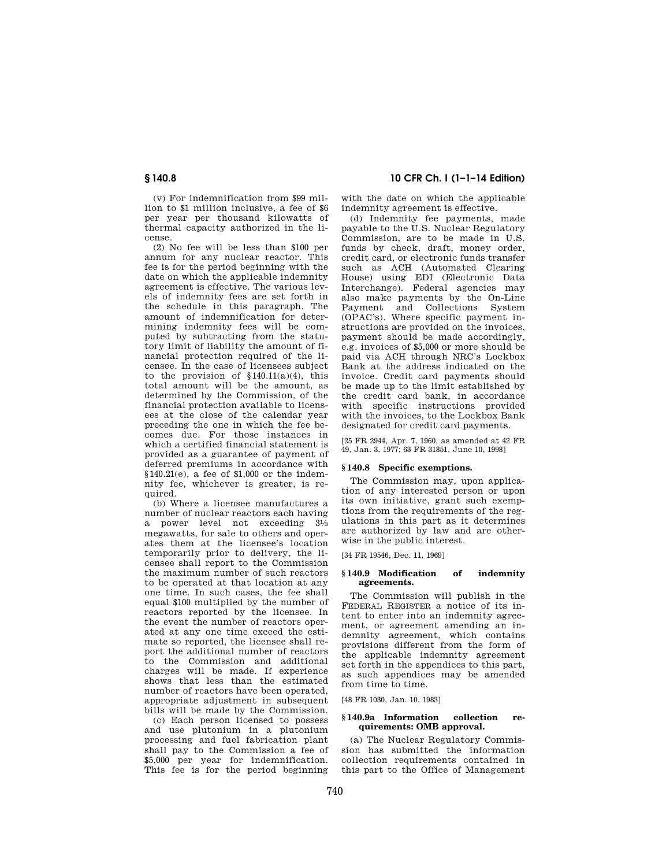(v) For indemnification from \$99 million to \$1 million inclusive, a fee of \$6 per year per thousand kilowatts of thermal capacity authorized in the license.

(2) No fee will be less than \$100 per annum for any nuclear reactor. This fee is for the period beginning with the date on which the applicable indemnity agreement is effective. The various levels of indemnity fees are set forth in the schedule in this paragraph. The amount of indemnification for determining indemnity fees will be computed by subtracting from the statutory limit of liability the amount of financial protection required of the licensee. In the case of licensees subject to the provision of  $$140.11(a)(4)$ , this total amount will be the amount, as determined by the Commission, of the financial protection available to licensees at the close of the calendar year preceding the one in which the fee becomes due. For those instances in which a certified financial statement is provided as a guarantee of payment of deferred premiums in accordance with  $§140.21(e)$ , a fee of \$1,000 or the indemnity fee, whichever is greater, is required.

(b) Where a licensee manufactures a number of nuclear reactors each having a power level not exceeding 31⁄3 megawatts, for sale to others and operates them at the licensee's location temporarily prior to delivery, the licensee shall report to the Commission the maximum number of such reactors to be operated at that location at any one time. In such cases, the fee shall equal \$100 multiplied by the number of reactors reported by the licensee. In the event the number of reactors operated at any one time exceed the estimate so reported, the licensee shall report the additional number of reactors to the Commission and additional charges will be made. If experience shows that less than the estimated number of reactors have been operated, appropriate adjustment in subsequent bills will be made by the Commission.

(c) Each person licensed to possess and use plutonium in a plutonium processing and fuel fabrication plant shall pay to the Commission a fee of \$5,000 per year for indemnification. This fee is for the period beginning

**§ 140.8 10 CFR Ch. I (1–1–14 Edition)** 

with the date on which the applicable indemnity agreement is effective.

(d) Indemnity fee payments, made payable to the U.S. Nuclear Regulatory Commission, are to be made in U.S. funds by check, draft, money order, credit card, or electronic funds transfer such as ACH (Automated Clearing House) using EDI (Electronic Data Interchange). Federal agencies may also make payments by the On-Line Payment and Collections System (OPAC's). Where specific payment instructions are provided on the invoices, payment should be made accordingly, e.g. invoices of \$5,000 or more should be paid via ACH through NRC's Lockbox Bank at the address indicated on the invoice. Credit card payments should be made up to the limit established by the credit card bank, in accordance with specific instructions provided with the invoices, to the Lockbox Bank designated for credit card payments.

[25 FR 2944, Apr. 7, 1960, as amended at 42 FR 49, Jan. 3, 1977; 63 FR 31851, June 10, 1998]

## **§ 140.8 Specific exemptions.**

The Commission may, upon application of any interested person or upon its own initiative, grant such exemptions from the requirements of the regulations in this part as it determines are authorized by law and are otherwise in the public interest.

[34 FR 19546, Dec. 11, 1969]

## **§ 140.9 Modification of indemnity agreements.**

The Commission will publish in the FEDERAL REGISTER a notice of its intent to enter into an indemnity agreement, or agreement amending an indemnity agreement, which contains provisions different from the form of the applicable indemnity agreement set forth in the appendices to this part, as such appendices may be amended from time to time.

[48 FR 1030, Jan. 10, 1983]

### **§ 140.9a Information collection requirements: OMB approval.**

(a) The Nuclear Regulatory Commission has submitted the information collection requirements contained in this part to the Office of Management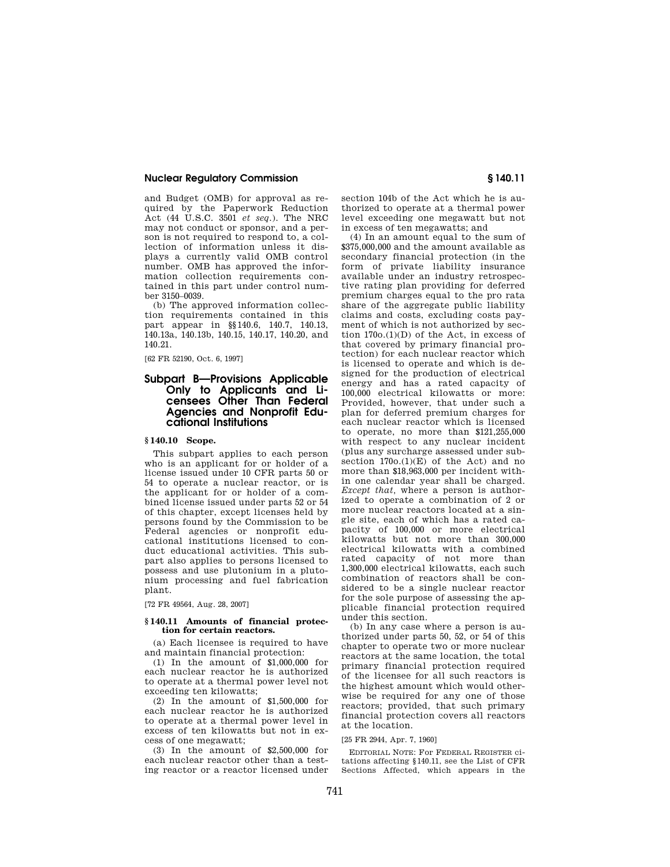and Budget (OMB) for approval as required by the Paperwork Reduction Act (44 U.S.C. 3501 *et seq.*). The NRC may not conduct or sponsor, and a person is not required to respond to, a collection of information unless it displays a currently valid OMB control number. OMB has approved the information collection requirements contained in this part under control number 3150–0039.

(b) The approved information collection requirements contained in this part appear in §§140.6, 140.7, 140.13, 140.13a, 140.13b, 140.15, 140.17, 140.20, and 140.21.

[62 FR 52190, Oct. 6, 1997]

## **Subpart B—Provisions Applicable Only to Applicants and Licensees Other Than Federal Agencies and Nonprofit Educational Institutions**

## **§ 140.10 Scope.**

This subpart applies to each person who is an applicant for or holder of a license issued under 10 CFR parts 50 or 54 to operate a nuclear reactor, or is the applicant for or holder of a combined license issued under parts 52 or 54 of this chapter, except licenses held by persons found by the Commission to be Federal agencies or nonprofit educational institutions licensed to conduct educational activities. This subpart also applies to persons licensed to possess and use plutonium in a plutonium processing and fuel fabrication plant.

[72 FR 49564, Aug. 28, 2007]

#### **§ 140.11 Amounts of financial protection for certain reactors.**

(a) Each licensee is required to have and maintain financial protection:

(1) In the amount of \$1,000,000 for each nuclear reactor he is authorized to operate at a thermal power level not exceeding ten kilowatts;

(2) In the amount of \$1,500,000 for each nuclear reactor he is authorized to operate at a thermal power level in excess of ten kilowatts but not in excess of one megawatt;

(3) In the amount of \$2,500,000 for each nuclear reactor other than a testing reactor or a reactor licensed under section 104b of the Act which he is authorized to operate at a thermal power level exceeding one megawatt but not in excess of ten megawatts; and

(4) In an amount equal to the sum of \$375,000,000 and the amount available as secondary financial protection (in the form of private liability insurance available under an industry retrospective rating plan providing for deferred premium charges equal to the pro rata share of the aggregate public liability claims and costs, excluding costs payment of which is not authorized by section  $170o(1)(D)$  of the Act, in excess of that covered by primary financial protection) for each nuclear reactor which is licensed to operate and which is designed for the production of electrical energy and has a rated capacity of 100,000 electrical kilowatts or more: Provided, however, that under such a plan for deferred premium charges for each nuclear reactor which is licensed to operate, no more than \$121,255,000 with respect to any nuclear incident (plus any surcharge assessed under subsection  $170o.(1)(E)$  of the Act) and no more than \$18,963,000 per incident within one calendar year shall be charged. *Except that,* where a person is authorized to operate a combination of 2 or more nuclear reactors located at a single site, each of which has a rated capacity of 100,000 or more electrical kilowatts but not more than 300,000 electrical kilowatts with a combined rated capacity of not more than 1,300,000 electrical kilowatts, each such combination of reactors shall be considered to be a single nuclear reactor for the sole purpose of assessing the applicable financial protection required under this section.

(b) In any case where a person is authorized under parts 50, 52, or 54 of this chapter to operate two or more nuclear reactors at the same location, the total primary financial protection required of the licensee for all such reactors is the highest amount which would otherwise be required for any one of those reactors; provided, that such primary financial protection covers all reactors at the location.

[25 FR 2944, Apr. 7, 1960]

EDITORIAL NOTE: For FEDERAL REGISTER citations affecting §140.11, see the List of CFR Sections Affected, which appears in the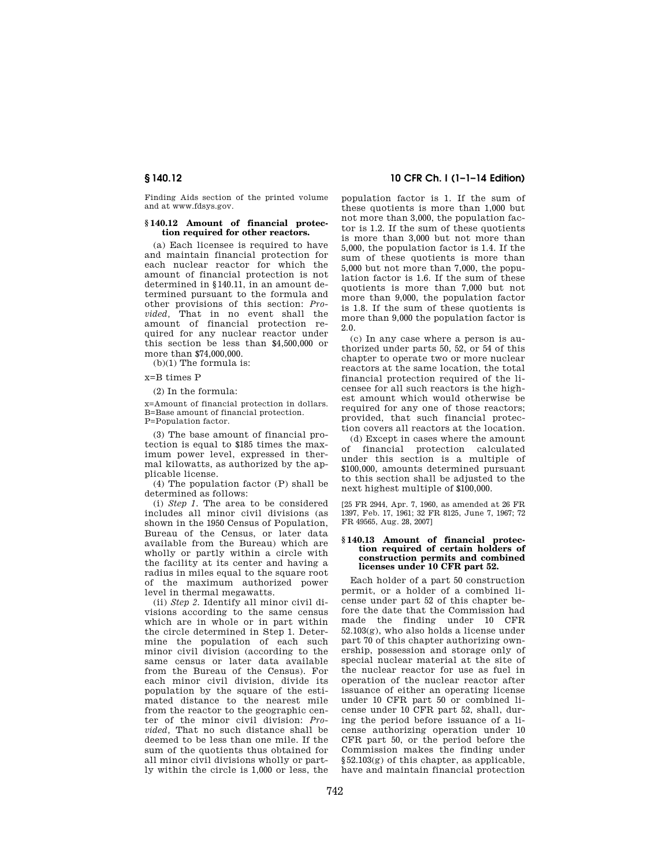Finding Aids section of the printed volume and at www.fdsys.gov.

## **§ 140.12 Amount of financial protection required for other reactors.**

(a) Each licensee is required to have and maintain financial protection for each nuclear reactor for which the amount of financial protection is not determined in §140.11, in an amount determined pursuant to the formula and other provisions of this section: *Provided,* That in no event shall the amount of financial protection required for any nuclear reactor under this section be less than \$4,500,000 or more than \$74,000,000.

(b)(1) The formula is:

x=B times P

(2) In the formula:

x=Amount of financial protection in dollars. B=Base amount of financial protection. P=Population factor.

(3) The base amount of financial protection is equal to \$185 times the maximum power level, expressed in thermal kilowatts, as authorized by the applicable license.

(4) The population factor (P) shall be determined as follows:

(i) *Step 1.* The area to be considered includes all minor civil divisions (as shown in the 1950 Census of Population, Bureau of the Census, or later data available from the Bureau) which are wholly or partly within a circle with the facility at its center and having a radius in miles equal to the square root of the maximum authorized power level in thermal megawatts.

(ii) *Step 2.* Identify all minor civil divisions according to the same census which are in whole or in part within the circle determined in Step 1. Determine the population of each such minor civil division (according to the same census or later data available from the Bureau of the Census). For each minor civil division, divide its population by the square of the estimated distance to the nearest mile from the reactor to the geographic center of the minor civil division: *Provided,* That no such distance shall be deemed to be less than one mile. If the sum of the quotients thus obtained for all minor civil divisions wholly or partly within the circle is 1,000 or less, the

## **§ 140.12 10 CFR Ch. I (1–1–14 Edition)**

population factor is 1. If the sum of these quotients is more than 1,000 but not more than 3,000, the population factor is 1.2. If the sum of these quotients is more than 3,000 but not more than 5,000, the population factor is 1.4. If the sum of these quotients is more than 5,000 but not more than 7,000, the population factor is 1.6. If the sum of these quotients is more than 7,000 but not more than 9,000, the population factor is 1.8. If the sum of these quotients is more than 9,000 the population factor is 2.0.

(c) In any case where a person is authorized under parts 50, 52, or 54 of this chapter to operate two or more nuclear reactors at the same location, the total financial protection required of the licensee for all such reactors is the highest amount which would otherwise be required for any one of those reactors; provided, that such financial protection covers all reactors at the location.

(d) Except in cases where the amount of financial protection calculated under this section is a multiple of \$100,000, amounts determined pursuant to this section shall be adjusted to the next highest multiple of \$100,000.

[25 FR 2944, Apr. 7, 1960, as amended at 26 FR 1397, Feb. 17, 1961; 32 FR 8125, June 7, 1967; 72 FR 49565, Aug. 28, 2007]

#### **§ 140.13 Amount of financial protection required of certain holders of construction permits and combined licenses under 10 CFR part 52.**

Each holder of a part 50 construction permit, or a holder of a combined license under part 52 of this chapter before the date that the Commission had made the finding under 10 CFR  $52.103(g)$ , who also holds a license under part 70 of this chapter authorizing ownership, possession and storage only of special nuclear material at the site of the nuclear reactor for use as fuel in operation of the nuclear reactor after issuance of either an operating license under 10 CFR part 50 or combined license under 10 CFR part 52, shall, during the period before issuance of a license authorizing operation under 10 CFR part 50, or the period before the Commission makes the finding under §52.103(g) of this chapter, as applicable, have and maintain financial protection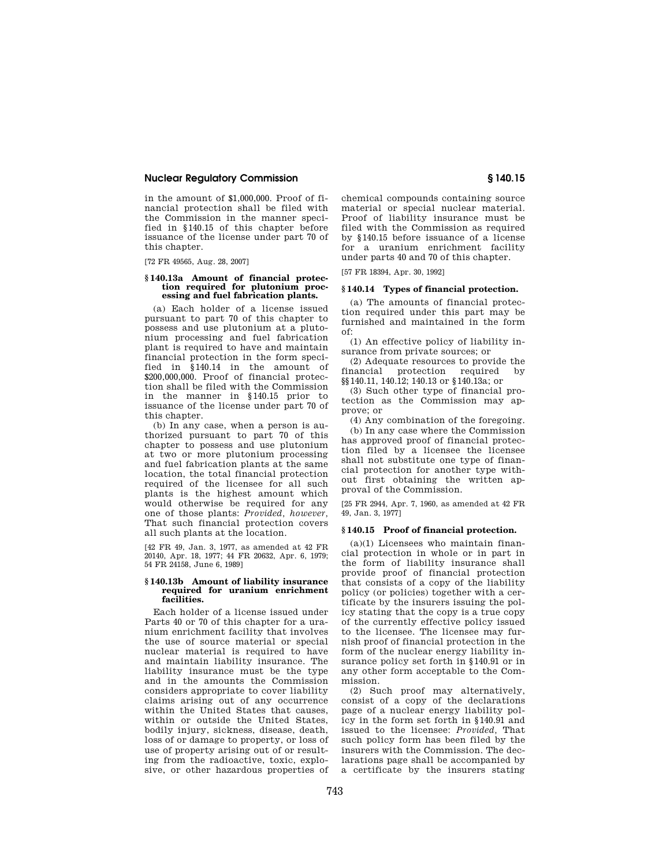in the amount of \$1,000,000. Proof of financial protection shall be filed with the Commission in the manner specified in §140.15 of this chapter before issuance of the license under part 70 of this chapter.

[72 FR 49565, Aug. 28, 2007]

### **§ 140.13a Amount of financial protection required for plutonium processing and fuel fabrication plants.**

(a) Each holder of a license issued pursuant to part 70 of this chapter to possess and use plutonium at a plutonium processing and fuel fabrication plant is required to have and maintain financial protection in the form specified in §140.14 in the amount of \$200,000,000. Proof of financial protection shall be filed with the Commission in the manner in §140.15 prior to issuance of the license under part 70 of this chapter.

(b) In any case, when a person is authorized pursuant to part 70 of this chapter to possess and use plutonium at two or more plutonium processing and fuel fabrication plants at the same location, the total financial protection required of the licensee for all such plants is the highest amount which would otherwise be required for any one of those plants: *Provided, however,*  That such financial protection covers all such plants at the location.

[42 FR 49, Jan. 3, 1977, as amended at 42 FR 20140, Apr. 18, 1977; 44 FR 20632, Apr. 6, 1979; 54 FR 24158, June 6, 1989]

## **§ 140.13b Amount of liability insurance required for uranium enrichment facilities.**

Each holder of a license issued under Parts 40 or 70 of this chapter for a uranium enrichment facility that involves the use of source material or special nuclear material is required to have and maintain liability insurance. The liability insurance must be the type and in the amounts the Commission considers appropriate to cover liability claims arising out of any occurrence within the United States that causes, within or outside the United States, bodily injury, sickness, disease, death, loss of or damage to property, or loss of use of property arising out of or resulting from the radioactive, toxic, explosive, or other hazardous properties of chemical compounds containing source material or special nuclear material. Proof of liability insurance must be filed with the Commission as required by §140.15 before issuance of a license for a uranium enrichment facility under parts 40 and 70 of this chapter.

[57 FR 18394, Apr. 30, 1992]

## **§ 140.14 Types of financial protection.**

(a) The amounts of financial protection required under this part may be furnished and maintained in the form of:

(1) An effective policy of liability insurance from private sources; or

(2) Adequate resources to provide the financial protection required by §§140.11, 140.12; 140.13 or §140.13a; or

(3) Such other type of financial protection as the Commission may approve; or

(4) Any combination of the foregoing. (b) In any case where the Commission has approved proof of financial protection filed by a licensee the licensee shall not substitute one type of financial protection for another type without first obtaining the written approval of the Commission.

[25 FR 2944, Apr. 7, 1960, as amended at 42 FR 49, Jan. 3, 1977]

## **§ 140.15 Proof of financial protection.**

 $(a)(1)$  Licensees who maintain financial protection in whole or in part in the form of liability insurance shall provide proof of financial protection that consists of a copy of the liability policy (or policies) together with a certificate by the insurers issuing the policy stating that the copy is a true copy of the currently effective policy issued to the licensee. The licensee may furnish proof of financial protection in the form of the nuclear energy liability insurance policy set forth in §140.91 or in any other form acceptable to the Commission.

(2) Such proof may alternatively, consist of a copy of the declarations page of a nuclear energy liability policy in the form set forth in §140.91 and issued to the licensee: *Provided,* That such policy form has been filed by the insurers with the Commission. The declarations page shall be accompanied by a certificate by the insurers stating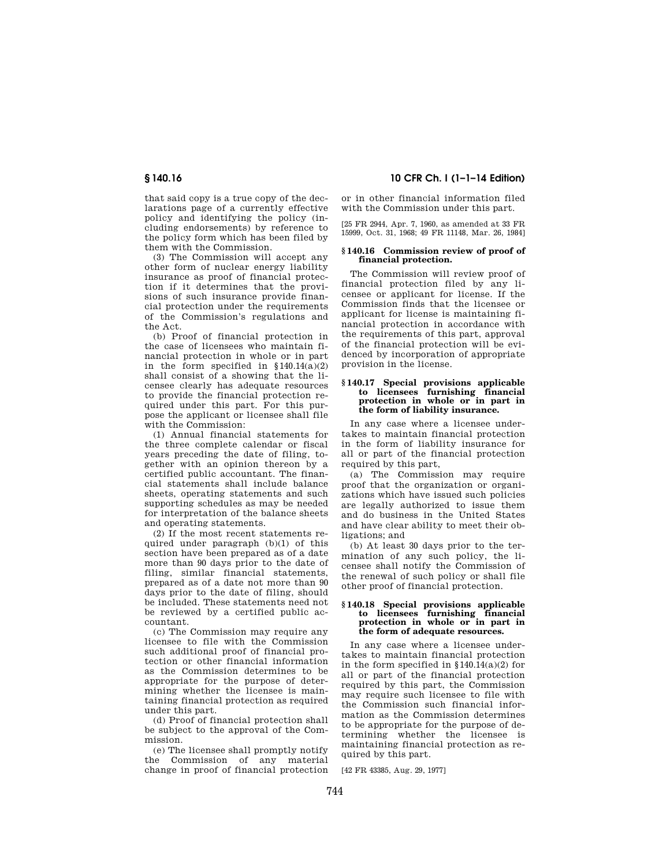that said copy is a true copy of the declarations page of a currently effective policy and identifying the policy (including endorsements) by reference to the policy form which has been filed by them with the Commission.

(3) The Commission will accept any other form of nuclear energy liability insurance as proof of financial protection if it determines that the provisions of such insurance provide financial protection under the requirements of the Commission's regulations and the Act.

(b) Proof of financial protection in the case of licensees who maintain financial protection in whole or in part in the form specified in  $$140.14(a)(2)$ shall consist of a showing that the licensee clearly has adequate resources to provide the financial protection required under this part. For this purpose the applicant or licensee shall file with the Commission:

(1) Annual financial statements for the three complete calendar or fiscal years preceding the date of filing, together with an opinion thereon by a certified public accountant. The financial statements shall include balance sheets, operating statements and such supporting schedules as may be needed for interpretation of the balance sheets and operating statements.

(2) If the most recent statements required under paragraph (b)(1) of this section have been prepared as of a date more than 90 days prior to the date of filing, similar financial statements, prepared as of a date not more than 90 days prior to the date of filing, should be included. These statements need not be reviewed by a certified public accountant.

(c) The Commission may require any licensee to file with the Commission such additional proof of financial protection or other financial information as the Commission determines to be appropriate for the purpose of determining whether the licensee is maintaining financial protection as required under this part.

(d) Proof of financial protection shall be subject to the approval of the Commission.

(e) The licensee shall promptly notify the Commission of any material change in proof of financial protection

**§ 140.16 10 CFR Ch. I (1–1–14 Edition)** 

or in other financial information filed with the Commission under this part.

[25 FR 2944, Apr. 7, 1960, as amended at 33 FR 15999, Oct. 31, 1968; 49 FR 11148, Mar. 26, 1984]

## **§ 140.16 Commission review of proof of financial protection.**

The Commission will review proof of financial protection filed by any licensee or applicant for license. If the Commission finds that the licensee or applicant for license is maintaining financial protection in accordance with the requirements of this part, approval of the financial protection will be evidenced by incorporation of appropriate provision in the license.

#### **§ 140.17 Special provisions applicable to licensees furnishing financial protection in whole or in part in the form of liability insurance.**

In any case where a licensee undertakes to maintain financial protection in the form of liability insurance for all or part of the financial protection required by this part,

(a) The Commission may require proof that the organization or organizations which have issued such policies are legally authorized to issue them and do business in the United States and have clear ability to meet their obligations; and

(b) At least 30 days prior to the termination of any such policy, the licensee shall notify the Commission of the renewal of such policy or shall file other proof of financial protection.

#### **§ 140.18 Special provisions applicable to licensees furnishing financial protection in whole or in part in the form of adequate resources.**

In any case where a licensee undertakes to maintain financial protection in the form specified in  $$140.14(a)(2)$  for all or part of the financial protection required by this part, the Commission may require such licensee to file with the Commission such financial information as the Commission determines to be appropriate for the purpose of determining whether the licensee is maintaining financial protection as required by this part.

[42 FR 43385, Aug. 29, 1977]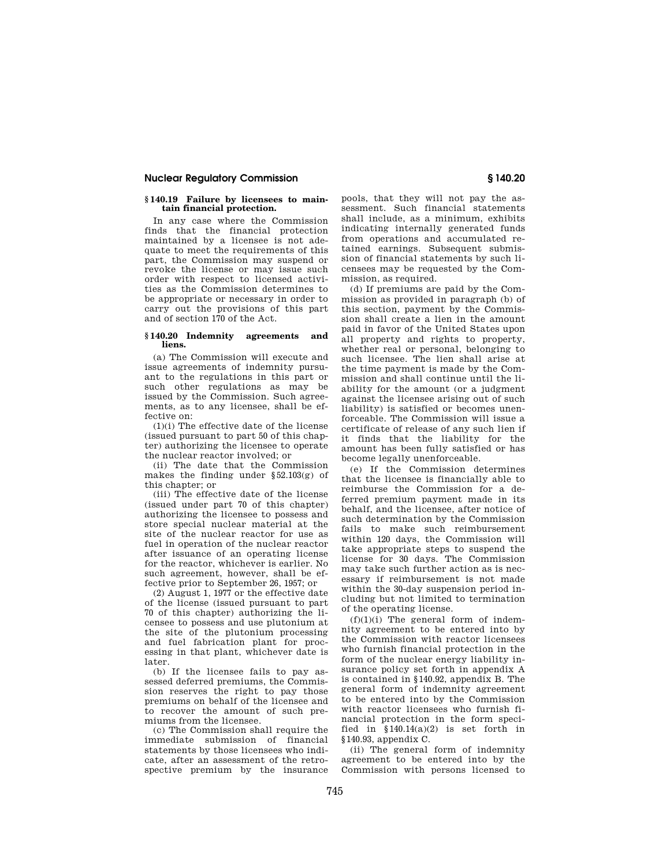## **§ 140.19 Failure by licensees to maintain financial protection.**

In any case where the Commission finds that the financial protection maintained by a licensee is not adequate to meet the requirements of this part, the Commission may suspend or revoke the license or may issue such order with respect to licensed activities as the Commission determines to be appropriate or necessary in order to carry out the provisions of this part and of section 170 of the Act.

## **§ 140.20 Indemnity agreements and liens.**

(a) The Commission will execute and issue agreements of indemnity pursuant to the regulations in this part or such other regulations as may be issued by the Commission. Such agreements, as to any licensee, shall be effective on:

(1)(i) The effective date of the license (issued pursuant to part 50 of this chapter) authorizing the licensee to operate the nuclear reactor involved; or

(ii) The date that the Commission makes the finding under  $\S 52.103(g)$  of this chapter; or

(iii) The effective date of the license (issued under part 70 of this chapter) authorizing the licensee to possess and store special nuclear material at the site of the nuclear reactor for use as fuel in operation of the nuclear reactor after issuance of an operating license for the reactor, whichever is earlier. No such agreement, however, shall be effective prior to September 26, 1957; or

(2) August 1, 1977 or the effective date of the license (issued pursuant to part 70 of this chapter) authorizing the licensee to possess and use plutonium at the site of the plutonium processing and fuel fabrication plant for processing in that plant, whichever date is later.

(b) If the licensee fails to pay assessed deferred premiums, the Commission reserves the right to pay those premiums on behalf of the licensee and to recover the amount of such premiums from the licensee.

(c) The Commission shall require the immediate submission of financial statements by those licensees who indicate, after an assessment of the retrospective premium by the insurance

pools, that they will not pay the assessment. Such financial statements shall include, as a minimum, exhibits indicating internally generated funds from operations and accumulated retained earnings. Subsequent submission of financial statements by such licensees may be requested by the Commission, as required.

(d) If premiums are paid by the Commission as provided in paragraph (b) of this section, payment by the Commission shall create a lien in the amount paid in favor of the United States upon all property and rights to property, whether real or personal, belonging to such licensee. The lien shall arise at the time payment is made by the Commission and shall continue until the liability for the amount (or a judgment against the licensee arising out of such liability) is satisfied or becomes unenforceable. The Commission will issue a certificate of release of any such lien if it finds that the liability for the amount has been fully satisfied or has become legally unenforceable.

(e) If the Commission determines that the licensee is financially able to reimburse the Commission for a deferred premium payment made in its behalf, and the licensee, after notice of such determination by the Commission fails to make such reimbursement within 120 days, the Commission will take appropriate steps to suspend the license for 30 days. The Commission may take such further action as is necessary if reimbursement is not made within the 30-day suspension period including but not limited to termination of the operating license.

 $(f)(1)(i)$  The general form of indemnity agreement to be entered into by the Commission with reactor licensees who furnish financial protection in the form of the nuclear energy liability insurance policy set forth in appendix A is contained in §140.92, appendix B. The general form of indemnity agreement to be entered into by the Commission with reactor licensees who furnish financial protection in the form specified in §140.14(a)(2) is set forth in §140.93, appendix C.

(ii) The general form of indemnity agreement to be entered into by the Commission with persons licensed to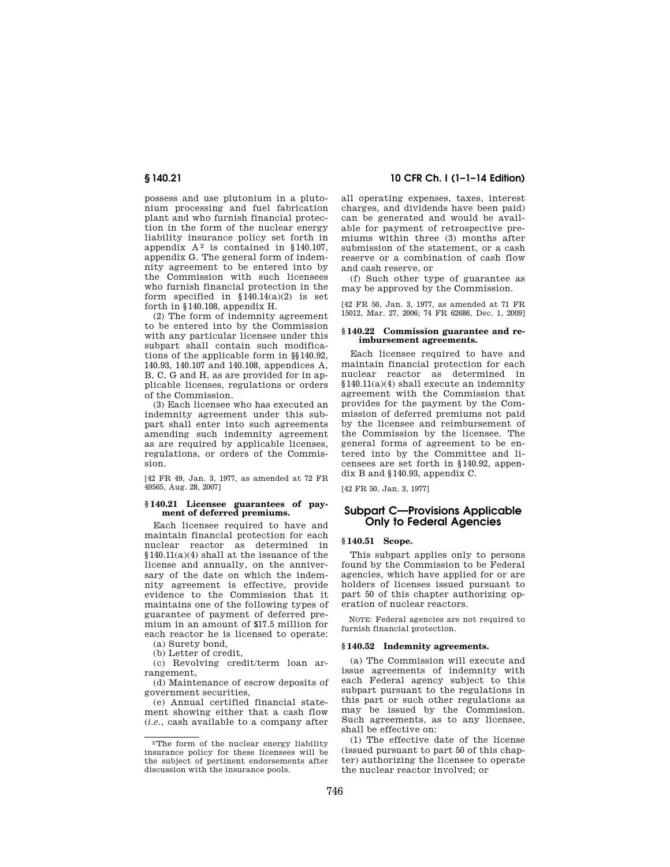possess and use plutonium in a plutonium processing and fuel fabrication plant and who furnish financial protection in the form of the nuclear energy liability insurance policy set forth in appendix  $A^2$  is contained in §140.107, appendix G. The general form of indemnity agreement to be entered into by the Commission with such licensees who furnish financial protection in the form specified in  $$140.14(a)(2)$  is set forth in §140.108, appendix H.

(2) The form of indemnity agreement to be entered into by the Commission with any particular licensee under this subpart shall contain such modifications of the applicable form in §§140.92, 140.93, 140.107 and 140.108, appendices A, B, C, G and H, as are provided for in applicable licenses, regulations or orders of the Commission.

(3) Each licensee who has executed an indemnity agreement under this subpart shall enter into such agreements amending such indemnity agreement as are required by applicable licenses, regulations, or orders of the Commission.

[42 FR 49, Jan. 3, 1977, as amended at 72 FR 49565, Aug. 28, 2007]

#### **§ 140.21 Licensee guarantees of payment of deferred premiums.**

Each licensee required to have and maintain financial protection for each nuclear reactor as determined in §140.11(a)(4) shall at the issuance of the license and annually, on the anniversary of the date on which the indemnity agreement is effective, provide evidence to the Commission that it maintains one of the following types of guarantee of payment of deferred premium in an amount of \$17.5 million for each reactor he is licensed to operate:

(a) Surety bond,

(b) Letter of credit,

(c) Revolving credit/term loan arrangement,

(d) Maintenance of escrow deposits of government securities,

(e) Annual certified financial statement showing either that a cash flow (*i.e.*, cash available to a company after

## **§ 140.21 10 CFR Ch. I (1–1–14 Edition)**

all operating expenses, taxes, interest charges, and dividends have been paid) can be generated and would be available for payment of retrospective premiums within three (3) months after submission of the statement, or a cash reserve or a combination of cash flow and cash reserve, or

(f) Such other type of guarantee as may be approved by the Commission.

[42 FR 50, Jan. 3, 1977, as amended at 71 FR 15012, Mar. 27, 2006; 74 FR 62686, Dec. 1, 2009]

### **§ 140.22 Commission guarantee and reimbursement agreements.**

Each licensee required to have and maintain financial protection for each nuclear reactor as determined in §140.11(a)(4) shall execute an indemnity agreement with the Commission that provides for the payment by the Commission of deferred premiums not paid by the licensee and reimbursement of the Commission by the licensee. The general forms of agreement to be entered into by the Committee and licensees are set forth in §140.92, appendix B and §140.93, appendix C.

[42 FR 50, Jan. 3, 1977]

## **Subpart C—Provisions Applicable Only to Federal Agencies**

## **§ 140.51 Scope.**

This subpart applies only to persons found by the Commission to be Federal agencies, which have applied for or are holders of licenses issued pursuant to part 50 of this chapter authorizing operation of nuclear reactors.

NOTE: Federal agencies are not required to furnish financial protection.

#### **§ 140.52 Indemnity agreements.**

(a) The Commission will execute and issue agreements of indemnity with each Federal agency subject to this subpart pursuant to the regulations in this part or such other regulations as may be issued by the Commission. Such agreements, as to any licensee, shall be effective on:

(1) The effective date of the license (issued pursuant to part 50 of this chapter) authorizing the licensee to operate the nuclear reactor involved; or

<sup>2</sup>The form of the nuclear energy liability insurance policy for these licensees will be the subject of pertinent endorsements after discussion with the insurance pools.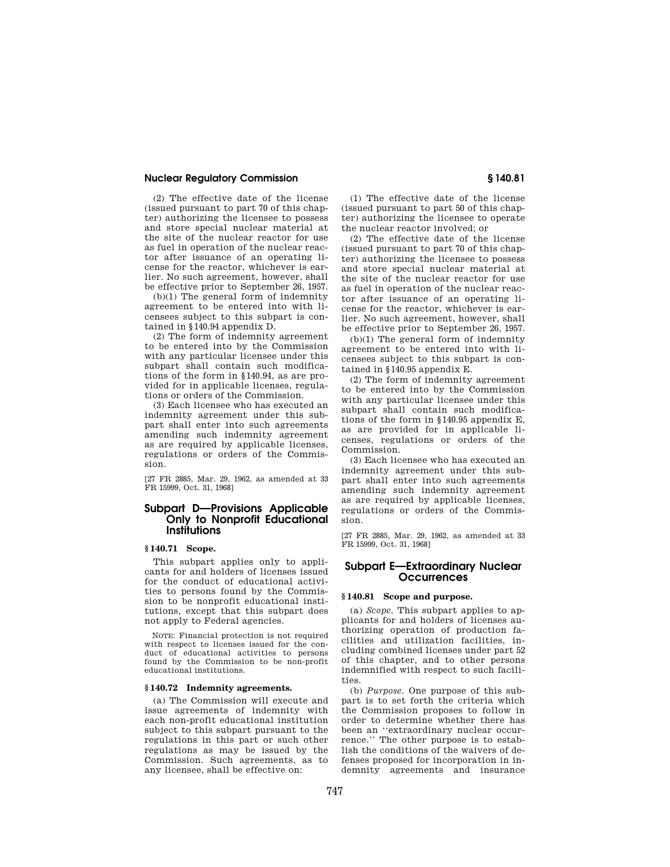(2) The effective date of the license (issued pursuant to part 70 of this chapter) authorizing the licensee to possess and store special nuclear material at the site of the nuclear reactor for use as fuel in operation of the nuclear reactor after issuance of an operating license for the reactor, whichever is earlier. No such agreement, however, shall be effective prior to September 26, 1957.

(b)(1) The general form of indemnity agreement to be entered into with licensees subject to this subpart is contained in §140.94 appendix D.

(2) The form of indemnity agreement to be entered into by the Commission with any particular licensee under this subpart shall contain such modifications of the form in §140.94, as are provided for in applicable licenses, regulations or orders of the Commission.

(3) Each licensee who has executed an indemnity agreement under this subpart shall enter into such agreements amending such indemnity agreement as are required by applicable licenses, regulations or orders of the Commission.

[27 FR 2885, Mar. 29, 1962, as amended at 33 FR 15999, Oct. 31, 1968]

## **Subpart D—Provisions Applicable Only to Nonprofit Educational Institutions**

## **§ 140.71 Scope.**

This subpart applies only to applicants for and holders of licenses issued for the conduct of educational activities to persons found by the Commission to be nonprofit educational institutions, except that this subpart does not apply to Federal agencies.

NOTE: Financial protection is not required with respect to licenses issued for the conduct of educational activities to persons found by the Commission to be non-profit educational institutions.

## **§ 140.72 Indemnity agreements.**

(a) The Commission will execute and issue agreements of indemnity with each non-profit educational institution subject to this subpart pursuant to the regulations in this part or such other regulations as may be issued by the Commission. Such agreements, as to any licensee, shall be effective on:

(1) The effective date of the license (issued pursuant to part 50 of this chapter) authorizing the licensee to operate the nuclear reactor involved; or

(2) The effective date of the license (issued pursuant to part 70 of this chapter) authorizing the licensee to possess and store special nuclear material at the site of the nuclear reactor for use as fuel in operation of the nuclear reactor after issuance of an operating license for the reactor, whichever is earlier. No such agreement, however, shall be effective prior to September 26, 1957.

(b)(1) The general form of indemnity agreement to be entered into with licensees subject to this subpart is contained in §140.95 appendix E.

(2) The form of indemnity agreement to be entered into by the Commission with any particular licensee under this subpart shall contain such modifications of the form in §140.95 appendix E, as are provided for in applicable licenses, regulations or orders of the Commission.

(3) Each licensee who has executed an indemnity agreement under this subpart shall enter into such agreements amending such indemnity agreement as are required by applicable licenses, regulations or orders of the Commission.

[27 FR 2885, Mar. 29, 1962, as amended at 33 FR 15999, Oct. 31, 1968]

## **Subpart E—Extraordinary Nuclear Occurrences**

## **§ 140.81 Scope and purpose.**

(a) *Scope.* This subpart applies to applicants for and holders of licenses authorizing operation of production facilities and utilization facilities, including combined licenses under part 52 of this chapter, and to other persons indemnified with respect to such facilities.

(b) *Purpose.* One purpose of this subpart is to set forth the criteria which the Commission proposes to follow in order to determine whether there has been an ''extraordinary nuclear occurrence.'' The other purpose is to establish the conditions of the waivers of defenses proposed for incorporation in indemnity agreements and insurance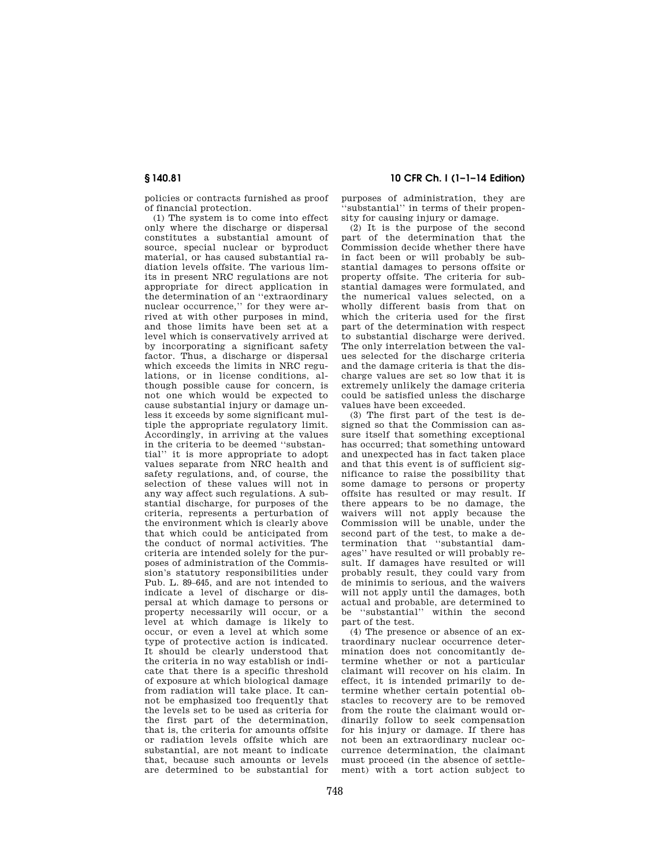policies or contracts furnished as proof of financial protection.

(1) The system is to come into effect only where the discharge or dispersal constitutes a substantial amount of source, special nuclear or byproduct material, or has caused substantial radiation levels offsite. The various limits in present NRC regulations are not appropriate for direct application in the determination of an ''extraordinary nuclear occurrence,'' for they were arrived at with other purposes in mind, and those limits have been set at a level which is conservatively arrived at by incorporating a significant safety factor. Thus, a discharge or dispersal which exceeds the limits in NRC regulations, or in license conditions, although possible cause for concern, is not one which would be expected to cause substantial injury or damage unless it exceeds by some significant multiple the appropriate regulatory limit. Accordingly, in arriving at the values in the criteria to be deemed ''substantial'' it is more appropriate to adopt values separate from NRC health and safety regulations, and, of course, the selection of these values will not in any way affect such regulations. A substantial discharge, for purposes of the criteria, represents a perturbation of the environment which is clearly above that which could be anticipated from the conduct of normal activities. The criteria are intended solely for the purposes of administration of the Commission's statutory responsibilities under Pub. L. 89–645, and are not intended to indicate a level of discharge or dispersal at which damage to persons or property necessarily will occur, or a level at which damage is likely to occur, or even a level at which some type of protective action is indicated. It should be clearly understood that the criteria in no way establish or indicate that there is a specific threshold of exposure at which biological damage from radiation will take place. It cannot be emphasized too frequently that the levels set to be used as criteria for the first part of the determination, that is, the criteria for amounts offsite or radiation levels offsite which are substantial, are not meant to indicate that, because such amounts or levels are determined to be substantial for

## **§ 140.81 10 CFR Ch. I (1–1–14 Edition)**

purposes of administration, they are 'substantial' in terms of their propensity for causing injury or damage.

(2) It is the purpose of the second part of the determination that the Commission decide whether there have in fact been or will probably be substantial damages to persons offsite or property offsite. The criteria for substantial damages were formulated, and the numerical values selected, on a wholly different basis from that on which the criteria used for the first part of the determination with respect to substantial discharge were derived. The only interrelation between the values selected for the discharge criteria and the damage criteria is that the discharge values are set so low that it is extremely unlikely the damage criteria could be satisfied unless the discharge values have been exceeded.

(3) The first part of the test is designed so that the Commission can assure itself that something exceptional has occurred; that something untoward and unexpected has in fact taken place and that this event is of sufficient significance to raise the possibility that some damage to persons or property offsite has resulted or may result. If there appears to be no damage, the waivers will not apply because the Commission will be unable, under the second part of the test, to make a determination that ''substantial damages'' have resulted or will probably result. If damages have resulted or will probably result, they could vary from de minimis to serious, and the waivers will not apply until the damages, both actual and probable, are determined to be ''substantial'' within the second part of the test.

(4) The presence or absence of an extraordinary nuclear occurrence determination does not concomitantly determine whether or not a particular claimant will recover on his claim. In effect, it is intended primarily to determine whether certain potential obstacles to recovery are to be removed from the route the claimant would ordinarily follow to seek compensation for his injury or damage. If there has not been an extraordinary nuclear occurrence determination, the claimant must proceed (in the absence of settlement) with a tort action subject to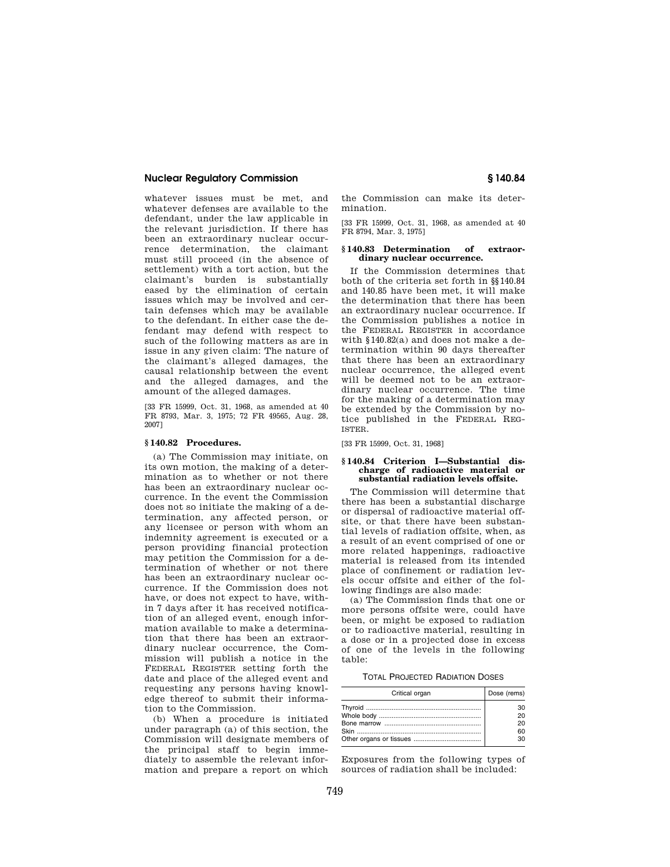whatever issues must be met, and whatever defenses are available to the defendant, under the law applicable in the relevant jurisdiction. If there has been an extraordinary nuclear occurrence determination, the claimant must still proceed (in the absence of settlement) with a tort action, but the claimant's burden is substantially eased by the elimination of certain issues which may be involved and certain defenses which may be available to the defendant. In either case the defendant may defend with respect to such of the following matters as are in issue in any given claim: The nature of the claimant's alleged damages, the causal relationship between the event and the alleged damages, and the amount of the alleged damages.

[33 FR 15999, Oct. 31, 1968, as amended at 40 FR 8793, Mar. 3, 1975; 72 FR 49565, Aug. 28, 2007]

## **§ 140.82 Procedures.**

(a) The Commission may initiate, on its own motion, the making of a determination as to whether or not there has been an extraordinary nuclear occurrence. In the event the Commission does not so initiate the making of a determination, any affected person, or any licensee or person with whom an indemnity agreement is executed or a person providing financial protection may petition the Commission for a determination of whether or not there has been an extraordinary nuclear occurrence. If the Commission does not have, or does not expect to have, within 7 days after it has received notification of an alleged event, enough information available to make a determination that there has been an extraordinary nuclear occurrence, the Commission will publish a notice in the FEDERAL REGISTER setting forth the date and place of the alleged event and requesting any persons having knowledge thereof to submit their information to the Commission.

(b) When a procedure is initiated under paragraph (a) of this section, the Commission will designate members of the principal staff to begin immediately to assemble the relevant information and prepare a report on which the Commission can make its determination.

[33 FR 15999, Oct. 31, 1968, as amended at 40 FR 8794, Mar. 3, 1975]

### **§ 140.83 Determination of extraordinary nuclear occurrence.**

If the Commission determines that both of the criteria set forth in §§140.84 and 140.85 have been met, it will make the determination that there has been an extraordinary nuclear occurrence. If the Commission publishes a notice in the FEDERAL REGISTER in accordance with §140.82(a) and does not make a determination within 90 days thereafter that there has been an extraordinary nuclear occurrence, the alleged event will be deemed not to be an extraordinary nuclear occurrence. The time for the making of a determination may be extended by the Commission by notice published in the FEDERAL REG-ISTER.

[33 FR 15999, Oct. 31, 1968]

## **§ 140.84 Criterion I—Substantial discharge of radioactive material or substantial radiation levels offsite.**

The Commission will determine that there has been a substantial discharge or dispersal of radioactive material offsite, or that there have been substantial levels of radiation offsite, when, as a result of an event comprised of one or more related happenings, radioactive material is released from its intended place of confinement or radiation levels occur offsite and either of the following findings are also made:

(a) The Commission finds that one or more persons offsite were, could have been, or might be exposed to radiation or to radioactive material, resulting in a dose or in a projected dose in excess of one of the levels in the following table:

TOTAL PROJECTED RADIATION DOSES

| Critical organ | Dose (rems) |
|----------------|-------------|
|                | зn          |
|                | 2٨<br>20    |
|                |             |
|                |             |

Exposures from the following types of sources of radiation shall be included: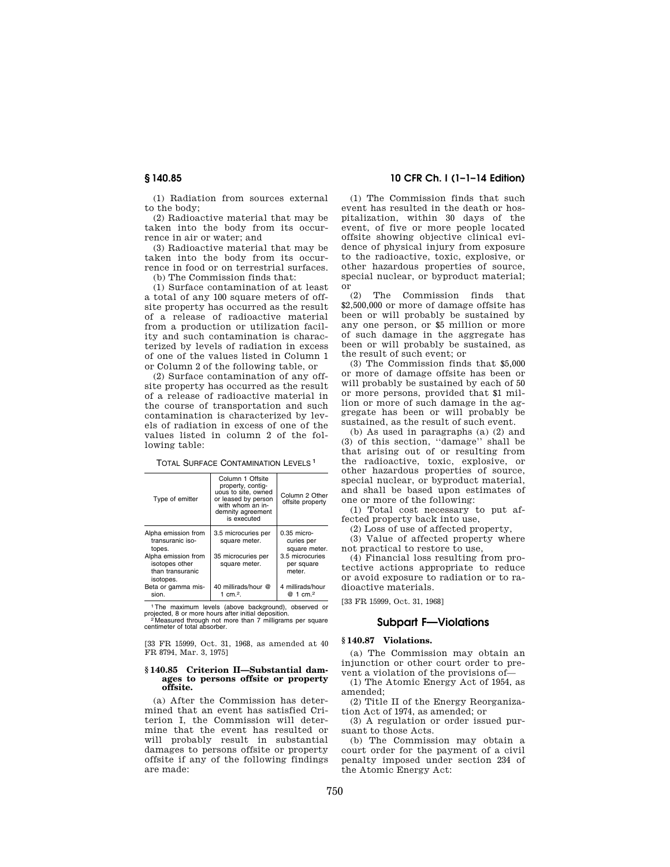(1) Radiation from sources external to the body;

(2) Radioactive material that may be taken into the body from its occurrence in air or water; and

(3) Radioactive material that may be taken into the body from its occurrence in food or on terrestrial surfaces.

(b) The Commission finds that:

(1) Surface contamination of at least a total of any 100 square meters of offsite property has occurred as the result of a release of radioactive material from a production or utilization facility and such contamination is characterized by levels of radiation in excess of one of the values listed in Column 1 or Column 2 of the following table, or

(2) Surface contamination of any offsite property has occurred as the result of a release of radioactive material in the course of transportation and such contamination is characterized by levels of radiation in excess of one of the values listed in column 2 of the following table:

| <b>TOTAL SURFACE CONTAMINATION LEVELS<sup>1</sup></b> |  |  |
|-------------------------------------------------------|--|--|
|-------------------------------------------------------|--|--|

| Type of emitter                                                        | Column 1 Offsite<br>property, contig-<br>uous to site, owned<br>or leased by person<br>with whom an in-<br>demnity agreement<br>is executed | Column 2 Other<br>offsite property           |
|------------------------------------------------------------------------|---------------------------------------------------------------------------------------------------------------------------------------------|----------------------------------------------|
| Alpha emission from<br>transuranic iso-<br>topes.                      | 3.5 microcuries per<br>square meter.                                                                                                        | $0.35$ micro-<br>curies per<br>square meter. |
| Alpha emission from<br>isotopes other<br>than transuranic<br>isotopes. | 35 microcuries per<br>square meter.                                                                                                         | 3.5 microcuries<br>per square<br>meter.      |
| Beta or gamma mis-<br>sion.                                            | 40 millirads/hour @<br>1 $cm2$ .                                                                                                            | 4 millirads/hour<br>@ 1 cm. <sup>2</sup>     |

<sup>1</sup>The maximum levels (above background), observed or oiected. 8 or more hours after initial deposition. projected, 8 or more hours after initial deposition.<br><sup>22</sup> Measured through not more than 7 milligrams per square<br>centimeter of total absorber.

[33 FR 15999, Oct. 31, 1968, as amended at 40 FR 8794, Mar. 3, 1975]

#### **§ 140.85 Criterion II—Substantial damages to persons offsite or property offsite.**

(a) After the Commission has determined that an event has satisfied Criterion I, the Commission will determine that the event has resulted or will probably result in substantial damages to persons offsite or property offsite if any of the following findings are made:

## **§ 140.85 10 CFR Ch. I (1–1–14 Edition)**

(1) The Commission finds that such event has resulted in the death or hospitalization, within 30 days of the event, of five or more people located offsite showing objective clinical evidence of physical injury from exposure to the radioactive, toxic, explosive, or other hazardous properties of source, special nuclear, or byproduct material; or

(2) The Commission finds that \$2,500,000 or more of damage offsite has been or will probably be sustained by any one person, or \$5 million or more of such damage in the aggregate has been or will probably be sustained, as the result of such event; or

(3) The Commission finds that \$5,000 or more of damage offsite has been or will probably be sustained by each of 50 or more persons, provided that \$1 million or more of such damage in the aggregate has been or will probably be sustained, as the result of such event.

(b) As used in paragraphs (a) (2) and (3) of this section, ''damage'' shall be that arising out of or resulting from the radioactive, toxic, explosive, or other hazardous properties of source, special nuclear, or byproduct material. and shall be based upon estimates of one or more of the following:

(1) Total cost necessary to put affected property back into use,

(2) Loss of use of affected property,

(3) Value of affected property where not practical to restore to use,

(4) Financial loss resulting from protective actions appropriate to reduce or avoid exposure to radiation or to radioactive materials.

[33 FR 15999, Oct. 31, 1968]

## **Subpart F—Violations**

#### **§ 140.87 Violations.**

(a) The Commission may obtain an injunction or other court order to prevent a violation of the provisions of—

(1) The Atomic Energy Act of 1954, as amended;

(2) Title II of the Energy Reorganization Act of 1974, as amended; or

(3) A regulation or order issued pursuant to those Acts.

(b) The Commission may obtain a court order for the payment of a civil penalty imposed under section 234 of the Atomic Energy Act: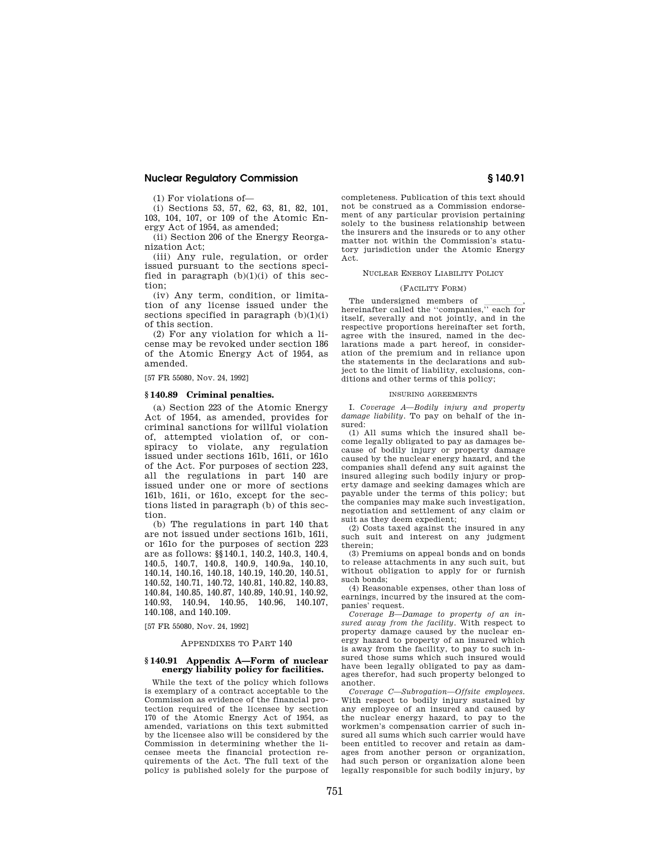(1) For violations of—

(i) Sections 53, 57, 62, 63, 81, 82, 101, 103, 104, 107, or 109 of the Atomic Energy Act of 1954, as amended;

(ii) Section 206 of the Energy Reorganization Act;

(iii) Any rule, regulation, or order issued pursuant to the sections specified in paragraph  $(b)(1)(i)$  of this section;

(iv) Any term, condition, or limitation of any license issued under the sections specified in paragraph  $(b)(1)(i)$ of this section.

(2) For any violation for which a license may be revoked under section 186 of the Atomic Energy Act of 1954, as amended.

[57 FR 55080, Nov. 24, 1992]

## **§ 140.89 Criminal penalties.**

(a) Section 223 of the Atomic Energy Act of 1954, as amended, provides for criminal sanctions for willful violation of, attempted violation of, or conspiracy to violate, any regulation issued under sections 161b, 161i, or 161o of the Act. For purposes of section 223, all the regulations in part 140 are issued under one or more of sections 161b, 161i, or 161o, except for the sections listed in paragraph (b) of this section.

(b) The regulations in part 140 that are not issued under sections 161b, 161i, or 161o for the purposes of section 223 are as follows: §§140.1, 140.2, 140.3, 140.4, 140.5, 140.7, 140.8, 140.9, 140.9a, 140.10, 140.14, 140.16, 140.18, 140.19, 140.20, 140.51, 140.52, 140.71, 140.72, 140.81, 140.82, 140.83, 140.84, 140.85, 140.87, 140.89, 140.91, 140.92, 140.93, 140.94, 140.95, 140.96, 140.107, 140.108, and 140.109.

[57 FR 55080, Nov. 24, 1992]

#### APPENDIXES TO PART 140

#### **§ 140.91 Appendix A—Form of nuclear energy liability policy for facilities.**

While the text of the policy which follows is exemplary of a contract acceptable to the Commission as evidence of the financial protection required of the licensee by section 170 of the Atomic Energy Act of 1954, as amended, variations on this text submitted by the licensee also will be considered by the Commission in determining whether the licensee meets the financial protection requirements of the Act. The full text of the policy is published solely for the purpose of

completeness. Publication of this text should not be construed as a Commission endorsement of any particular provision pertaining solely to the business relationship between the insurers and the insureds or to any other matter not within the Commission's statutory jurisdiction under the Atomic Energy Act.

#### NUCLEAR ENERGY LIABILITY POLICY

#### (FACILITY FORM)

The undersigned members of  $\frac{1}{\sqrt{2}}$ , hereinafter called the "companies," each for itself, severally and not jointly, and in the respective proportions hereinafter set forth, agree with the insured, named in the declarations made a part hereof, in consideration of the premium and in reliance upon the statements in the declarations and subject to the limit of liability, exclusions, conditions and other terms of this policy;

## INSURING AGREEMENTS

I. *Coverage A—Bodily injury and property damage liability.* To pay on behalf of the insured:

(1) All sums which the insured shall become legally obligated to pay as damages because of bodily injury or property damage caused by the nuclear energy hazard, and the companies shall defend any suit against the insured alleging such bodily injury or property damage and seeking damages which are payable under the terms of this policy; but the companies may make such investigation, negotiation and settlement of any claim or suit as they deem expedient;

(2) Costs taxed against the insured in any such suit and interest on any judgment therein;

(3) Premiums on appeal bonds and on bonds to release attachments in any such suit, but without obligation to apply for or furnish such bonds;

(4) Reasonable expenses, other than loss of earnings, incurred by the insured at the companies' request.

*Coverage B—Damage to property of an insured away from the facility.* With respect to property damage caused by the nuclear energy hazard to property of an insured which is away from the facility, to pay to such insured those sums which such insured would have been legally obligated to pay as damages therefor, had such property belonged to another.

*Coverage C—Subrogation—Offsite employees.*  With respect to bodily injury sustained by any employee of an insured and caused by the nuclear energy hazard, to pay to the workmen's compensation carrier of such insured all sums which such carrier would have been entitled to recover and retain as damages from another person or organization, had such person or organization alone been legally responsible for such bodily injury, by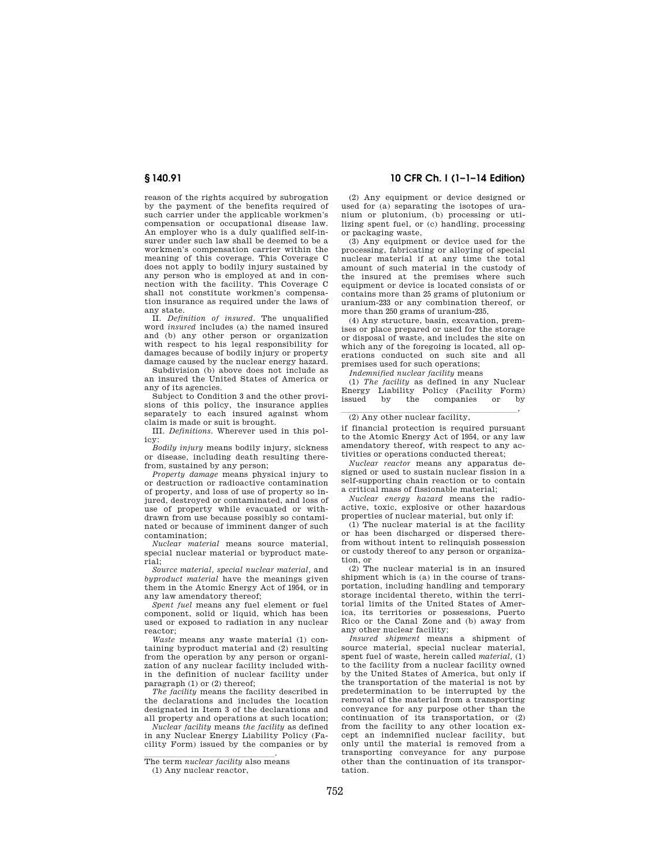reason of the rights acquired by subrogation by the payment of the benefits required of such carrier under the applicable workmen's compensation or occupational disease law. An employer who is a duly qualified self-insurer under such law shall be deemed to be a workmen's compensation carrier within the meaning of this coverage. This Coverage C does not apply to bodily injury sustained by any person who is employed at and in connection with the facility. This Coverage C shall not constitute workmen's compensation insurance as required under the laws of any state.

II. *Definition of insured.* The unqualified word *insured* includes (a) the named insured and (b) any other person or organization with respect to his legal responsibility for damages because of bodily injury or property damage caused by the nuclear energy hazard.

Subdivision (b) above does not include as an insured the United States of America or any of its agencies.

Subject to Condition 3 and the other provisions of this policy, the insurance applies separately to each insured against whom claim is made or suit is brought.

III. *Definitions.* Wherever used in this policy:

*Bodily injury* means bodily injury, sickness or disease, including death resulting therefrom, sustained by any person;

*Property damage* means physical injury to or destruction or radioactive contamination of property, and loss of use of property so injured, destroyed or contaminated, and loss of use of property while evacuated or withdrawn from use because possibly so contaminated or because of imminent danger of such contamination;

*Nuclear material* means source material, special nuclear material or byproduct material;

*Source material, special nuclear material,* and *byproduct material* have the meanings given them in the Atomic Energy Act of 1954, or in any law amendatory thereof;

*Spent fuel* means any fuel element or fuel component, solid or liquid, which has been used or exposed to radiation in any nuclear reactor;

*Waste* means any waste material (1) containing byproduct material and (2) resulting from the operation by any person or organization of any nuclear facility included within the definition of nuclear facility under paragraph (1) or (2) thereof;

*The facility* means the facility described in the declarations and includes the location designated in Item 3 of the declarations and all property and operations at such location;

*Nuclear facility* means *the facility* as defined in any Nuclear Energy Liability Policy (Facility Form) issued by the companies or by

(2) Any equipment or device designed or used for (a) separating the isotopes of uranium or plutonium, (b) processing or utilizing spent fuel, or (c) handling, processing or packaging waste,

(3) Any equipment or device used for the processing, fabricating or alloying of special nuclear material if at any time the total amount of such material in the custody of the insured at the premises where such equipment or device is located consists of or contains more than 25 grams of plutonium or uranium-233 or any combination thereof, or more than 250 grams of uranium-235,

(4) Any structure, basin, excavation, premises or place prepared or used for the storage or disposal of waste, and includes the site on which any of the foregoing is located, all operations conducted on such site and all premises used for such operations;

*Indemnified nuclear facility* means

(1) *The facility* as defined in any Nuclear Energy Liability Policy (Facility Form) issued by the companies or by

# $\frac{1}{2}$  Any other nuclear facility,

if financial protection is required pursuant to the Atomic Energy Act of 1954, or any law amendatory thereof, with respect to any activities or operations conducted thereat;

*Nuclear reactor* means any apparatus designed or used to sustain nuclear fission in a self-supporting chain reaction or to contain a critical mass of fissionable material;

*Nuclear energy hazard* means the radioactive, toxic, explosive or other hazardous properties of nuclear material, but only if:

(1) The nuclear material is at the facility or has been discharged or dispersed therefrom without intent to relinquish possession or custody thereof to any person or organization, or

(2) The nuclear material is in an insured shipment which is (a) in the course of transportation, including handling and temporary storage incidental thereto, within the territorial limits of the United States of America, its territories or possessions, Puerto Rico or the Canal Zone and (b) away from any other nuclear facility;

*Insured shipment* means a shipment of source material, special nuclear material, spent fuel of waste, herein called *material,* (1) to the facility from a nuclear facility owned by the United States of America, but only if the transportation of the material is not by predetermination to be interrupted by the removal of the material from a transporting conveyance for any purpose other than the continuation of its transportation, or (2) from the facility to any other location except an indemnified nuclear facility, but only until the material is removed from a transporting conveyance for any purpose other than the continuation of its transportation.

The term *nuclear facility* also means (1) Any nuclear reactor,

**<sup>§ 140.91 10</sup> CFR Ch. I (1–1–14 Edition)**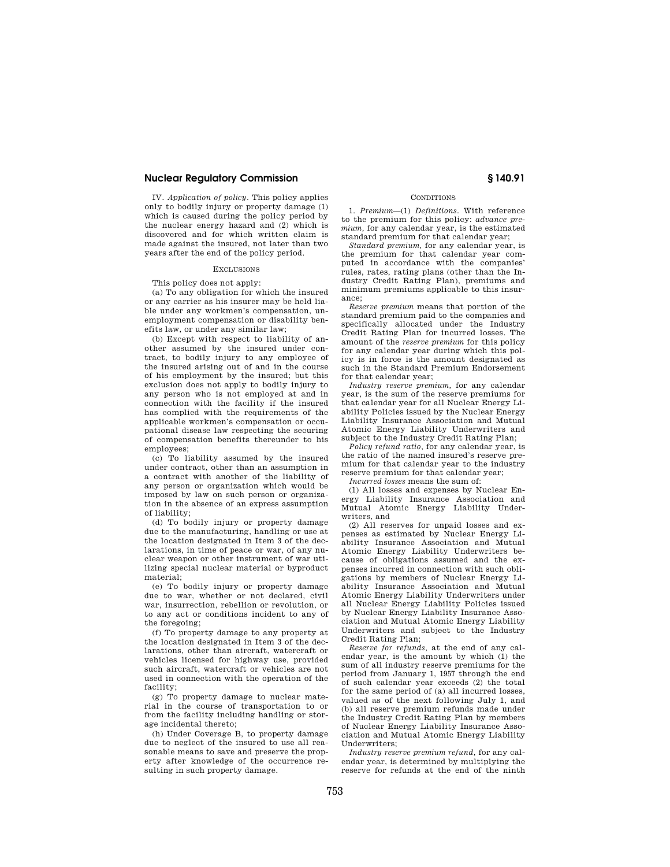IV. *Application of policy.* This policy applies only to bodily injury or property damage (1) which is caused during the policy period by the nuclear energy hazard and (2) which is discovered and for which written claim is made against the insured, not later than two years after the end of the policy period.

#### EXCLUSIONS

This policy does not apply:

(a) To any obligation for which the insured or any carrier as his insurer may be held liable under any workmen's compensation, unemployment compensation or disability benefits law, or under any similar law;

(b) Except with respect to liability of another assumed by the insured under contract, to bodily injury to any employee of the insured arising out of and in the course of his employment by the insured; but this exclusion does not apply to bodily injury to any person who is not employed at and in connection with the facility if the insured has complied with the requirements of the applicable workmen's compensation or occupational disease law respecting the securing of compensation benefits thereunder to his employees;

(c) To liability assumed by the insured under contract, other than an assumption in a contract with another of the liability of any person or organization which would be imposed by law on such person or organization in the absence of an express assumption of liability;

(d) To bodily injury or property damage due to the manufacturing, handling or use at the location designated in Item 3 of the declarations, in time of peace or war, of any nuclear weapon or other instrument of war utilizing special nuclear material or byproduct material;

(e) To bodily injury or property damage due to war, whether or not declared, civil war, insurrection, rebellion or revolution, or to any act or conditions incident to any of the foregoing;

(f) To property damage to any property at the location designated in Item 3 of the declarations, other than aircraft, watercraft or vehicles licensed for highway use, provided such aircraft, watercraft or vehicles are not used in connection with the operation of the facility;

(g) To property damage to nuclear material in the course of transportation to or from the facility including handling or storage incidental thereto;

(h) Under Coverage B, to property damage due to neglect of the insured to use all reasonable means to save and preserve the property after knowledge of the occurrence resulting in such property damage.

### **CONDITIONS**

1. *Premium*—(1) *Definitions.* With reference to the premium for this policy: *advance premium,* for any calendar year, is the estimated standard premium for that calendar year;

*Standard premium,* for any calendar year, is the premium for that calendar year computed in accordance with the companies' rules, rates, rating plans (other than the Industry Credit Rating Plan), premiums and minimum premiums applicable to this insurance;

*Reserve premium* means that portion of the standard premium paid to the companies and specifically allocated under the Industry Credit Rating Plan for incurred losses. The amount of the *reserve premium* for this policy for any calendar year during which this policy is in force is the amount designated as such in the Standard Premium Endorsement for that calendar year;

*Industry reserve premium,* for any calendar year, is the sum of the reserve premiums for that calendar year for all Nuclear Energy Liability Policies issued by the Nuclear Energy Liability Insurance Association and Mutual Atomic Energy Liability Underwriters and subject to the Industry Credit Rating Plan;

*Policy refund ratio,* for any calendar year, is the ratio of the named insured's reserve premium for that calendar year to the industry reserve premium for that calendar year;

*Incurred losses* means the sum of:

(1) All losses and expenses by Nuclear Energy Liability Insurance Association and Mutual Atomic Energy Liability Underwriters, and

(2) All reserves for unpaid losses and expenses as estimated by Nuclear Energy Liability Insurance Association and Mutual Atomic Energy Liability Underwriters because of obligations assumed and the expenses incurred in connection with such obligations by members of Nuclear Energy Liability Insurance Association and Mutual Atomic Energy Liability Underwriters under all Nuclear Energy Liability Policies issued by Nuclear Energy Liability Insurance Association and Mutual Atomic Energy Liability Underwriters and subject to the Industry Credit Rating Plan;

*Reserve for refunds,* at the end of any calendar year, is the amount by which (1) the sum of all industry reserve premiums for the period from January 1, 1957 through the end of such calendar year exceeds (2) the total for the same period of (a) all incurred losses, valued as of the next following July 1, and (b) all reserve premium refunds made under the Industry Credit Rating Plan by members of Nuclear Energy Liability Insurance Association and Mutual Atomic Energy Liability Underwriters;

*Industry reserve premium refund,* for any calendar year, is determined by multiplying the reserve for refunds at the end of the ninth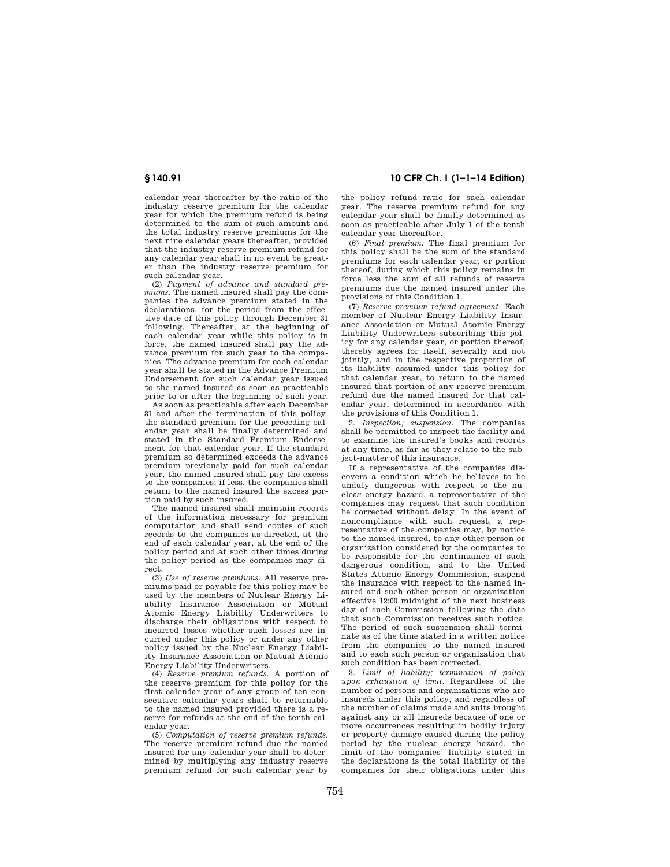calendar year thereafter by the ratio of the industry reserve premium for the calendar year for which the premium refund is being determined to the sum of such amount and the total industry reserve premiums for the next nine calendar years thereafter, provided that the industry reserve premium refund for any calendar year shall in no event be greater than the industry reserve premium for such calendar year.

(2) *Payment of advance and standard premiums.* The named insured shall pay the companies the advance premium stated in the declarations, for the period from the effective date of this policy through December 31 following. Thereafter, at the beginning of each calendar year while this policy is in force, the named insured shall pay the advance premium for such year to the companies. The advance premium for each calendar year shall be stated in the Advance Premium Endorsement for such calendar year issued to the named insured as soon as practicable prior to or after the beginning of such year.

As soon as practicable after each December 31 and after the termination of this policy, the standard premium for the preceding calendar year shall be finally determined and stated in the Standard Premium Endorsement for that calendar year. If the standard premium so determined exceeds the advance premium previously paid for such calendar year, the named insured shall pay the excess to the companies; if less, the companies shall return to the named insured the excess portion paid by such insured.

The named insured shall maintain records of the information necessary for premium computation and shall send copies of such records to the companies as directed, at the end of each calendar year, at the end of the policy period and at such other times during the policy period as the companies may direct.

(3) *Use of reserve premiums.* All reserve premiums paid or payable for this policy may be used by the members of Nuclear Energy Liability Insurance Association or Mutual Atomic Energy Liability Underwriters to discharge their obligations with respect to incurred losses whether such losses are incurred under this policy or under any other policy issued by the Nuclear Energy Liability Insurance Association or Mutual Atomic Energy Liability Underwriters.

(4) *Reserve premium refunds.* A portion of the reserve premium for this policy for the first calendar year of any group of ten consecutive calendar years shall be returnable to the named insured provided there is a reserve for refunds at the end of the tenth calendar year.

(5) *Computation of reserve premium refunds.*  The reserve premium refund due the named insured for any calendar year shall be determined by multiplying any industry reserve premium refund for such calendar year by

**§ 140.91 10 CFR Ch. I (1–1–14 Edition)** 

the policy refund ratio for such calendar year. The reserve premium refund for any calendar year shall be finally determined as soon as practicable after July 1 of the tenth calendar year thereafter.

(6) *Final premium.* The final premium for this policy shall be the sum of the standard premiums for each calendar year, or portion thereof, during which this policy remains in force less the sum of all refunds of reserve premiums due the named insured under the provisions of this Condition 1.

(7) *Reserve premium refund agreement.* Each member of Nuclear Energy Liability Insurance Association or Mutual Atomic Energy Liability Underwriters subscribing this policy for any calendar year, or portion thereof, thereby agrees for itself, severally and not jointly, and in the respective proportion of its liability assumed under this policy for that calendar year, to return to the named insured that portion of any reserve premium refund due the named insured for that calendar year, determined in accordance with the provisions of this Condition 1.

2. *Inspection; suspension.* The companies shall be permitted to inspect the facility and to examine the insured's books and records at any time, as far as they relate to the subject-matter of this insurance.

If a representative of the companies discovers a condition which he believes to be unduly dangerous with respect to the nuclear energy hazard, a representative of the companies may request that such condition be corrected without delay. In the event of noncompliance with such request, a representative of the companies may, by notice to the named insured, to any other person or organization considered by the companies to be responsible for the continuance of such dangerous condition, and to the United States Atomic Energy Commission, suspend the insurance with respect to the named insured and such other person or organization effective 12:00 midnight of the next business day of such Commission following the date that such Commission receives such notice. The period of such suspension shall terminate as of the time stated in a written notice from the companies to the named insured and to each such person or organization that such condition has been corrected.

3. *Limit of liability; termination of policy upon exhaustion of limit.* Regardless of the number of persons and organizations who are insureds under this policy, and regardless of the number of claims made and suits brought against any or all insureds because of one or more occurrences resulting in bodily injury or property damage caused during the policy period by the nuclear energy hazard, the limit of the companies' liability stated in the declarations is the total liability of the companies for their obligations under this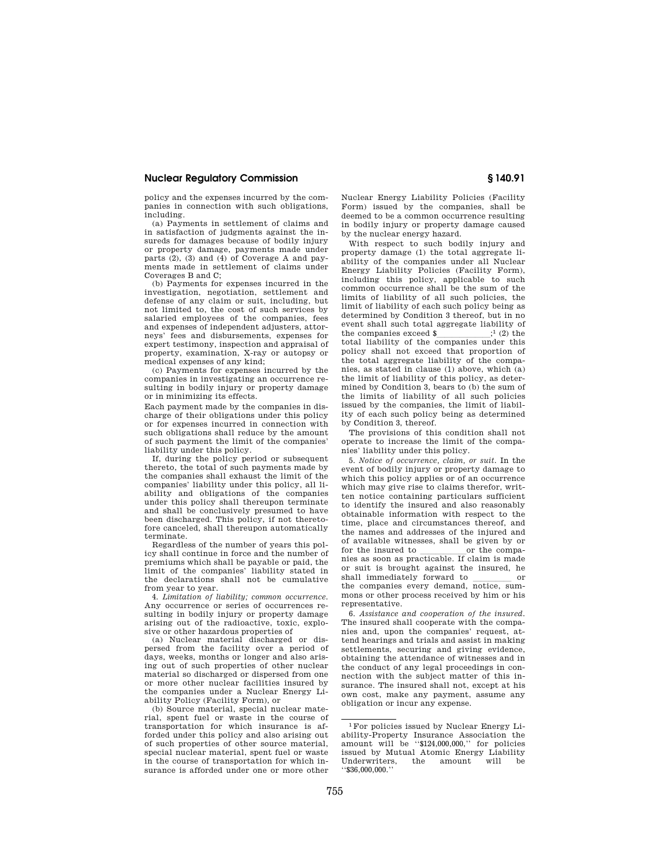policy and the expenses incurred by the companies in connection with such obligations, including.

(a) Payments in settlement of claims and in satisfaction of judgments against the insureds for damages because of bodily injury or property damage, payments made under parts (2), (3) and (4) of Coverage A and payments made in settlement of claims under Coverages B and C;

(b) Payments for expenses incurred in the investigation, negotiation, settlement and defense of any claim or suit, including, but not limited to, the cost of such services by salaried employees of the companies, fees and expenses of independent adjusters, attorneys' fees and disbursements, expenses for expert testimony, inspection and appraisal of property, examination, X-ray or autopsy or medical expenses of any kind;

(c) Payments for expenses incurred by the companies in investigating an occurrence resulting in bodily injury or property damage or in minimizing its effects.

Each payment made by the companies in discharge of their obligations under this policy or for expenses incurred in connection with such obligations shall reduce by the amount of such payment the limit of the companies' liability under this policy.

If, during the policy period or subsequent thereto, the total of such payments made by the companies shall exhaust the limit of the companies' liability under this policy, all liability and obligations of the companies under this policy shall thereupon terminate and shall be conclusively presumed to have been discharged. This policy, if not theretofore canceled, shall thereupon automatically terminate.

Regardless of the number of years this policy shall continue in force and the number of premiums which shall be payable or paid, the limit of the companies' liability stated in the declarations shall not be cumulative from year to year.

4. *Limitation of liability; common occurrence.*  Any occurrence or series of occurrences resulting in bodily injury or property damage arising out of the radioactive, toxic, explosive or other hazardous properties of

(a) Nuclear material discharged or dispersed from the facility over a period of days, weeks, months or longer and also arising out of such properties of other nuclear material so discharged or dispersed from one or more other nuclear facilities insured by the companies under a Nuclear Energy Liability Policy (Facility Form), or

(b) Source material, special nuclear material, spent fuel or waste in the course of transportation for which insurance is afforded under this policy and also arising out of such properties of other source material, special nuclear material, spent fuel or waste in the course of transportation for which insurance is afforded under one or more other

Nuclear Energy Liability Policies (Facility Form) issued by the companies, shall be deemed to be a common occurrence resulting in bodily injury or property damage caused by the nuclear energy hazard.

With respect to such bodily injury and property damage (1) the total aggregate liability of the companies under all Nuclear Energy Liability Policies (Facility Form), including this policy, applicable to such common occurrence shall be the sum of the limits of liability of all such policies, the limit of liability of each such policy being as determined by Condition 3 thereof, but in no event shall such total aggregate liability of<br>the companies exceed  $\frac{1}{2}$  (2) the the companies exceed  $\sum_{i=1}^{\infty}$  (2) the total liability of the companies under this policy shall not exceed that proportion of the total aggregate liability of the companies, as stated in clause (1) above, which (a) the limit of liability of this policy, as determined by Condition 3, bears to (b) the sum of the limits of liability of all such policies issued by the companies, the limit of liability of each such policy being as determined by Condition 3, thereof.

The provisions of this condition shall not operate to increase the limit of the companies' liability under this policy.

5. *Notice of occurrence, claim, or suit.* In the event of bodily injury or property damage to which this policy applies or of an occurrence which may give rise to claims therefor, written notice containing particulars sufficient to identify the insured and also reasonably obtainable information with respect to the time, place and circumstances thereof, and the names and addresses of the injured and of available witnesses, shall be given by or for the insured to llllllor the compa-nies as soon as practicable. If claim is made or suit is brought against the insured, he shall immediately forward to ware or the companies every demand, notice, summons or other process received by him or his representative.

6. *Assistance and cooperation of the insured.*  The insured shall cooperate with the companies and, upon the companies' request, attend hearings and trials and assist in making settlements, securing and giving evidence, obtaining the attendance of witnesses and in the conduct of any legal proceedings in connection with the subject matter of this insurance. The insured shall not, except at his own cost, make any payment, assume any obligation or incur any expense.

<sup>1</sup>For policies issued by Nuclear Energy Liability-Property Insurance Association the amount will be ''\$124,000,000,'' for policies issued by Mutual Atomic Energy Liability Underwriters, the amount will be ''\$36,000,000.''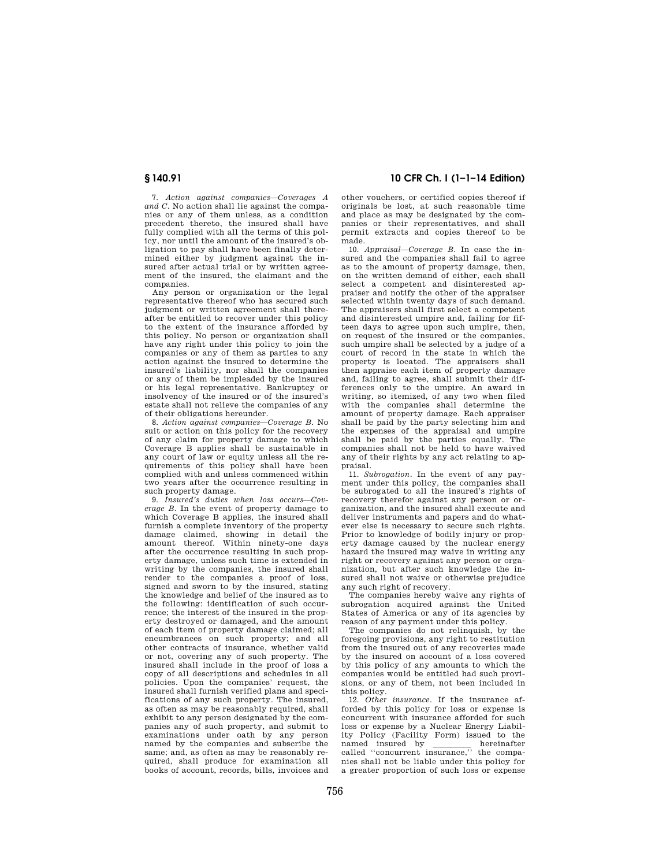7. *Action against companies—Coverages A and C.* No action shall lie against the companies or any of them unless, as a condition precedent thereto, the insured shall have fully complied with all the terms of this policy, nor until the amount of the insured's obligation to pay shall have been finally determined either by judgment against the insured after actual trial or by written agreement of the insured, the claimant and the companies.

Any person or organization or the legal representative thereof who has secured such judgment or written agreement shall thereafter be entitled to recover under this policy to the extent of the insurance afforded by this policy. No person or organization shall have any right under this policy to join the companies or any of them as parties to any action against the insured to determine the insured's liability, nor shall the companies or any of them be impleaded by the insured or his legal representative. Bankruptcy or insolvency of the insured or of the insured's estate shall not relieve the companies of any of their obligations hereunder.

8. *Action against companies—Coverage B.* No suit or action on this policy for the recovery of any claim for property damage to which Coverage B applies shall be sustainable in any court of law or equity unless all the requirements of this policy shall have been complied with and unless commenced within two years after the occurrence resulting in such property damage.

9. *Insured's duties when loss occurs—Coverage B.* In the event of property damage to which Coverage B applies, the insured shall furnish a complete inventory of the property damage claimed, showing in detail the amount thereof. Within ninety-one days after the occurrence resulting in such property damage, unless such time is extended in writing by the companies, the insured shall render to the companies a proof of loss, signed and sworn to by the insured, stating the knowledge and belief of the insured as to the following: identification of such occurrence; the interest of the insured in the property destroyed or damaged, and the amount of each item of property damage claimed; all encumbrances on such property; and all other contracts of insurance, whether valid or not, covering any of such property. The insured shall include in the proof of loss a copy of all descriptions and schedules in all policies. Upon the companies' request, the insured shall furnish verified plans and specifications of any such property. The insured, as often as may be reasonably required, shall exhibit to any person designated by the companies any of such property, and submit to examinations under oath by any person named by the companies and subscribe the same; and, as often as may be reasonably required, shall produce for examination all books of account, records, bills, invoices and

## **§ 140.91 10 CFR Ch. I (1–1–14 Edition)**

other vouchers, or certified copies thereof if originals be lost, at such reasonable time and place as may be designated by the companies or their representatives, and shall permit extracts and copies thereof to be made.

10. *Appraisal—Coverage B.* In case the insured and the companies shall fail to agree as to the amount of property damage, then, on the written demand of either, each shall select a competent and disinterested appraiser and notify the other of the appraiser selected within twenty days of such demand. The appraisers shall first select a competent and disinterested umpire and, failing for fifteen days to agree upon such umpire, then, on request of the insured or the companies, such umpire shall be selected by a judge of a court of record in the state in which the property is located. The appraisers shall then appraise each item of property damage and, failing to agree, shall submit their differences only to the umpire. An award in writing, so itemized, of any two when filed with the companies shall determine the amount of property damage. Each appraiser shall be paid by the party selecting him and the expenses of the appraisal and umpire shall be paid by the parties equally. The companies shall not be held to have waived any of their rights by any act relating to appraisal.

11. *Subrogation.* In the event of any payment under this policy, the companies shall be subrogated to all the insured's rights of recovery therefor against any person or organization, and the insured shall execute and deliver instruments and papers and do whatever else is necessary to secure such rights. Prior to knowledge of bodily injury or property damage caused by the nuclear energy hazard the insured may waive in writing any right or recovery against any person or organization, but after such knowledge the insured shall not waive or otherwise prejudice any such right of recovery.

The companies hereby waive any rights of subrogation acquired against the United States of America or any of its agencies by reason of any payment under this policy.

The companies do not relinquish, by the foregoing provisions, any right to restitution from the insured out of any recoveries made by the insured on account of a loss covered by this policy of any amounts to which the companies would be entitled had such provisions, or any of them, not been included in this policy.

12. *Other insurance.* If the insurance afforded by this policy for loss or expense is concurrent with insurance afforded for such loss or expense by a Nuclear Energy Liability Policy (Facility Form) issued to the named insured by hereinafter<br>called "concurrent insurance," the companies shall not be liable under this policy for a greater proportion of such loss or expense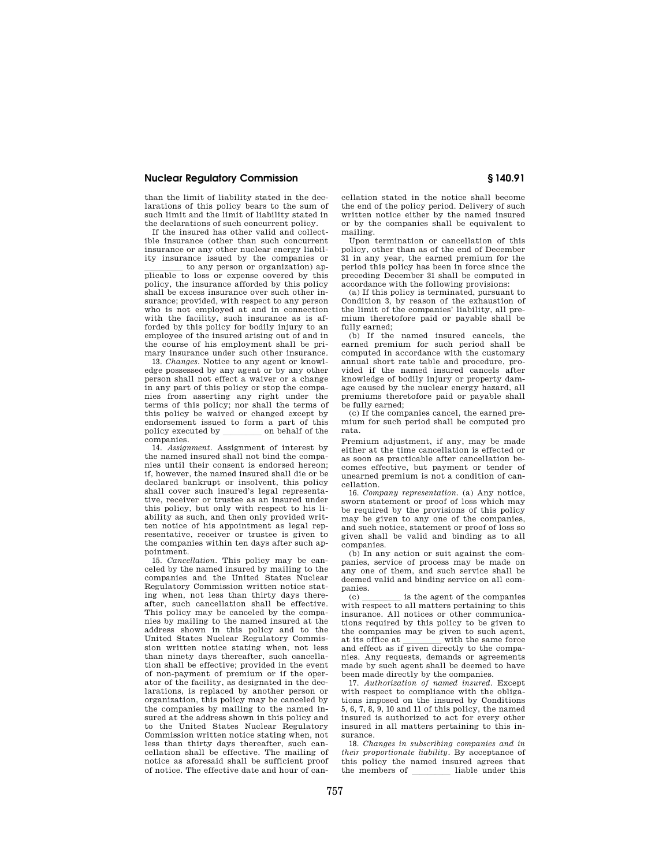than the limit of liability stated in the declarations of this policy bears to the sum of such limit and the limit of liability stated in the declarations of such concurrent policy.

If the insured has other valid and collectible insurance (other than such concurrent insurance or any other nuclear energy liability insurance issued by the companies or

to any person or organization) applicable to loss or expense covered by this policy, the insurance afforded by this policy shall be excess insurance over such other insurance; provided, with respect to any person who is not employed at and in connection with the facility, such insurance as is afforded by this policy for bodily injury to an employee of the insured arising out of and in the course of his employment shall be primary insurance under such other insurance.

13. *Changes.* Notice to any agent or knowledge possessed by any agent or by any other person shall not effect a waiver or a change in any part of this policy or stop the companies from asserting any right under the terms of this policy; nor shall the terms of this policy be waived or changed except by endorsement issued to form a part of this policy executed by companies.

14. *Assignment.* Assignment of interest by the named insured shall not bind the companies until their consent is endorsed hereon; if, however, the named insured shall die or be declared bankrupt or insolvent, this policy shall cover such insured's legal representative, receiver or trustee as an insured under this policy, but only with respect to his liability as such, and then only provided written notice of his appointment as legal representative, receiver or trustee is given to the companies within ten days after such appointment.

15. *Cancellation.* This policy may be canceled by the named insured by mailing to the companies and the United States Nuclear Regulatory Commission written notice stating when, not less than thirty days thereafter, such cancellation shall be effective. This policy may be canceled by the companies by mailing to the named insured at the address shown in this policy and to the United States Nuclear Regulatory Commission written notice stating when, not less than ninety days thereafter, such cancellation shall be effective; provided in the event of non-payment of premium or if the operator of the facility, as designated in the declarations, is replaced by another person or organization, this policy may be canceled by the companies by mailing to the named insured at the address shown in this policy and to the United States Nuclear Regulatory Commission written notice stating when, not less than thirty days thereafter, such cancellation shall be effective. The mailing of notice as aforesaid shall be sufficient proof of notice. The effective date and hour of cancellation stated in the notice shall become the end of the policy period. Delivery of such written notice either by the named insured or by the companies shall be equivalent to mailing.

Upon termination or cancellation of this policy, other than as of the end of December 31 in any year, the earned premium for the period this policy has been in force since the preceding December 31 shall be computed in accordance with the following provisions:

(a) If this policy is terminated, pursuant to Condition 3, by reason of the exhaustion of the limit of the companies' liability, all premium theretofore paid or payable shall be fully earned;

(b) If the named insured cancels, the earned premium for such period shall be computed in accordance with the customary annual short rate table and procedure, provided if the named insured cancels after knowledge of bodily injury or property damage caused by the nuclear energy hazard, all premiums theretofore paid or payable shall be fully earned;

(c) If the companies cancel, the earned premium for such period shall be computed pro rata.

Premium adjustment, if any, may be made either at the time cancellation is effected or as soon as practicable after cancellation becomes effective, but payment or tender of unearned premium is not a condition of cancellation.

16. *Company representation.* (a) Any notice, sworn statement or proof of loss which may be required by the provisions of this policy may be given to any one of the companies, and such notice, statement or proof of loss so given shall be valid and binding as to all companies.

(b) In any action or suit against the companies, service of process may be made on any one of them, and such service shall be deemed valid and binding service on all companies.

 $(c)$  less use is the agent of the companies with respect to all matters pertaining to this insurance. All notices or other communications required by this policy to be given to the companies may be given to such agent, at its office at \_\_\_\_\_\_with the same force<br>and effect as if given directly to the companies. Any requests, demands or agreements made by such agent shall be deemed to have been made directly by the companies.

17. *Authorization of named insured.* Except with respect to compliance with the obligations imposed on the insured by Conditions 5, 6, 7, 8, 9, 10 and 11 of this policy, the named insured is authorized to act for every other insured in all matters pertaining to this insurance.

18. *Changes in subscribing companies and in their proportionate liability.* By acceptance of this policy the named insured agrees that the members of liable under this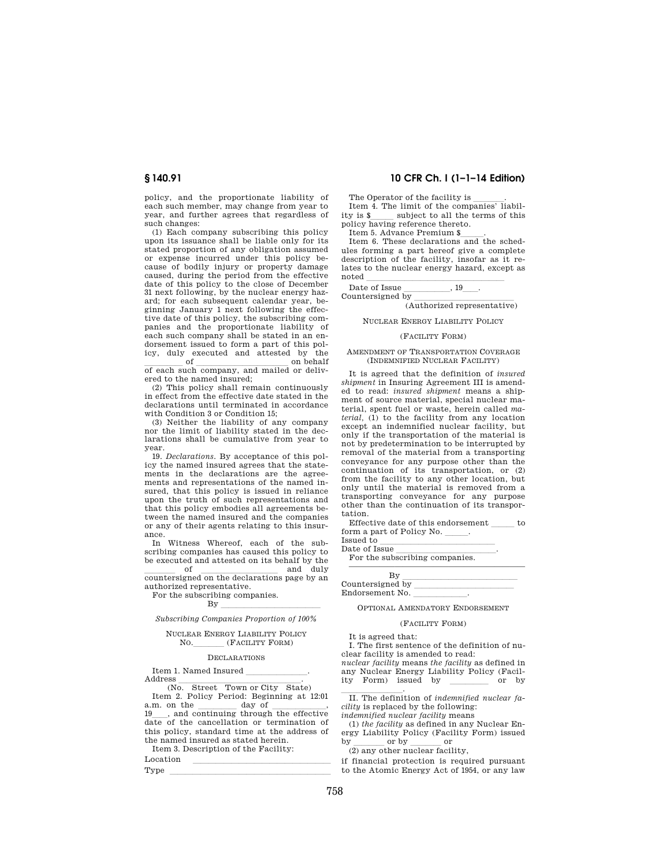policy, and the proportionate liability of each such member, may change from year to year, and further agrees that regardless of such changes:

(1) Each company subscribing this policy upon its issuance shall be liable only for its stated proportion of any obligation assumed or expense incurred under this policy because of bodily injury or property damage caused, during the period from the effective date of this policy to the close of December 31 next following, by the nuclear energy hazard; for each subsequent calendar year, beginning January 1 next following the effective date of this policy, the subscribing companies and the proportionate liability of each such company shall be stated in an endorsement issued to form a part of this policy, duly executed and attested by the of  $\frac{\text{of}}{\text{of each such company, and mailed or delivery}}$ 

ered to the named insured;

(2) This policy shall remain continuously in effect from the effective date stated in the declarations until terminated in accordance with Condition 3 or Condition 15;

(3) Neither the liability of any company nor the limit of liability stated in the declarations shall be cumulative from year to year.

19. *Declarations.* By acceptance of this policy the named insured agrees that the statements in the declarations are the agreements and representations of the named insured, that this policy is issued in reliance upon the truth of such representations and that this policy embodies all agreements between the named insured and the companies or any of their agents relating to this insurance.

In Witness Whereof, each of the subscribing companies has caused this policy to be executed and attested on its behalf by the<br>of  $\frac{1}{\sqrt{1-\frac{1}{n}}}$ 

of countersigned on the declarations page by an authorized representative.

For the subscribing companies.

 $\n By \n  $\n \overline{\n \qquad \qquad \qquad }$$ *Subscribing Companies Proportion of 100%* 

#### NUCLEAR ENERGY LIABILITY POLICY NO. (FACILITY FORM)

#### DECLARATIONS

Item 1. Named Insured<br>Address

Address (No. Street Town or City State) Item 2. Policy Period: Beginning at 12:01<br>a.m. on the day of  $\qquad$ ,  $19$ , and continuing through the effective <sup>19</sup>ll, and continuing through the effective date of the cancellation or termination of this policy, standard time at the address of the named insured as stated herein.

Item 3. Description of the Facility:

 $\begin{array}{lcl} \text{Location} \\ \text{Tvve} \end{array}$ Type <u>lates and the set of the set of the set of the set of the set of the set of the set of the set of the set of the set of the set of the set of the set of the set of the set of the set of the set of the set of the set </u>

## **§ 140.91 10 CFR Ch. I (1–1–14 Edition)**

The Operator of the facility is \_\_\_\_\_\_.<br>Item 4. The limit of the companies' liability is \$<br>
policy having reference thereto.

Item 5. Advance Premium \$\_\_\_\_\_.<br>Item 6. These declarations and the schedules forming a part hereof give a complete description of the facility, insofar as it relates to the nuclear energy hazard, except as  $R_{\text{total}}$ 

Date of Issue llllll, 19ll.  $\frac{1}{\text{Countersigned by}}$  (Authorized representative)

NUCLEAR ENERGY LIABILITY POLICY

### (FACILITY FORM)

#### AMENDMENT OF TRANSPORTATION COVERAGE (INDEMNIFIED NUCLEAR FACILITY)

It is agreed that the definition of *insured shipment* in Insuring Agreement III is amended to read: *insured shipment* means a shipment of source material, special nuclear material, spent fuel or waste, herein called *material,* (1) to the facility from any location except an indemnified nuclear facility, but only if the transportation of the material is not by predetermination to be interrupted by removal of the material from a transporting conveyance for any purpose other than the continuation of its transportation, or (2) from the facility to any other location, but only until the material is removed from a transporting conveyance for any purpose other than the continuation of its transportation.

Effective date of this endorsement form a part of Policy No.

Issued to

| Date of Issue                  |  |
|--------------------------------|--|
| For the subscribing companies. |  |
|                                |  |

OPTIONAL AMENDATORY ENDORSEMENT

## (FACILITY FORM)

It is agreed that:

I. The first sentence of the definition of nuclear facility is amended to read: *nuclear facility* means *the facility* as defined in

any Nuclear Energy Liability Policy (Facility Form) issued by \_\_\_\_\_\_\_\_ or by

II. The definition of *indemnified nuclear facility* is replaced by the following:

*indemnified nuclear facility* means

(1) *the facility* as defined in any Nuclear Energy Liability Policy (Facility Form) issued by  $\frac{1}{2}$  or by  $\frac{1}{2}$  or  $\frac{1}{2}$  or  $\frac{1}{2}$ 

if financial protection is required pursuant to the Atomic Energy Act of 1954, or any law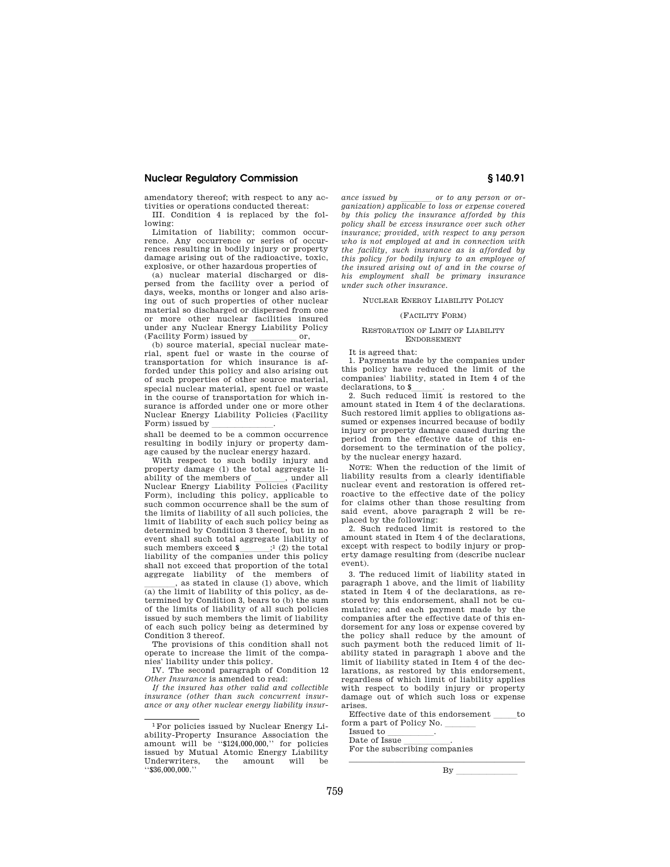amendatory thereof; with respect to any activities or operations conducted thereat:

III. Condition 4 is replaced by the following:

Limitation of liability; common occurrence. Any occurrence or series of occurrences resulting in bodily injury or property damage arising out of the radioactive, toxic, explosive, or other hazardous properties of

(a) nuclear material discharged or dispersed from the facility over a period of days, weeks, months or longer and also arising out of such properties of other nuclear material so discharged or dispersed from one or more other nuclear facilities insured under any Nuclear Energy Liability Policy

 $(Facility Form)$  issued by  $or,$ <br>(b) source material, special nuclear material, spent fuel or waste in the course of transportation for which insurance is afforded under this policy and also arising out of such properties of other source material, special nuclear material, spent fuel or waste in the course of transportation for which insurance is afforded under one or more other Nuclear Energy Liability Policies (Facility

Form) issued by \_\_\_\_\_\_\_\_\_\_\_\_\_.<br>shall be deemed to be a common occurrence resulting in bodily injury or property damage caused by the nuclear energy hazard.

With respect to such bodily injury and property damage (1) the total aggregate liability of the members of \_\_\_\_\_, under all<br>Nuclear Energy Liability Policies (Facility Form), including this policy, applicable to such common occurrence shall be the sum of the limits of liability of all such policies, the limit of liability of each such policy being as determined by Condition 3 thereof, but in no event shall such total aggregate liability of such members exceed  $\sum_{i=1}^{3} (2)$  the total liability of the companies under this policy shall not exceed that proportion of the total aggregate liability of the members of

 $\frac{1}{2}$ , as stated in clause (1) above, which  $\frac{1}{2}$  as the limit of liability of this policy, as determined by Condition 3, bears to (b) the sum of the limits of liability of all such policies issued by such members the limit of liability of each such policy being as determined by Condition 3 thereof.

The provisions of this condition shall not operate to increase the limit of the companies' liability under this policy.

IV. The second paragraph of Condition 12 *Other Insurance* is amended to read:

*If the insured has other valid and collectible insurance (other than such concurrent insurance or any other nuclear energy liability insur-*

*ance issued by \_\_\_\_\_\_\_ or to any person or or-*<br>ganization) applicable to loss or expense covered *by this policy the insurance afforded by this policy shall be excess insurance over such other insurance; provided, with respect to any person who is not employed at and in connection with the facility, such insurance as is afforded by this policy for bodily injury to an employee of the insured arising out of and in the course of his employment shall be primary insurance under such other insurance.* 

## NUCLEAR ENERGY LIABILITY POLICY

### (FACILITY FORM)

#### RESTORATION OF LIMIT OF LIABILITY ENDORSEMENT

It is agreed that:

1. Payments made by the companies under this policy have reduced the limit of the companies' liability, stated in Item 4 of the

declarations, to \$\_\_\_\_\_\_\_.<br>2. Such reduced limit is restored to the amount stated in Item 4 of the declarations. Such restored limit applies to obligations assumed or expenses incurred because of bodily injury or property damage caused during the period from the effective date of this endorsement to the termination of the policy, by the nuclear energy hazard.

NOTE: When the reduction of the limit of liability results from a clearly identifiable nuclear event and restoration is offered retroactive to the effective date of the policy for claims other than those resulting from said event, above paragraph 2 will be replaced by the following:

2. Such reduced limit is restored to the amount stated in Item 4 of the declarations, except with respect to bodily injury or property damage resulting from (describe nuclear event).

3. The reduced limit of liability stated in paragraph 1 above, and the limit of liability stated in Item 4 of the declarations, as restored by this endorsement, shall not be cumulative; and each payment made by the companies after the effective date of this endorsement for any loss or expense covered by the policy shall reduce by the amount of such payment both the reduced limit of liability stated in paragraph 1 above and the limit of liability stated in Item 4 of the declarations, as restored by this endorsement, regardless of which limit of liability applies with respect to bodily injury or property damage out of which such loss or expense arises.

Effective date of this endorsement form a part of Policy No.  $\frac{1}{2}$ 

———————————————————————

Date of Issue

Date of Issue<br>For the subscribing companies

 $By$ <sub>—</sub>

<sup>1</sup>For policies issued by Nuclear Energy Liability-Property Insurance Association the amount will be ''\$124,000,000,'' for policies issued by Mutual Atomic Energy Liability Underwriters, the amount will be ''\$36,000,000.''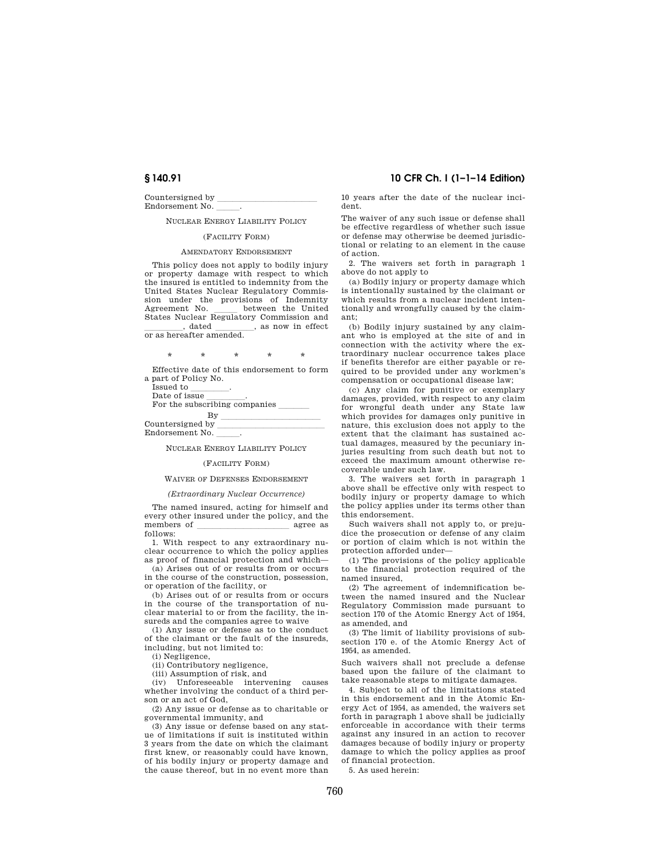Countersigned by Endorsement No.

## NUCLEAR ENERGY LIABILITY POLICY

#### (FACILITY FORM)

### AMENDATORY ENDORSEMENT

This policy does not apply to bodily injury or property damage with respect to which the insured is entitled to indemnity from the United States Nuclear Regulatory Commission under the provisions of Indemnity Agreement No. \_\_\_\_\_ between the United<br>States Nuclear Regulatory Commission and  $\frac{1}{\text{or as hereafter amended.}}$ , as now in effect

\* \* \* \* \* Effective date of this endorsement to form

a part of Policy No. Date of issue Date of issue lllll. For the subscribing companies llll  $\frac{By}{by}$ 

Countersigned by Endorsement No.

NUCLEAR ENERGY LIABILITY POLICY

#### (FACILITY FORM)

#### WAIVER OF DEFENSES ENDORSEMENT

#### *(Extraordinary Nuclear Occurrence)*

The named insured, acting for himself and every other insured under the policy, and the members of llllllllllll agree as follows:

1. With respect to any extraordinary nuclear occurrence to which the policy applies as proof of financial protection and which—

(a) Arises out of or results from or occurs in the course of the construction, possession, or operation of the facility, or

(b) Arises out of or results from or occurs in the course of the transportation of nuclear material to or from the facility, the insureds and the companies agree to waive

(1) Any issue or defense as to the conduct of the claimant or the fault of the insureds, including, but not limited to:

(i) Negligence,

(ii) Contributory negligence,

(iii) Assumption of risk, and

(iv) Unforeseeable intervening causes whether involving the conduct of a third person or an act of God,

(2) Any issue or defense as to charitable or governmental immunity, and

(3) Any issue or defense based on any statue of limitations if suit is instituted within 3 years from the date on which the claimant first knew, or reasonably could have known, of his bodily injury or property damage and the cause thereof, but in no event more than

## **§ 140.91 10 CFR Ch. I (1–1–14 Edition)**

10 years after the date of the nuclear incident.

The waiver of any such issue or defense shall be effective regardless of whether such issue or defense may otherwise be deemed jurisdictional or relating to an element in the cause of action.

2. The waivers set forth in paragraph 1 above do not apply to

(a) Bodily injury or property damage which is intentionally sustained by the claimant or which results from a nuclear incident intentionally and wrongfully caused by the claimant;

(b) Bodily injury sustained by any claimant who is employed at the site of and in connection with the activity where the extraordinary nuclear occurrence takes place if benefits therefor are either payable or required to be provided under any workmen's compensation or occupational disease law;

(c) Any claim for punitive or exemplary damages, provided, with respect to any claim for wrongful death under any State law which provides for damages only punitive in nature, this exclusion does not apply to the extent that the claimant has sustained actual damages, measured by the pecuniary injuries resulting from such death but not to exceed the maximum amount otherwise recoverable under such law.

3. The waivers set forth in paragraph 1 above shall be effective only with respect to bodily injury or property damage to which the policy applies under its terms other than this endorsement.

Such waivers shall not apply to, or prejudice the prosecution or defense of any claim or portion of claim which is not within the protection afforded under—

(1) The provisions of the policy applicable to the financial protection required of the named insured,

(2) The agreement of indemnification between the named insured and the Nuclear Regulatory Commission made pursuant to section 170 of the Atomic Energy Act of 1954, as amended, and

(3) The limit of liability provisions of subsection 170 e. of the Atomic Energy Act of 1954, as amended.

Such waivers shall not preclude a defense based upon the failure of the claimant to take reasonable steps to mitigate damages.

4. Subject to all of the limitations stated in this endorsement and in the Atomic Energy Act of 1954, as amended, the waivers set forth in paragraph 1 above shall be judicially enforceable in accordance with their terms against any insured in an action to recover damages because of bodily injury or property damage to which the policy applies as proof of financial protection.

5. As used herein: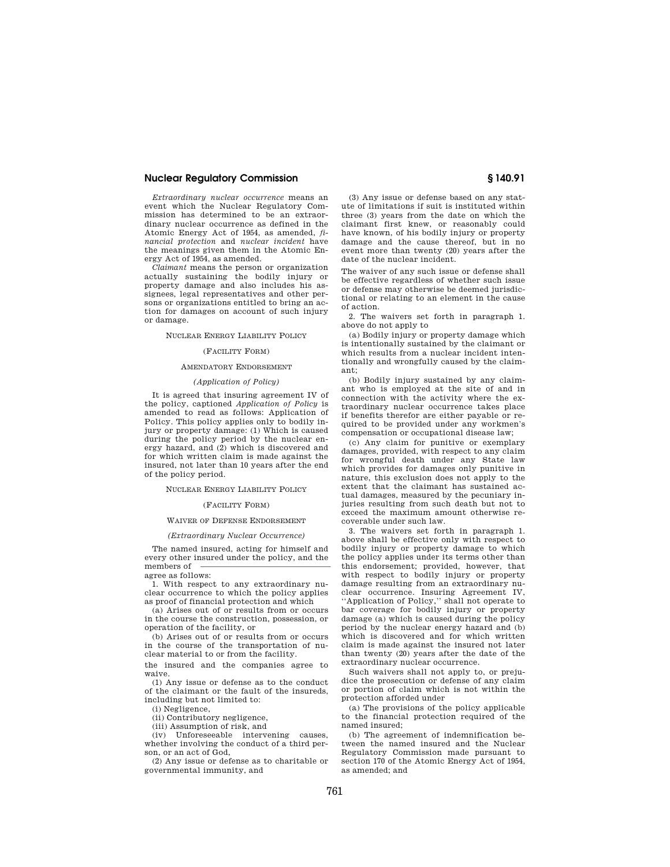*Extraordinary nuclear occurrence* means an event which the Nuclear Regulatory Commission has determined to be an extraordinary nuclear occurrence as defined in the Atomic Energy Act of 1954, as amended, *financial protection* and *nuclear incident* have the meanings given them in the Atomic Energy Act of 1954, as amended.

*Claimant* means the person or organization actually sustaining the bodily injury or property damage and also includes his assignees, legal representatives and other persons or organizations entitled to bring an action for damages on account of such injury or damage.

### NUCLEAR ENERGY LIABILITY POLICY

#### (FACILITY FORM)

## AMENDATORY ENDORSEMENT

#### *(Application of Policy)*

It is agreed that insuring agreement IV of the policy, captioned *Application of Policy* is amended to read as follows: Application of Policy. This policy applies only to bodily injury or property damage: (1) Which is caused during the policy period by the nuclear energy hazard, and (2) which is discovered and for which written claim is made against the insured, not later than 10 years after the end of the policy period.

#### NUCLEAR ENERGY LIABILITY POLICY

#### (FACILITY FORM)

#### WAIVER OF DEFENSE ENDORSEMENT

#### *(Extraordinary Nuclear Occurrence)*

The named insured, acting for himself and every other insured under the policy, and the members of agree as follows:

1. With respect to any extraordinary nuclear occurrence to which the policy applies as proof of financial protection and which

(a) Arises out of or results from or occurs in the course the construction, possession, or operation of the facility, or

(b) Arises out of or results from or occurs in the course of the transportation of nuclear material to or from the facility.

the insured and the companies agree to waive.

(1) Any issue or defense as to the conduct of the claimant or the fault of the insureds, including but not limited to:

(i) Negligence,

(ii) Contributory negligence,

(iii) Assumption of risk, and

(iv) Unforeseeable intervening causes, whether involving the conduct of a third person, or an act of God,

(2) Any issue or defense as to charitable or governmental immunity, and

(3) Any issue or defense based on any statute of limitations if suit is instituted within three (3) years from the date on which the claimant first knew, or reasonably could have known, of his bodily injury or property damage and the cause thereof, but in no event more than twenty (20) years after the date of the nuclear incident.

The waiver of any such issue or defense shall be effective regardless of whether such issue or defense may otherwise be deemed jurisdictional or relating to an element in the cause of action.

2. The waivers set forth in paragraph 1. above do not apply to

(a) Bodily injury or property damage which is intentionally sustained by the claimant or which results from a nuclear incident intentionally and wrongfully caused by the claimant;

(b) Bodily injury sustained by any claimant who is employed at the site of and in connection with the activity where the extraordinary nuclear occurrence takes place if benefits therefor are either payable or required to be provided under any workmen's compensation or occupational disease law;

(c) Any claim for punitive or exemplary damages, provided, with respect to any claim for wrongful death under any State law which provides for damages only punitive in nature, this exclusion does not apply to the extent that the claimant has sustained actual damages, measured by the pecuniary injuries resulting from such death but not to exceed the maximum amount otherwise recoverable under such law.

3. The waivers set forth in paragraph 1. above shall be effective only with respect to bodily injury or property damage to which the policy applies under its terms other than this endorsement; provided, however, that with respect to bodily injury or property damage resulting from an extraordinary nuclear occurrence. Insuring Agreement IV, ''Application of Policy,'' shall not operate to bar coverage for bodily injury or property damage (a) which is caused during the policy period by the nuclear energy hazard and (b) which is discovered and for which written claim is made against the insured not later than twenty  $(20)$  years after the date of the extraordinary nuclear occurrence.

Such waivers shall not apply to, or prejudice the prosecution or defense of any claim or portion of claim which is not within the protection afforded under

(a) The provisions of the policy applicable to the financial protection required of the named insured;

(b) The agreement of indemnification between the named insured and the Nuclear Regulatory Commission made pursuant to section 170 of the Atomic Energy Act of 1954, as amended; and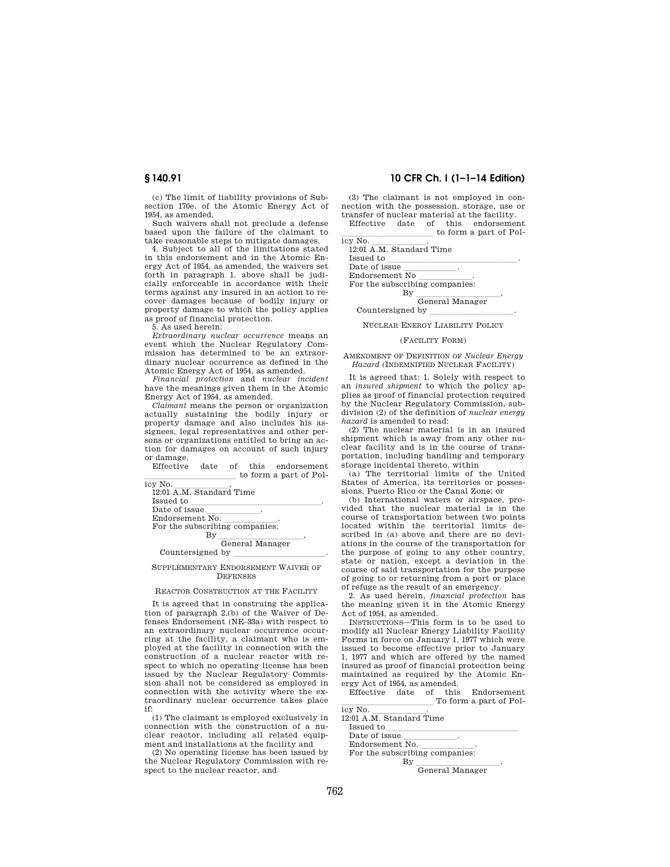(c) The limit of liability provisions of Subsection 170e. of the Atomic Energy Act of 1954, as amended.

Such waivers shall not preclude a defense based upon the failure of the claimant to take reasonable steps to mitigate damages.

4. Subject to all of the limitations stated in this endorsement and in the Atomic Energy Act of 1954, as amended, the waivers set forth in paragraph 1. above shall be judicially enforceable in accordance with their terms against any insured in an action to recover damages because of bodily injury or property damage to which the policy applies as proof of financial protection.

5. As used herein:

*Extraordinary nuclear occurrence* means an event which the Nuclear Regulatory Commission has determined to be an extraordinary nuclear occurrence as defined in the Atomic Energy Act of 1954, as amended.

*Financial protection* and *nuclear incident*  have the meanings given them in the Atomic Energy Act of 1954, as amended.

*Claimant* means the person or organization actually sustaining the bodily injury or property damage and also includes his assignees, legal representatives and other persons or organizations entitled to bring an action for damages on account of such injury or damage.

Effective date of this endorsement to form a part of Pol-

| icy No.                           |
|-----------------------------------|
| 12:01 A.M. Standard Time          |
| Issued to                         |
| Date of issue                     |
| Endorsement No.                   |
| For the subscribing companies:    |
| Βv                                |
| General Manager                   |
| Countersigned by                  |
| PPLEMENTARY ENDORSEMENT WAIVER OF |

# **DEFENSES**

## REACTOR CONSTRUCTION AT THE FACILITY

It is agreed that in construing the application of paragraph 2.(b) of the Waiver of Defenses Endorsement (NE–33a) with respect to an extraordinary nuclear occurrence occurring at the facility, a claimant who is employed at the facility in connection with the construction of a nuclear reactor with respect to which no operating license has been issued by the Nuclear Regulatory Commission shall not be considered as employed in connection with the activity where the extraordinary nuclear occurrence takes place if:

(1) The claimant is employed exclusively in connection with the construction of a nuclear reactor, including all related equipment and installations at the facility and

(2) No operating license has been issued by the Nuclear Regulatory Commission with respect to the nuclear reactor, and

## **§ 140.91 10 CFR Ch. I (1–1–14 Edition)**

(3) The claimant is not employed in connection with the possession, storage, use or transfer of nuclear material at the facility. Effective date of this endorsement

 $\frac{1}{\text{lev No.}}$  to form a part of Pol-

icy No.<br>12:01 A.M. Standard Time

Issued to <u>lead</u><br>Date of issue

Endorsement  $\overline{\mathrm{No}}$ 

Endorsement No<br>For the subscribing companies:

By  $\frac{1}{\text{General Manager}}$ 

Countersigned by

NUCLEAR ENERGY LIABILITY POLICY

#### (FACILITY FORM)

AMENDMENT OF DEFINITION OF *Nuclear Energy Hazard* (INDEMNIFIED NUCLEAR FACILITY)

It is agreed that: 1. Solely with respect to an *insured shipment* to which the policy applies as proof of financial protection required by the Nuclear Regulatory Commission, subdivision (2) of the definition of *nuclear energy hazard* is amended to read:

(2) The nuclear material is in an insured shipment which is away from any other nuclear facility and is in the course of transportation, including handling and temporary storage incidental thereto, within

(a) The territorial limits of the United States of America, its territories or possessions, Puerto Rico or the Canal Zone; or

(b) International waters or airspace, provided that the nuclear material is in the course of transportation between two points located within the territorial limits described in (a) above and there are no deviations in the course of the transportation for the purpose of going to any other country, state or nation, except a deviation in the course of said transportation for the purpose of going to or returning from a port or place of refuge as the result of an emergency.

2. As used herein, *financial protection* has the meaning given it in the Atomic Energy Act of 1954, as amended.

INSTRUCTIONS—This form is to be used to modify all Nuclear Energy Liability Facility Forms in force on January 1, 1977 which were issued to become effective prior to January 1, 1977 and which are offered by the named insured as proof of financial protection being maintained as required by the Atomic Energy Act of 1954, as amended.

Effective date of this Endorsement To form a part of Policy No.

icy No.<br>12:01 A.M. Standard Time Issued to  $\frac{1}{\text{Date of issue}}$ 

Endorsement No. Endorsement No.<br>For the subscribing companies:

By  $\frac{1}{\text{General Manager}}$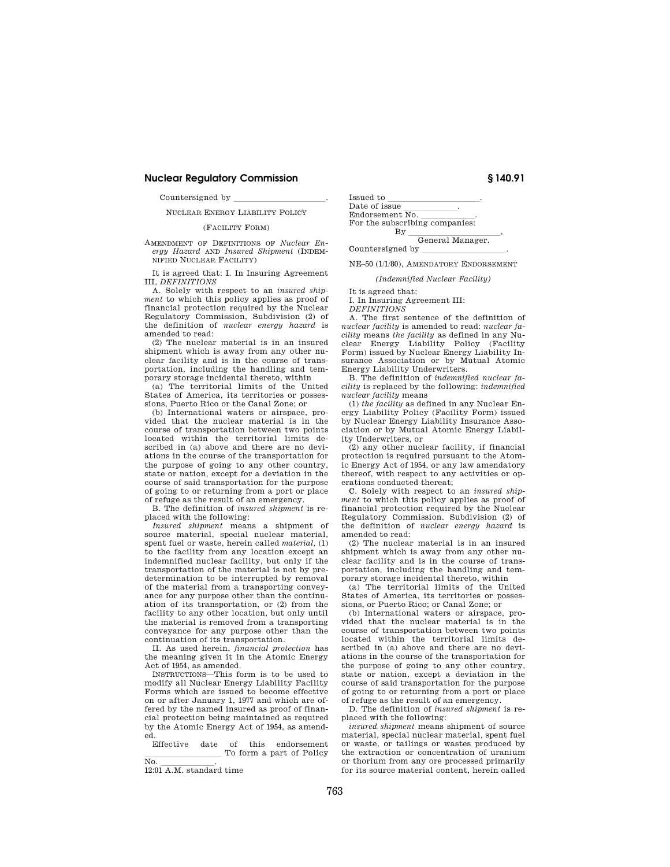Countersigned by

NUCLEAR ENERGY LIABILITY POLICY

### (FACILITY FORM)

AMENDMENT OF DEFINITIONS OF *Nuclear Energy Hazard* AND *Insured Shipment* (INDEM-NIFIED NUCLEAR FACILITY)

It is agreed that: I. In Insuring Agreement III, *DEFINITIONS* 

A. Solely with respect to an *insured shipment* to which this policy applies as proof of financial protection required by the Nuclear Regulatory Commission, Subdivision (2) of the definition of *nuclear energy hazard* is amended to read:

(2) The nuclear material is in an insured shipment which is away from any other nuclear facility and is in the course of transportation, including the handling and temporary storage incidental thereto, within

(a) The territorial limits of the United States of America, its territories or possessions, Puerto Rico or the Canal Zone; or

(b) International waters or airspace, provided that the nuclear material is in the course of transportation between two points located within the territorial limits described in (a) above and there are no deviations in the course of the transportation for the purpose of going to any other country, state or nation, except for a deviation in the course of said transportation for the purpose of going to or returning from a port or place of refuge as the result of an emergency.

B. The definition of *insured shipment* is replaced with the following:

*Insured shipment* means a shipment of source material, special nuclear material, spent fuel or waste, herein called *material,* (1) to the facility from any location except an indemnified nuclear facility, but only if the transportation of the material is not by predetermination to be interrupted by removal of the material from a transporting conveyance for any purpose other than the continuation of its transportation, or (2) from the facility to any other location, but only until the material is removed from a transporting conveyance for any purpose other than the continuation of its transportation.

II. As used herein, *financial protection* has the meaning given it in the Atomic Energy Act of 1954, as amended.

INSTRUCTIONS—This form is to be used to modify all Nuclear Energy Liability Facility Forms which are issued to become effective on or after January 1, 1977 and which are offered by the named insured as proof of financial protection being maintained as required by the Atomic Energy Act of 1954, as amended.

Effective date of this endorsement  $\frac{1}{N_0}$  To form a part of Policy

No.<br>12:01 A.M. standard time

| Issued to                      |  |
|--------------------------------|--|
| Date of issue<br>٠             |  |
| Endorsement No.                |  |
| For the subscribing companies: |  |
|                                |  |

# By <u>General Manager</u>.

Countersigned by

NE–50 (1/1/80), AMENDATORY ENDORSEMENT

*(Indemnified Nuclear Facility)* 

It is agreed that:

I. In Insuring Agreement III:

*DEFINITIONS* 

A. The first sentence of the definition of *nuclear facility* is amended to read: *nuclear facility* means *the facility* as defined in any Nuclear Energy Liability Policy (Facility Form) issued by Nuclear Energy Liability Insurance Association or by Mutual Atomic Energy Liability Underwriters.

B. The definition of *indemnified nuclear facility* is replaced by the following: *indemnified nuclear facility* means

(1) *the facility* as defined in any Nuclear Energy Liability Policy (Facility Form) issued by Nuclear Energy Liability Insurance Association or by Mutual Atomic Energy Liability Underwriters, or

(2) any other nuclear facility, if financial protection is required pursuant to the Atomic Energy Act of 1954, or any law amendatory thereof, with respect to any activities or operations conducted thereat;

C. Solely with respect to an *insured shipment* to which this policy applies as proof of financial protection required by the Nuclear Regulatory Commission. Subdivision (2) of the definition of *nuclear energy hazard* is amended to read:

(2) The nuclear material is in an insured shipment which is away from any other nuclear facility and is in the course of transportation, including the handling and temporary storage incidental thereto, within

(a) The territorial limits of the United States of America, its territories or possessions, or Puerto Rico; or Canal Zone; or

(b) International waters or airspace, provided that the nuclear material is in the course of transportation between two points located within the territorial limits described in (a) above and there are no deviations in the course of the transportation for the purpose of going to any other country, state or nation, except a deviation in the course of said transportation for the purpose of going to or returning from a port or place of refuge as the result of an emergency.

D. The definition of *insured shipment* is replaced with the following:

*insured shipment* means shipment of source material, special nuclear material, spent fuel or waste, or tailings or wastes produced by the extraction or concentration of uranium or thorium from any ore processed primarily for its source material content, herein called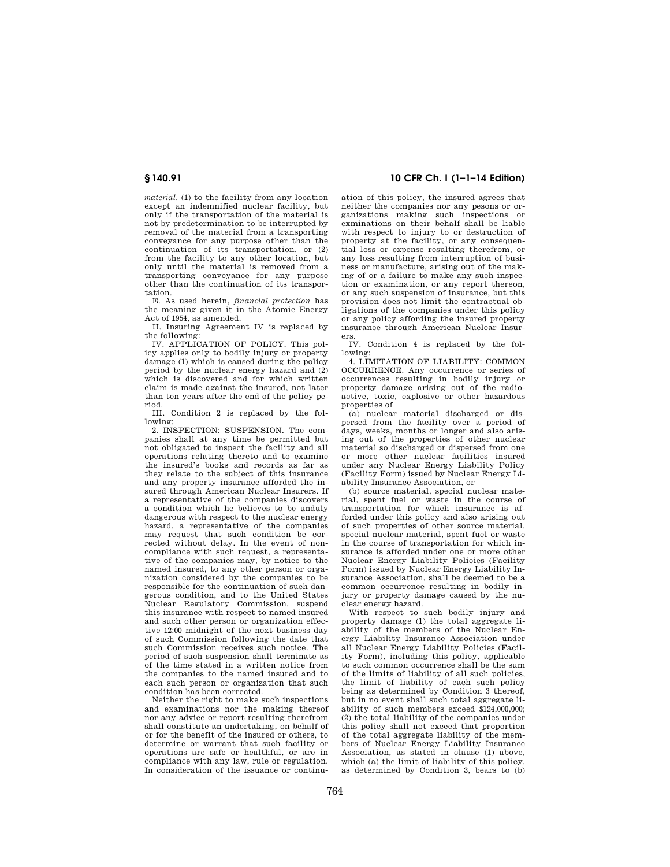*material,* (1) to the facility from any location except an indemnified nuclear facility, but only if the transportation of the material is not by predetermination to be interrupted by removal of the material from a transporting conveyance for any purpose other than the continuation of its transportation, or (2) from the facility to any other location, but only until the material is removed from a transporting conveyance for any purpose other than the continuation of its transportation.

E. As used herein, *financial protection* has the meaning given it in the Atomic Energy Act of 1954, as amended.

II. Insuring Agreement IV is replaced by the following:

IV. APPLICATION OF POLICY. This policy applies only to bodily injury or property damage (1) which is caused during the policy period by the nuclear energy hazard and (2) which is discovered and for which written claim is made against the insured, not later than ten years after the end of the policy period.

III. Condition 2 is replaced by the following:

2. INSPECTION: SUSPENSION. The companies shall at any time be permitted but not obligated to inspect the facility and all operations relating thereto and to examine the insured's books and records as far as they relate to the subject of this insurance and any property insurance afforded the insured through American Nuclear Insurers. If a representative of the companies discovers a condition which he believes to be unduly dangerous with respect to the nuclear energy hazard, a representative of the companies may request that such condition be corrected without delay. In the event of noncompliance with such request, a representative of the companies may, by notice to the named insured, to any other person or organization considered by the companies to be responsible for the continuation of such dangerous condition, and to the United States Nuclear Regulatory Commission, suspend this insurance with respect to named insured and such other person or organization effective 12:00 midnight of the next business day of such Commission following the date that such Commission receives such notice. The period of such suspension shall terminate as of the time stated in a written notice from the companies to the named insured and to each such person or organization that such condition has been corrected.

Neither the right to make such inspections and examinations nor the making thereof nor any advice or report resulting therefrom shall constitute an undertaking, on behalf of or for the benefit of the insured or others, to determine or warrant that such facility or operations are safe or healthful, or are in compliance with any law, rule or regulation. In consideration of the issuance or continu-

## **§ 140.91 10 CFR Ch. I (1–1–14 Edition)**

ation of this policy, the insured agrees that neither the companies nor any pesons or organizations making such inspections or exminations on their behalf shall be liable with respect to injury to or destruction of property at the facility, or any consequential loss or expense resulting therefrom, or any loss resulting from interruption of business or manufacture, arising out of the making of or a failure to make any such inspection or examination, or any report thereon, or any such suspension of insurance, but this provision does not limit the contractual obligations of the companies under this policy or any policy affording the insured property insurance through American Nuclear Insurers.

IV. Condition 4 is replaced by the following:

4. LIMITATION OF LIABILITY: COMMON OCCURRENCE. Any occurrence or series of occurrences resulting in bodily injury or property damage arising out of the radioactive, toxic, explosive or other hazardous properties of

(a) nuclear material discharged or dispersed from the facility over a period of days, weeks, months or longer and also arising out of the properties of other nuclear material so discharged or dispersed from one or more other nuclear facilities insured under any Nuclear Energy Liability Policy (Facility Form) issued by Nuclear Energy Liability Insurance Association, or

(b) source material, special nuclear material, spent fuel or waste in the course of transportation for which insurance is afforded under this policy and also arising out of such properties of other source material, special nuclear material, spent fuel or waste in the course of transportation for which insurance is afforded under one or more other Nuclear Energy Liability Policies (Facility Form) issued by Nuclear Energy Liability Insurance Association, shall be deemed to be a common occurrence resulting in bodily injury or property damage caused by the nuclear energy hazard.

With respect to such bodily injury and property damage (1) the total aggregate liability of the members of the Nuclear Energy Liability Insurance Association under all Nuclear Energy Liability Policies (Facility Form), including this policy, applicable to such common occurrence shall be the sum of the limits of liability of all such policies, the limit of liability of each such policy being as determined by Condition 3 thereof, but in no event shall such total aggregate liability of such members exceed \$124,000,000; (2) the total liability of the companies under this policy shall not exceed that proportion of the total aggregate liability of the members of Nuclear Energy Liability Insurance Association, as stated in clause (1) above, which (a) the limit of liability of this policy, as determined by Condition 3, bears to (b)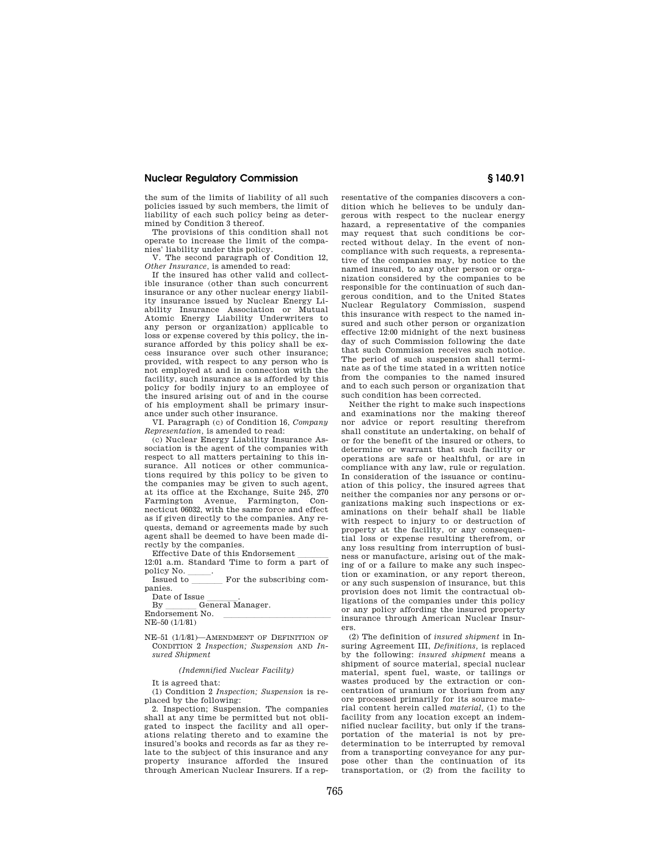the sum of the limits of liability of all such policies issued by such members, the limit of liability of each such policy being as determined by Condition 3 thereof.

The provisions of this condition shall not operate to increase the limit of the companies' liability under this policy.

V. The second paragraph of Condition 12, *Other Insurance,* is amended to read:

If the insured has other valid and collectible insurance (other than such concurrent insurance or any other nuclear energy liability insurance issued by Nuclear Energy Liability Insurance Association or Mutual Atomic Energy Liability Underwriters to any person or organization) applicable to loss or expense covered by this policy, the insurance afforded by this policy shall be excess insurance over such other insurance; provided, with respect to any person who is not employed at and in connection with the facility, such insurance as is afforded by this policy for bodily injury to an employee of the insured arising out of and in the course of his employment shall be primary insurance under such other insurance.

VI. Paragraph (c) of Condition 16, *Company Representation,* is amended to read:

(c) Nuclear Energy Liability Insurance Association is the agent of the companies with respect to all matters pertaining to this insurance. All notices or other communications required by this policy to be given to the companies may be given to such agent, at its office at the Exchange, Suite 245, 270 Farmington Avenue, Farmington, Connecticut 06032, with the same force and effect as if given directly to the companies. Any requests, demand or agreements made by such agent shall be deemed to have been made directly by the companies.<br>Effective Date of this Endorsement

Effective Date of this Endorsement  $\frac{12:01 \text{ a.m. Standard Time to form a part of}}{2 \cdot \frac{1}{2} \cdot \frac{1}{2}}$ policy No.<br>Issued to

For the subscribing companies.

Date of Issue<br>By G

General Manager.

Endorsement No. NE–50 (1/1/81)

NE–51 (1/1/81)—AMENDMENT OF DEFINITION OF CONDITION 2 *Inspection; Suspension* AND *Insured Shipment* 

*(Indemnified Nuclear Facility)* 

It is agreed that:

(1) Condition 2 *Inspection; Suspension* is replaced by the following:

2. Inspection; Suspension. The companies shall at any time be permitted but not obligated to inspect the facility and all operations relating thereto and to examine the insured's books and records as far as they relate to the subject of this insurance and any property insurance afforded the insured through American Nuclear Insurers. If a representative of the companies discovers a condition which he believes to be unduly dangerous with respect to the nuclear energy hazard, a representative of the companies may request that such conditions be corrected without delay. In the event of noncompliance with such requests, a representative of the companies may, by notice to the named insured, to any other person or organization considered by the companies to be responsible for the continuation of such dangerous condition, and to the United States Nuclear Regulatory Commission, suspend this insurance with respect to the named insured and such other person or organization effective 12:00 midnight of the next business day of such Commission following the date that such Commission receives such notice. The period of such suspension shall terminate as of the time stated in a written notice from the companies to the named insured and to each such person or organization that such condition has been corrected.

Neither the right to make such inspections and examinations nor the making thereof nor advice or report resulting therefrom shall constitute an undertaking, on behalf of or for the benefit of the insured or others, to determine or warrant that such facility or operations are safe or healthful, or are in compliance with any law, rule or regulation. In consideration of the issuance or continuation of this policy, the insured agrees that neither the companies nor any persons or organizations making such inspections or examinations on their behalf shall be liable with respect to injury to or destruction of property at the facility, or any consequential loss or expense resulting therefrom, or any loss resulting from interruption of business or manufacture, arising out of the making of or a failure to make any such inspection or examination, or any report thereon, or any such suspension of insurance, but this provision does not limit the contractual obligations of the companies under this policy or any policy affording the insured property insurance through American Nuclear Insurers.

(2) The definition of *insured shipment* in Insuring Agreement III, *Definitions,* is replaced by the following: *insured shipment* means a shipment of source material, special nuclear material, spent fuel, waste, or tailings or wastes produced by the extraction or concentration of uranium or thorium from any ore processed primarily for its source material content herein called *material,* (1) to the facility from any location except an indemnified nuclear facility, but only if the transportation of the material is not by predetermination to be interrupted by removal from a transporting conveyance for any purpose other than the continuation of its transportation, or (2) from the facility to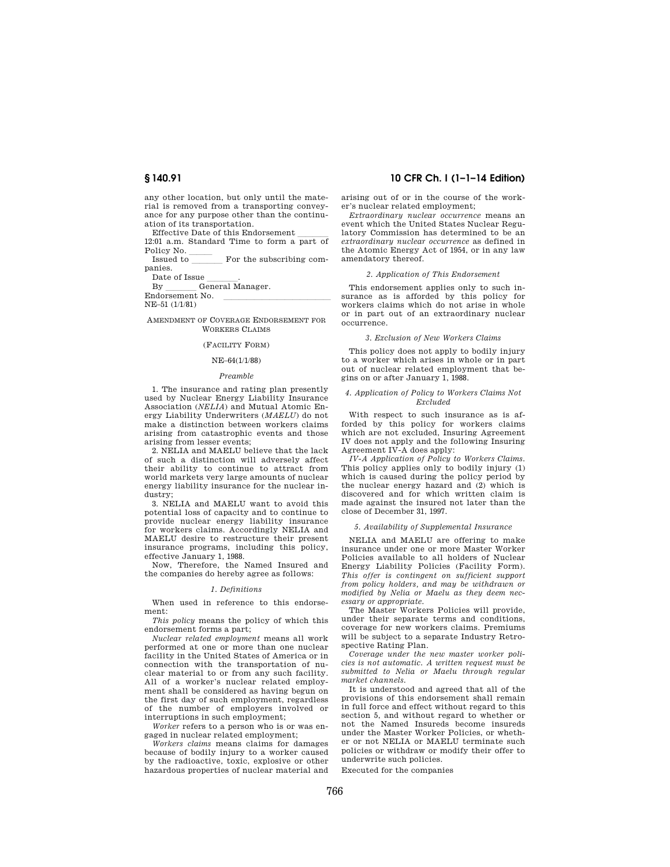any other location, but only until the material is removed from a transporting conveyance for any purpose other than the continuation of its transportation.

Effective Date of this Endorsement  $\frac{12:01 \text{ a.m. Standard Time to form a part of}}{2 \cdot \frac{1}{2} \cdot \frac{1}{2}}$ Policy No.<br>Issued to

For the subscribing companies.

Date of Issue<br>By G

General Manager.

Endorsement No.

NE–51 (1/1/81)

AMENDMENT OF COVERAGE ENDORSEMENT FOR WORKERS CLAIMS

### (FACILITY FORM)

#### NE–64(1/1/88)

#### *Preamble*

1. The insurance and rating plan presently used by Nuclear Energy Liability Insurance Association (*NELIA*) and Mutual Atomic Energy Liability Underwriters (*MAELU*) do not make a distinction between workers claims arising from catastrophic events and those arising from lesser events;

2. NELIA and MAELU believe that the lack of such a distinction will adversely affect their ability to continue to attract from world markets very large amounts of nuclear energy liability insurance for the nuclear industry;

3. NELIA and MAELU want to avoid this potential loss of capacity and to continue to provide nuclear energy liability insurance for workers claims. Accordingly NELIA and MAELU desire to restructure their present insurance programs, including this policy, effective January 1, 1988.

Now, Therefore, the Named Insured and the companies do hereby agree as follows:

#### *1. Definitions*

When used in reference to this endorsement:

*This policy* means the policy of which this endorsement forms a part;

*Nuclear related employment* means all work performed at one or more than one nuclear facility in the United States of America or in connection with the transportation of nuclear material to or from any such facility. All of a worker's nuclear related employment shall be considered as having begun on the first day of such employment, regardless of the number of employers involved or interruptions in such employment;

*Worker* refers to a person who is or was engaged in nuclear related employment;

*Workers claims* means claims for damages because of bodily injury to a worker caused by the radioactive, toxic, explosive or other hazardous properties of nuclear material and

## **§ 140.91 10 CFR Ch. I (1–1–14 Edition)**

arising out of or in the course of the worker's nuclear related employment;

*Extraordinary nuclear occurrence* means an event which the United States Nuclear Regulatory Commission has determined to be an *extraordinary nuclear occurrence* as defined in the Atomic Energy Act of 1954, or in any law amendatory thereof.

#### *2. Application of This Endorsement*

This endorsement applies only to such insurance as is afforded by this policy for workers claims which do not arise in whole or in part out of an extraordinary nuclear occurrence.

#### *3. Exclusion of New Workers Claims*

This policy does not apply to bodily injury to a worker which arises in whole or in part out of nuclear related employment that begins on or after January 1, 1988.

#### *4. Application of Policy to Workers Claims Not Excluded*

With respect to such insurance as is afforded by this policy for workers claims which are not excluded, Insuring Agreement IV does not apply and the following Insuring Agreement IV-A does apply:

*IV-A Application of Policy to Workers Claims.*  This policy applies only to bodily injury (1) which is caused during the policy period by the nuclear energy hazard and (2) which is discovered and for which written claim is made against the insured not later than the close of December 31, 1997.

#### *5. Availability of Supplemental Insurance*

NELIA and MAELU are offering to make insurance under one or more Master Worker Policies available to all holders of Nuclear Energy Liability Policies (Facility Form). *This offer is contingent on sufficient support from policy holders, and may be withdrawn or modified by Nelia or Maelu as they deem necessary or appropriate.* 

The Master Workers Policies will provide, under their separate terms and conditions, coverage for new workers claims. Premiums will be subject to a separate Industry Retrospective Rating Plan.

*Coverage under the new master worker policies is not automatic. A written request must be submitted to Nelia or Maelu through regular market channels.* 

It is understood and agreed that all of the provisions of this endorsement shall remain in full force and effect without regard to this section 5, and without regard to whether or not the Named Insureds become insureds under the Master Worker Policies, or whether or not NELIA or MAELU terminate such policies or withdraw or modify their offer to underwrite such policies.

Executed for the companies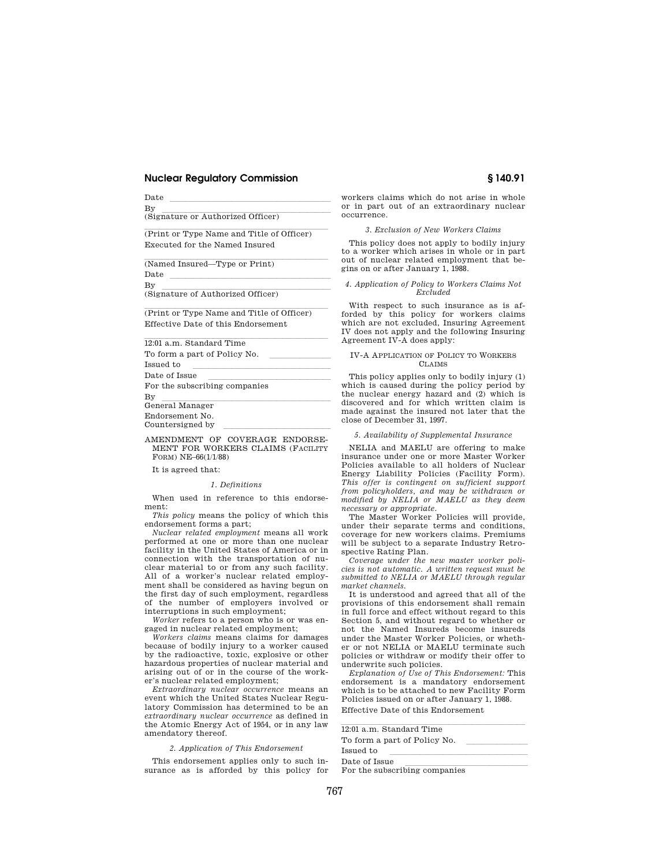$\frac{a}{b}$   $\frac{a}{b}$   $\frac{a}{b}$   $\frac{a}{b}$   $\frac{a}{b}$   $\frac{a}{b}$   $\frac{a}{b}$   $\frac{a}{b}$   $\frac{a}{b}$   $\frac{a}{b}$   $\frac{a}{b}$   $\frac{a}{b}$   $\frac{a}{b}$   $\frac{a}{b}$   $\frac{a}{b}$   $\frac{a}{b}$   $\frac{a}{b}$   $\frac{a}{b}$   $\frac{a}{b}$   $\frac{a}{b}$   $\frac{a}{b}$   $\frac{a}{b}$ 

By<br>(Signature or Authorized Officer)

(Print or Type Name and Title of Officer) Executed for the Named Insured

(Named Insured—Type or Print)

 $\frac{a}{b}$   $\frac{a}{b}$   $\frac{a}{b}$   $\frac{a}{b}$   $\frac{a}{b}$   $\frac{a}{b}$   $\frac{a}{b}$   $\frac{a}{b}$   $\frac{a}{b}$   $\frac{a}{b}$   $\frac{a}{b}$   $\frac{a}{b}$   $\frac{a}{b}$   $\frac{a}{b}$   $\frac{a}{b}$   $\frac{a}{b}$   $\frac{a}{b}$   $\frac{a}{b}$   $\frac{a}{b}$   $\frac{a}{b}$   $\frac{a}{b}$   $\frac{a}{b}$ 

By<br>(Signature of Authorized Officer)

(Print or Type Name and Title of Officer) Effective Date of this Endorsement

12:01 a.m. Standard Time

To form a part of Policy No.<br>Issued to

 $\frac{1}{\text{Set}}$  to  $\frac{1}{\text{Set}}$ 

Date of Issue llllllllllllllll For the subscribing companies

By llemeral Manager (1986) of the state of the state of the state of the state of the state of the state of the state of the state of the state of the state of the state of the state of the state of the state of the state

Endorsement No.

Countersigned by

#### AMENDMENT OF COVERAGE ENDORSE-MENT FOR WORKERS CLAIMS (FACILITY FORM) NE–66(1/1/88)

It is agreed that:

#### *1. Definitions*

When used in reference to this endorsement:

*This policy* means the policy of which this endorsement forms a part;

*Nuclear related employment* means all work performed at one or more than one nuclear facility in the United States of America or in connection with the transportation of nuclear material to or from any such facility. All of a worker's nuclear related employment shall be considered as having begun on the first day of such employment, regardless of the number of employers involved or interruptions in such employment;

*Worker* refers to a person who is or was engaged in nuclear related employment;

*Workers claims* means claims for damages because of bodily injury to a worker caused by the radioactive, toxic, explosive or other hazardous properties of nuclear material and arising out of or in the course of the worker's nuclear related employment;

*Extraordinary nuclear occurrence* means an event which the United States Nuclear Regulatory Commission has determined to be an *extraordinary nuclear occurrence* as defined in the Atomic Energy Act of 1954, or in any law amendatory thereof.

#### *2. Application of This Endorsement*

This endorsement applies only to such insurance as is afforded by this policy for workers claims which do not arise in whole or in part out of an extraordinary nuclear occurrence.

## *3. Exclusion of New Workers Claims*

This policy does not apply to bodily injury to a worker which arises in whole or in part out of nuclear related employment that begins on or after January 1, 1988.

#### *4. Application of Policy to Workers Claims Not Excluded*

With respect to such insurance as is afforded by this policy for workers claims which are not excluded, Insuring Agreement IV does not apply and the following Insuring Agreement IV-A does apply:

#### IV-A APPLICATION OF POLICY TO WORKERS CLAIMS

This policy applies only to bodily injury (1) which is caused during the policy period by the nuclear energy hazard and (2) which is discovered and for which written claim is made against the insured not later that the close of December 31, 1997.

#### *5. Availability of Supplemental Insurance*

NELIA and MAELU are offering to make insurance under one or more Master Worker Policies available to all holders of Nuclear Energy Liability Policies (Facility Form). *This offer is contingent on sufficient support from policyholders, and may be withdrawn or modified by NELIA or MAELU as they deem necessary or appropriate.* 

The Master Worker Policies will provide, under their separate terms and conditions, coverage for new workers claims. Premiums will be subject to a separate Industry Retrospective Rating Plan.

*Coverage under the new master worker policies is not automatic. A written request must be submitted to NELIA or MAELU through regular market channels.* 

It is understood and agreed that all of the provisions of this endorsement shall remain in full force and effect without regard to this Section 5, and without regard to whether or not the Named Insureds become insureds under the Master Worker Policies, or whether or not NELIA or MAELU terminate such policies or withdraw or modify their offer to underwrite such policies.

*Explanation of Use of This Endorsement:* This endorsement is a mandatory endorsement which is to be attached to new Facility Form Policies issued on or after January 1, 1988. Effective Date of this Endorsement

| 12:01 a.m. Standard Time      |  |
|-------------------------------|--|
| To form a part of Policy No.  |  |
| Issued to                     |  |
| Date of Issue                 |  |
| For the subscribing companies |  |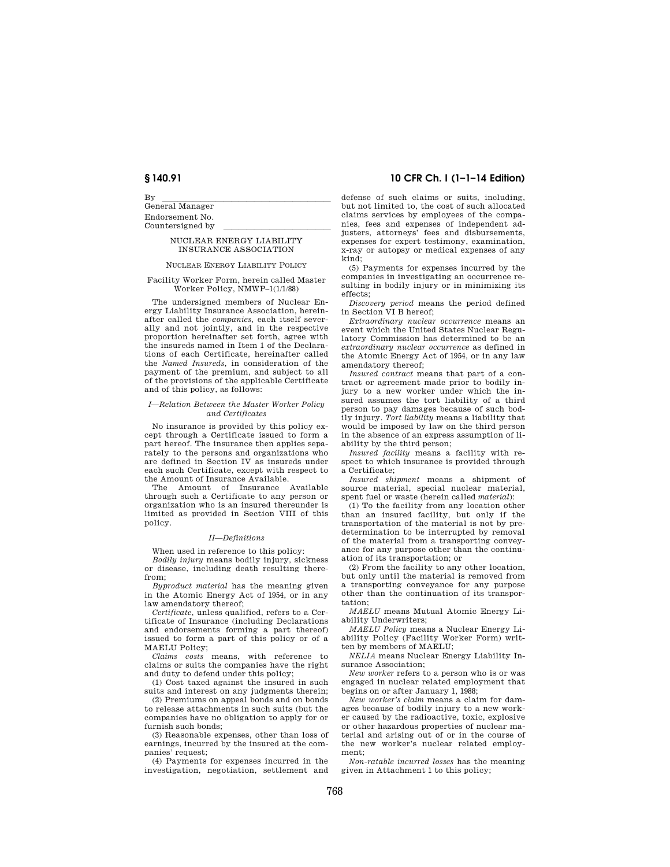By llemeral Manager (1986) of the state of the state of the state of the state of the state of the state of the state of the state of the state of the state of the state of the state of the state of the state of the state Endorsement No. Countersigned by

#### NUCLEAR ENERGY LIABILITY INSURANCE ASSOCIATION

#### NUCLEAR ENERGY LIABILITY POLICY

Facility Worker Form, herein called Master Worker Policy, NMWP–1(1/1/88)

The undersigned members of Nuclear Energy Liability Insurance Association, hereinafter called the *companies,* each itself severally and not jointly, and in the respective proportion hereinafter set forth, agree with the insureds named in Item 1 of the Declarations of each Certificate, hereinafter called the *Named Insureds,* in consideration of the payment of the premium, and subject to all of the provisions of the applicable Certificate and of this policy, as follows:

#### *I—Relation Between the Master Worker Policy and Certificates*

No insurance is provided by this policy except through a Certificate issued to form a part hereof. The insurance then applies separately to the persons and organizations who are defined in Section IV as insureds under each such Certificate, except with respect to the Amount of Insurance Available.

The Amount of Insurance Available through such a Certificate to any person or organization who is an insured thereunder is limited as provided in Section VIII of this policy.

#### *II—Definitions*

When used in reference to this policy:

*Bodily injury* means bodily injury, sickness or disease, including death resulting therefrom;

*Byproduct material* has the meaning given in the Atomic Energy Act of 1954, or in any law amendatory thereof;

*Certificate,* unless qualified, refers to a Certificate of Insurance (including Declarations and endorsements forming a part thereof) issued to form a part of this policy or of a MAELU Policy;

*Claims costs* means, with reference to claims or suits the companies have the right and duty to defend under this policy;

(1) Cost taxed against the insured in such suits and interest on any judgments therein;

(2) Premiums on appeal bonds and on bonds to release attachments in such suits (but the companies have no obligation to apply for or furnish such bonds;

(3) Reasonable expenses, other than loss of earnings, incurred by the insured at the companies' request;

(4) Payments for expenses incurred in the investigation, negotiation, settlement and

## **§ 140.91 10 CFR Ch. I (1–1–14 Edition)**

defense of such claims or suits, including, but not limited to, the cost of such allocated claims services by employees of the companies, fees and expenses of independent adjusters, attorneys' fees and disbursements, expenses for expert testimony, examination, x-ray or autopsy or medical expenses of any kind;

(5) Payments for expenses incurred by the companies in investigating an occurrence resulting in bodily injury or in minimizing its effects;

*Discovery period* means the period defined in Section VI B hereof;

*Extraordinary nuclear occurrence* means an event which the United States Nuclear Regulatory Commission has determined to be an *extraordinary nuclear occurrence* as defined in the Atomic Energy Act of 1954, or in any law amendatory thereof;

*Insured contract* means that part of a contract or agreement made prior to bodily injury to a new worker under which the insured assumes the tort liability of a third person to pay damages because of such bodily injury. *Tort liability* means a liability that would be imposed by law on the third person in the absence of an express assumption of liability by the third person;

*Insured facility* means a facility with respect to which insurance is provided through a Certificate;

*Insured shipment* means a shipment of source material, special nuclear material, spent fuel or waste (herein called *material*):

(1) To the facility from any location other than an insured facility, but only if the transportation of the material is not by predetermination to be interrupted by removal of the material from a transporting conveyance for any purpose other than the continuation of its transportation; or

(2) From the facility to any other location, but only until the material is removed from a transporting conveyance for any purpose other than the continuation of its transportation;

*MAELU* means Mutual Atomic Energy Liability Underwriters;

*MAELU Policy* means a Nuclear Energy Liability Policy (Facility Worker Form) written by members of MAELU;

*NELIA* means Nuclear Energy Liability Insurance Association;

*New worker* refers to a person who is or was engaged in nuclear related employment that begins on or after January 1, 1988;

*New worker's claim* means a claim for damages because of bodily injury to a new worker caused by the radioactive, toxic, explosive or other hazardous properties of nuclear material and arising out of or in the course of the new worker's nuclear related employment;

*Non-ratable incurred losses* has the meaning given in Attachment 1 to this policy;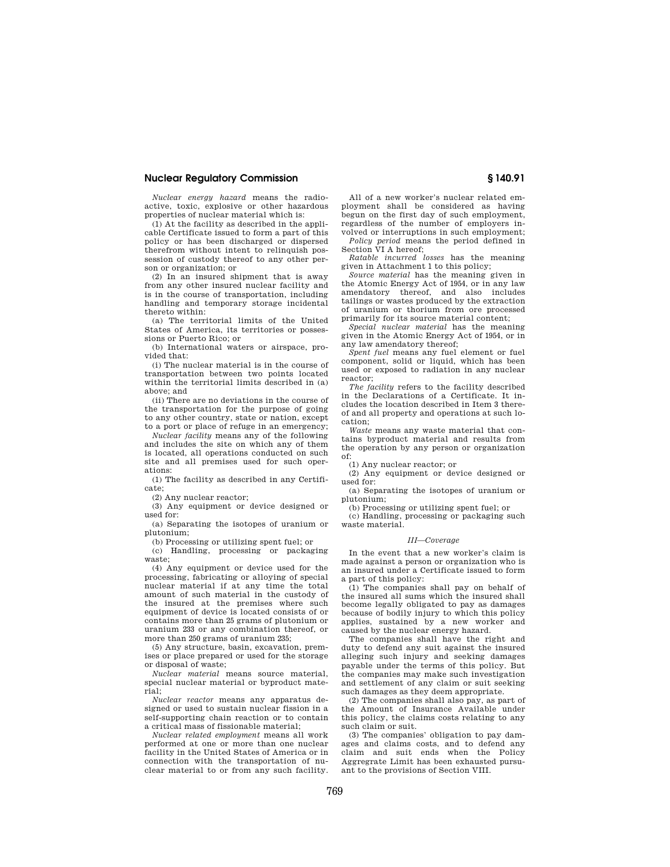*Nuclear energy hazard* means the radioactive, toxic, explosive or other hazardous properties of nuclear material which is:

(1) At the facility as described in the applicable Certificate issued to form a part of this policy or has been discharged or dispersed therefrom without intent to relinquish possession of custody thereof to any other person or organization; or

(2) In an insured shipment that is away from any other insured nuclear facility and is in the course of transportation, including handling and temporary storage incidental thereto within:

(a) The territorial limits of the United States of America, its territories or possessions or Puerto Rico; or

(b) International waters or airspace, provided that:

(i) The nuclear material is in the course of transportation between two points located within the territorial limits described in (a) above; and

(ii) There are no deviations in the course of the transportation for the purpose of going to any other country, state or nation, except to a port or place of refuge in an emergency;

*Nuclear facility* means any of the following and includes the site on which any of them is located, all operations conducted on such site and all premises used for such operations:

(1) The facility as described in any Certificate;

(2) Any nuclear reactor;

(3) Any equipment or device designed or used for:

(a) Separating the isotopes of uranium or plutonium;

(b) Processing or utilizing spent fuel; or

(c) Handling, processing or packaging waste;

(4) Any equipment or device used for the processing, fabricating or alloying of special nuclear material if at any time the total amount of such material in the custody of the insured at the premises where such equipment of device is located consists of or contains more than 25 grams of plutonium or uranium 233 or any combination thereof, or more than 250 grams of uranium 235;

(5) Any structure, basin, excavation, premises or place prepared or used for the storage or disposal of waste;

*Nuclear material* means source material, special nuclear material or byproduct material;

*Nuclear reactor* means any apparatus designed or used to sustain nuclear fission in a self-supporting chain reaction or to contain a critical mass of fissionable material;

*Nuclear related employment* means all work performed at one or more than one nuclear facility in the United States of America or in connection with the transportation of nuclear material to or from any such facility.

All of a new worker's nuclear related employment shall be considered as having begun on the first day of such employment. regardless of the number of employers involved or interruptions in such employment;

*Policy period* means the period defined in Section VI A hereof; *Ratable incurred losses* has the meaning

given in Attachment 1 to this policy; *Source material* has the meaning given in

the Atomic Energy Act of 1954, or in any law amendatory thereof, and also includes tailings or wastes produced by the extraction of uranium or thorium from ore processed primarily for its source material content;

*Special nuclear material* has the meaning given in the Atomic Energy Act of 1954, or in any law amendatory thereof;

*Spent fuel* means any fuel element or fuel component, solid or liquid, which has been used or exposed to radiation in any nuclear reactor;

*The facility* refers to the facility described in the Declarations of a Certificate. It includes the location described in Item 3 thereof and all property and operations at such location;

*Waste* means any waste material that contains byproduct material and results from the operation by any person or organization of:

(1) Any nuclear reactor; or

(2) Any equipment or device designed or used for:

(a) Separating the isotopes of uranium or plutonium;

(b) Processing or utilizing spent fuel; or (c) Handling, processing or packaging such waste material.

#### *III—Coverage*

In the event that a new worker's claim is made against a person or organization who is an insured under a Certificate issued to form a part of this policy:

(1) The companies shall pay on behalf of the insured all sums which the insured shall become legally obligated to pay as damages because of bodily injury to which this policy applies, sustained by a new worker and caused by the nuclear energy hazard.

The companies shall have the right and duty to defend any suit against the insured alleging such injury and seeking damages payable under the terms of this policy. But the companies may make such investigation and settlement of any claim or suit seeking such damages as they deem appropriate.

(2) The companies shall also pay, as part of the Amount of Insurance Available under this policy, the claims costs relating to any such claim or suit.

(3) The companies' obligation to pay damages and claims costs, and to defend any claim and suit ends when the Policy Aggregrate Limit has been exhausted pursuant to the provisions of Section VIII.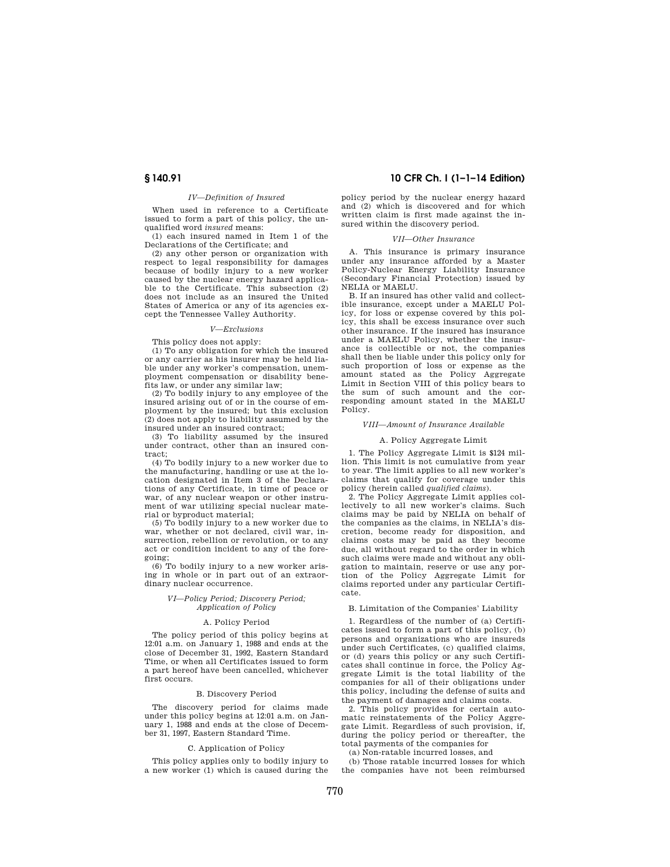## *IV—Definition of Insured*

When used in reference to a Certificate issued to form a part of this policy, the unqualified word *insured* means:

(1) each insured named in Item 1 of the Declarations of the Certificate; and

(2) any other person or organization with respect to legal responsibility for damages because of bodily injury to a new worker caused by the nuclear energy hazard applicable to the Certificate. This subsection (2) does not include as an insured the United States of America or any of its agencies except the Tennessee Valley Authority.

## *V—Exclusions*

This policy does not apply:

(1) To any obligation for which the insured or any carrier as his insurer may be held liable under any worker's compensation, unemployment compensation or disability benefits law, or under any similar law;

(2) To bodily injury to any employee of the insured arising out of or in the course of employment by the insured; but this exclusion (2) does not apply to liability assumed by the insured under an insured contract;

(3) To liability assumed by the insured under contract, other than an insured contract;

(4) To bodily injury to a new worker due to the manufacturing, handling or use at the location designated in Item 3 of the Declarations of any Certificate, in time of peace or war, of any nuclear weapon or other instrument of war utilizing special nuclear material or byproduct material;

(5) To bodily injury to a new worker due to war, whether or not declared, civil war, insurrection, rebellion or revolution, or to any act or condition incident to any of the foregoing;

(6) To bodily injury to a new worker arising in whole or in part out of an extraordinary nuclear occurrence.

### *VI—Policy Period; Discovery Period; Application of Policy*

#### A. Policy Period

The policy period of this policy begins at 12:01 a.m. on January 1, 1988 and ends at the close of December 31, 1992, Eastern Standard Time, or when all Certificates issued to form a part hereof have been cancelled, whichever first occurs.

#### B. Discovery Period

The discovery period for claims made under this policy begins at 12:01 a.m. on January 1, 1988 and ends at the close of December 31, 1997, Eastern Standard Time.

#### C. Application of Policy

This policy applies only to bodily injury to a new worker (1) which is caused during the

## **§ 140.91 10 CFR Ch. I (1–1–14 Edition)**

policy period by the nuclear energy hazard and (2) which is discovered and for which written claim is first made against the insured within the discovery period.

## *VII—Other Insurance*

A. This insurance is primary insurance under any insurance afforded by a Master Policy-Nuclear Energy Liability Insurance (Secondary Financial Protection) issued by NELIA or MAELU.

B. If an insured has other valid and collectible insurance, except under a MAELU Policy, for loss or expense covered by this policy, this shall be excess insurance over such other insurance. If the insured has insurance under a MAELU Policy, whether the insurance is collectible or not, the companies shall then be liable under this policy only for such proportion of loss or expense as the amount stated as the Policy Aggregate Limit in Section VIII of this policy bears to the sum of such amount and the corresponding amount stated in the MAELU Policy.

#### *VIII—Amount of Insurance Available*

#### A. Policy Aggregate Limit

1. The Policy Aggregate Limit is \$124 million. This limit is not cumulative from year to year. The limit applies to all new worker's claims that qualify for coverage under this policy (herein called *qualified claims*).

2. The Policy Aggregate Limit applies collectively to all new worker's claims. Such claims may be paid by NELIA on behalf of the companies as the claims, in NELIA's discretion, become ready for disposition, and claims costs may be paid as they become due, all without regard to the order in which such claims were made and without any obligation to maintain, reserve or use any portion of the Policy Aggregate Limit for claims reported under any particular Certificate.

#### B. Limitation of the Companies' Liability

1. Regardless of the number of (a) Certificates issued to form a part of this policy, (b) persons and organizations who are insureds under such Certificates, (c) qualified claims, or (d) years this policy or any such Certificates shall continue in force, the Policy Aggregate Limit is the total liability of the companies for all of their obligations under this policy, including the defense of suits and the payment of damages and claims costs.

2. This policy provides for certain automatic reinstatements of the Policy Aggregate Limit. Regardless of such provision, if, during the policy period or thereafter, the total payments of the companies for

(a) Non-ratable incurred losses, and

(b) Those ratable incurred losses for which the companies have not been reimbursed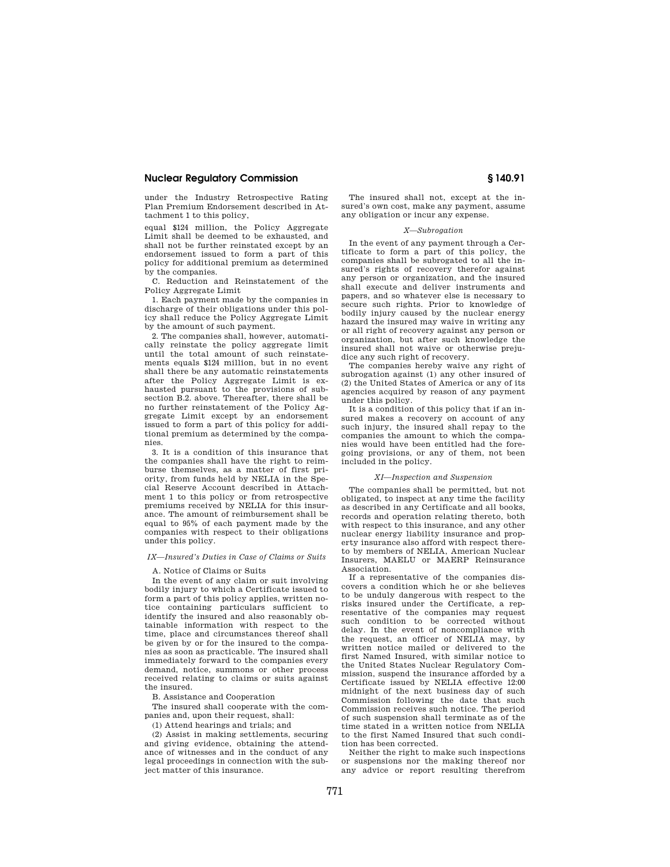under the Industry Retrospective Rating Plan Premium Endorsement described in Attachment 1 to this policy,

equal \$124 million, the Policy Aggregate Limit shall be deemed to be exhausted, and shall not be further reinstated except by an endorsement issued to form a part of this policy for additional premium as determined by the companies.

C. Reduction and Reinstatement of the Policy Aggregate Limit

1. Each payment made by the companies in discharge of their obligations under this policy shall reduce the Policy Aggregate Limit by the amount of such payment.

2. The companies shall, however, automatically reinstate the policy aggregate limit until the total amount of such reinstatements equals \$124 million, but in no event shall there be any automatic reinstatements after the Policy Aggregate Limit is exhausted pursuant to the provisions of subsection B.2. above. Thereafter, there shall be no further reinstatement of the Policy Aggregate Limit except by an endorsement issued to form a part of this policy for additional premium as determined by the companies.

3. It is a condition of this insurance that the companies shall have the right to reimburse themselves, as a matter of first priority, from funds held by NELIA in the Special Reserve Account described in Attachment 1 to this policy or from retrospective premiums received by NELIA for this insurance. The amount of reimbursement shall be equal to 95% of each payment made by the companies with respect to their obligations under this policy.

### *IX—Insured's Duties in Case of Claims or Suits*

#### A. Notice of Claims or Suits

In the event of any claim or suit involving bodily injury to which a Certificate issued to form a part of this policy applies, written notice containing particulars sufficient to identify the insured and also reasonably obtainable information with respect to the time, place and circumstances thereof shall be given by or for the insured to the companies as soon as practicable. The insured shall immediately forward to the companies every demand, notice, summons or other process received relating to claims or suits against the insured.

B. Assistance and Cooperation

The insured shall cooperate with the companies and, upon their request, shall:

(1) Attend hearings and trials; and

(2) Assist in making settlements, securing and giving evidence, obtaining the attendance of witnesses and in the conduct of any legal proceedings in connection with the subject matter of this insurance.

The insured shall not, except at the insured's own cost, make any payment, assume any obligation or incur any expense.

#### *X—Subrogation*

In the event of any payment through a Certificate to form a part of this policy, the companies shall be subrogated to all the insured's rights of recovery therefor against any person or organization, and the insured shall execute and deliver instruments and papers, and so whatever else is necessary to secure such rights. Prior to knowledge of bodily injury caused by the nuclear energy hazard the insured may waive in writing any or all right of recovery against any person or organization, but after such knowledge the insured shall not waive or otherwise prejudice any such right of recovery.

The companies hereby waive any right of subrogation against (1) any other insured of (2) the United States of America or any of its agencies acquired by reason of any payment under this policy.

It is a condition of this policy that if an insured makes a recovery on account of any such injury, the insured shall repay to the companies the amount to which the companies would have been entitled had the foregoing provisions, or any of them, not been included in the policy.

#### *XI—Inspection and Suspension*

The companies shall be permitted, but not obligated, to inspect at any time the facility as described in any Certificate and all books, records and operation relating thereto, both with respect to this insurance, and any other nuclear energy liability insurance and property insurance also afford with respect thereto by members of NELIA, American Nuclear Insurers, MAELU or MAERP Reinsurance Association.

If a representative of the companies discovers a condition which he or she believes to be unduly dangerous with respect to the risks insured under the Certificate, a representative of the companies may request such condition to be corrected without delay. In the event of noncompliance with the request, an officer of NELIA may, by written notice mailed or delivered to the first Named Insured, with similar notice to the United States Nuclear Regulatory Commission, suspend the insurance afforded by a Certificate issued by NELIA effective 12:00 midnight of the next business day of such Commission following the date that such Commission receives such notice. The period of such suspension shall terminate as of the time stated in a written notice from NELIA to the first Named Insured that such condition has been corrected.

Neither the right to make such inspections or suspensions nor the making thereof nor any advice or report resulting therefrom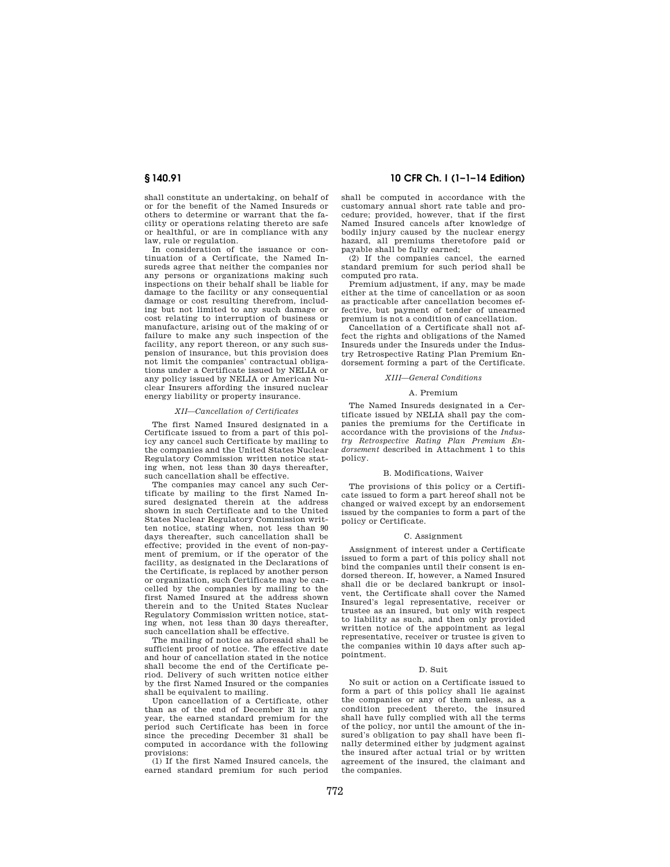shall constitute an undertaking, on behalf of or for the benefit of the Named Insureds or others to determine or warrant that the facility or operations relating thereto are safe or healthful, or are in compliance with any

law, rule or regulation. In consideration of the issuance or continuation of a Certificate, the Named Insureds agree that neither the companies nor any persons or organizations making such inspections on their behalf shall be liable for damage to the facility or any consequential damage or cost resulting therefrom, including but not limited to any such damage or cost relating to interruption of business or manufacture, arising out of the making of or failure to make any such inspection of the facility, any report thereon, or any such suspension of insurance, but this provision does not limit the companies' contractual obligations under a Certificate issued by NELIA or any policy issued by NELIA or American Nuclear Insurers affording the insured nuclear energy liability or property insurance.

#### *XII—Cancellation of Certificates*

The first Named Insured designated in a Certificate issued to from a part of this policy any cancel such Certificate by mailing to the companies and the United States Nuclear Regulatory Commission written notice stating when, not less than 30 days thereafter, such cancellation shall be effective.

The companies may cancel any such Certificate by mailing to the first Named Insured designated therein at the address shown in such Certificate and to the United States Nuclear Regulatory Commission written notice, stating when, not less than 90 days thereafter, such cancellation shall be effective; provided in the event of non-payment of premium, or if the operator of the facility, as designated in the Declarations of the Certificate, is replaced by another person or organization, such Certificate may be cancelled by the companies by mailing to the first Named Insured at the address shown therein and to the United States Nuclear Regulatory Commission written notice, stating when, not less than 30 days thereafter, such cancellation shall be effective.

The mailing of notice as aforesaid shall be sufficient proof of notice. The effective date and hour of cancellation stated in the notice shall become the end of the Certificate period. Delivery of such written notice either by the first Named Insured or the companies shall be equivalent to mailing.

Upon cancellation of a Certificate, other than as of the end of December 31 in any year, the earned standard premium for the period such Certificate has been in force since the preceding December 31 shall be computed in accordance with the following provisions:

(1) If the first Named Insured cancels, the earned standard premium for such period

# **§ 140.91 10 CFR Ch. I (1–1–14 Edition)**

shall be computed in accordance with the customary annual short rate table and procedure; provided, however, that if the first Named Insured cancels after knowledge of bodily injury caused by the nuclear energy hazard, all premiums theretofore paid or payable shall be fully earned;

(2) If the companies cancel, the earned standard premium for such period shall be computed pro rata.

Premium adjustment, if any, may be made either at the time of cancellation or as soon as practicable after cancellation becomes effective, but payment of tender of unearned premium is not a condition of cancellation.

Cancellation of a Certificate shall not affect the rights and obligations of the Named Insureds under the Insureds under the Industry Retrospective Rating Plan Premium Endorsement forming a part of the Certificate.

#### *XIII—General Conditions*

#### A. Premium

The Named Insureds designated in a Certificate issued by NELIA shall pay the companies the premiums for the Certificate in accordance with the provisions of the *Industry Retrospective Rating Plan Premium Endorsement* described in Attachment 1 to this policy.

# B. Modifications, Waiver

The provisions of this policy or a Certificate issued to form a part hereof shall not be changed or waived except by an endorsement issued by the companies to form a part of the policy or Certificate.

#### C. Assignment

Assignment of interest under a Certificate issued to form a part of this policy shall not bind the companies until their consent is endorsed thereon. If, however, a Named Insured shall die or be declared bankrupt or insolvent, the Certificate shall cover the Named Insured's legal representative, receiver or trustee as an insured, but only with respect to liability as such, and then only provided written notice of the appointment as legal representative, receiver or trustee is given to the companies within 10 days after such appointment.

### D. Suit

No suit or action on a Certificate issued to form a part of this policy shall lie against the companies or any of them unless, as a condition precedent thereto, the insured shall have fully complied with all the terms of the policy, nor until the amount of the insured's obligation to pay shall have been finally determined either by judgment against the insured after actual trial or by written agreement of the insured, the claimant and the companies.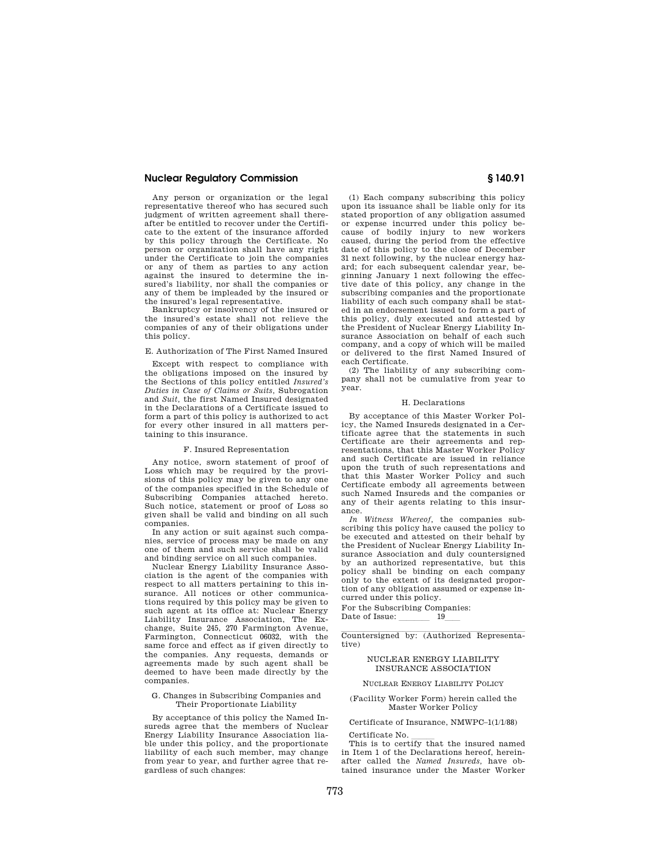Any person or organization or the legal representative thereof who has secured such judgment of written agreement shall thereafter be entitled to recover under the Certificate to the extent of the insurance afforded by this policy through the Certificate. No person or organization shall have any right under the Certificate to join the companies or any of them as parties to any action against the insured to determine the insured's liability, nor shall the companies or any of them be impleaded by the insured or the insured's legal representative.

Bankruptcy or insolvency of the insured or the insured's estate shall not relieve the companies of any of their obligations under this policy.

# E. Authorization of The First Named Insured

Except with respect to compliance with the obligations imposed on the insured by the Sections of this policy entitled *Insured's Duties in Case of Claims or Suits,* Subrogation and *Suit,* the first Named Insured designated in the Declarations of a Certificate issued to form a part of this policy is authorized to act for every other insured in all matters pertaining to this insurance.

#### F. Insured Representation

Any notice, sworn statement of proof of Loss which may be required by the provisions of this policy may be given to any one of the companies specified in the Schedule of Subscribing Companies attached hereto. Such notice, statement or proof of Loss so given shall be valid and binding on all such companies.

In any action or suit against such companies, service of process may be made on any one of them and such service shall be valid and binding service on all such companies.

Nuclear Energy Liability Insurance Association is the agent of the companies with respect to all matters pertaining to this insurance. All notices or other communications required by this policy may be given to such agent at its office at: Nuclear Energy Liability Insurance Association, The Exchange, Suite 245, 270 Farmington Avenue, Farmington, Connecticut 06032, with the same force and effect as if given directly to the companies. Any requests, demands or agreements made by such agent shall be deemed to have been made directly by the companies.

#### G. Changes in Subscribing Companies and Their Proportionate Liability

By acceptance of this policy the Named Insureds agree that the members of Nuclear Energy Liability Insurance Association liable under this policy, and the proportionate liability of each such member, may change from year to year, and further agree that regardless of such changes:

(1) Each company subscribing this policy upon its issuance shall be liable only for its stated proportion of any obligation assumed or expense incurred under this policy because of bodily injury to new workers caused, during the period from the effective date of this policy to the close of December 31 next following, by the nuclear energy hazard; for each subsequent calendar year, beginning January 1 next following the effective date of this policy, any change in the subscribing companies and the proportionate liability of each such company shall be stated in an endorsement issued to form a part of this policy, duly executed and attested by the President of Nuclear Energy Liability Insurance Association on behalf of each such company, and a copy of which will be mailed or delivered to the first Named Insured of each Certificate.

(2) The liability of any subscribing company shall not be cumulative from year to year.

#### H. Declarations

By acceptance of this Master Worker Policy, the Named Insureds designated in a Certificate agree that the statements in such Certificate are their agreements and representations, that this Master Worker Policy and such Certificate are issued in reliance upon the truth of such representations and that this Master Worker Policy and such Certificate embody all agreements between such Named Insureds and the companies or any of their agents relating to this insurance.

*In Witness Whereof,* the companies subscribing this policy have caused the policy to be executed and attested on their behalf by the President of Nuclear Energy Liability Insurance Association and duly countersigned by an authorized representative, but this policy shall be binding on each company only to the extent of its designated proportion of any obligation assumed or expense incurred under this policy.

For the Subscribing Companies: Date of Issue: 19

Countersigned by: (Authorized Representative)

### NUCLEAR ENERGY LIABILITY INSURANCE ASSOCIATION

NUCLEAR ENERGY LIABILITY POLICY

### (Facility Worker Form) herein called the Master Worker Policy

Certificate of Insurance, NMWPC–1(1/1/88)

Certificate No.<br>This is to certify that the insured named in Item 1 of the Declarations hereof, hereinafter called the *Named Insureds,* have obtained insurance under the Master Worker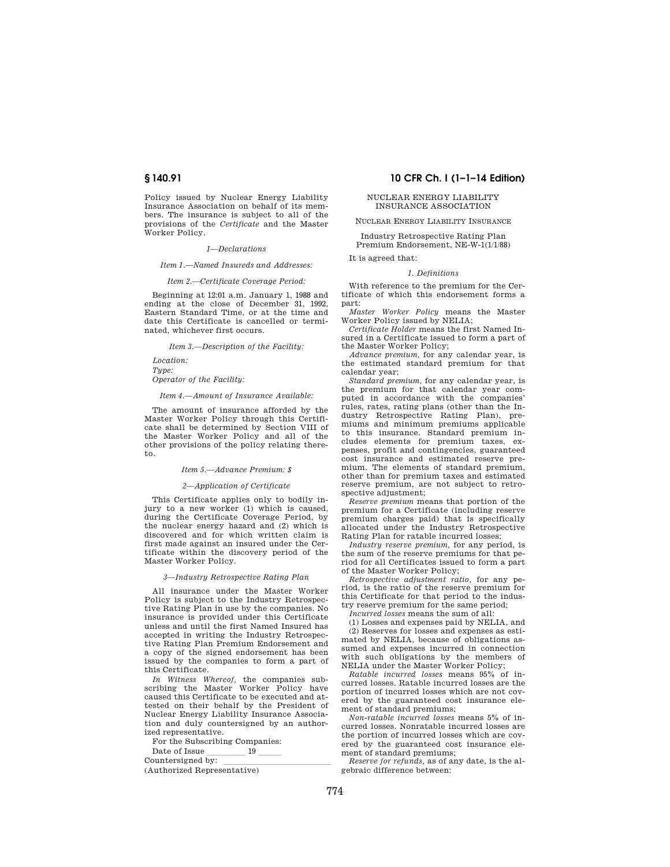Policy issued by Nuclear Energy Liability Insurance Association on behalf of its members. The insurance is subject to all of the provisions of the *Certificate* and the Master Worker Policy.

#### *1—Declarations*

*Item 1.—Named Insureds and Addresses:* 

*Item 2.—Certificate Coverage Period:* 

Beginning at 12:01 a.m. January 1, 1988 and ending at the close of December 31, 1992, Eastern Standard Time, or at the time and date this Certificate is cancelled or terminated, whichever first occurs.

*Item 3.—Description of the Facility:* 

*Location: Type: Operator of the Facility:* 

*Item 4.—Amount of Insurance Available:* 

The amount of insurance afforded by the Master Worker Policy through this Certificate shall be determined by Section VIII of the Master Worker Policy and all of the other provisions of the policy relating thereto.

#### *Item 5.—Advance Premium: \$*

# *2—Application of Certificate*

This Certificate applies only to bodily injury to a new worker (1) which is caused, during the Certificate Coverage Period, by the nuclear energy hazard and (2) which is discovered and for which written claim is first made against an insured under the Certificate within the discovery period of the Master Worker Policy.

#### *3—Industry Retrospective Rating Plan*

All insurance under the Master Worker Policy is subject to the Industry Retrospective Rating Plan in use by the companies. No insurance is provided under this Certificate unless and until the first Named Insured has accepted in writing the Industry Retrospective Rating Plan Premium Endorsement and a copy of the signed endorsement has been issued by the companies to form a part of this Certificate.

*In Witness Whereof,* the companies subscribing the Master Worker Policy have caused this Certificate to be executed and attested on their behalf by the President of Nuclear Energy Liability Insurance Association and duly countersigned by an authorized representative.

For the Subscribing Companies:

Date of Issue  $\frac{19}{\text{Countersigned by:}}$ 

Countersigned by: llllllllllllll (Authorized Representative)

# **§ 140.91 10 CFR Ch. I (1–1–14 Edition)**

### NUCLEAR ENERGY LIABILITY INSURANCE ASSOCIATION

NUCLEAR ENERGY LIABILITY INSURANCE

Industry Retrospective Rating Plan Premium Endorsement, NE-W-1(1/1/88)

It is agreed that:

#### *1. Definitions*

With reference to the premium for the Certificate of which this endorsement forms a part:

*Master Worker Policy* means the Master Worker Policy issued by NELIA;

*Certificate Holder* means the first Named Insured in a Certificate issued to form a part of the Master Worker Policy;

*Advance premium,* for any calendar year, is the estimated standard premium for that calendar year;

*Standard premium,* for any calendar year, is the premium for that calendar year computed in accordance with the companies' rules, rates, rating plans (other than the Industry Retrospective Rating Plan), premiums and minimum premiums applicable to this insurance. Standard premium includes elements for premium taxes, expenses, profit and contingencies, guaranteed cost insurance and estimated reserve premium. The elements of standard premium, other than for premium taxes and estimated reserve premium, are not subject to retrospective adjustment;

*Reserve premium* means that portion of the premium for a Certificate (including reserve premium charges paid) that is specifically allocated under the Industry Retrospective Rating Plan for ratable incurred losses;

*Industry reserve premium,* for any period, is the sum of the reserve premiums for that period for all Certificates issued to form a part of the Master Worker Policy;

*Retrospective adjustment ratio,* for any period, is the ratio of the reserve premium for this Certificate for that period to the industry reserve premium for the same period;

*Incurred losses* means the sum of all:

(1) Losses and expenses paid by NELIA, and (2) Reserves for losses and expenses as estimated by NELIA, because of obligations assumed and expenses incurred in connection with such obligations by the members of NELIA under the Master Worker Policy;

*Ratable incurred losses* means 95% of incurred losses. Ratable incurred losses are the portion of incurred losses which are not covered by the guaranteed cost insurance element of standard premiums;

*Non-ratable incurred losses* means 5% of incurred losses. Nonratable incurred losses are the portion of incurred losses which are covered by the guaranteed cost insurance element of standard premiums;

*Reserve for refunds,* as of any date, is the algebraic difference between: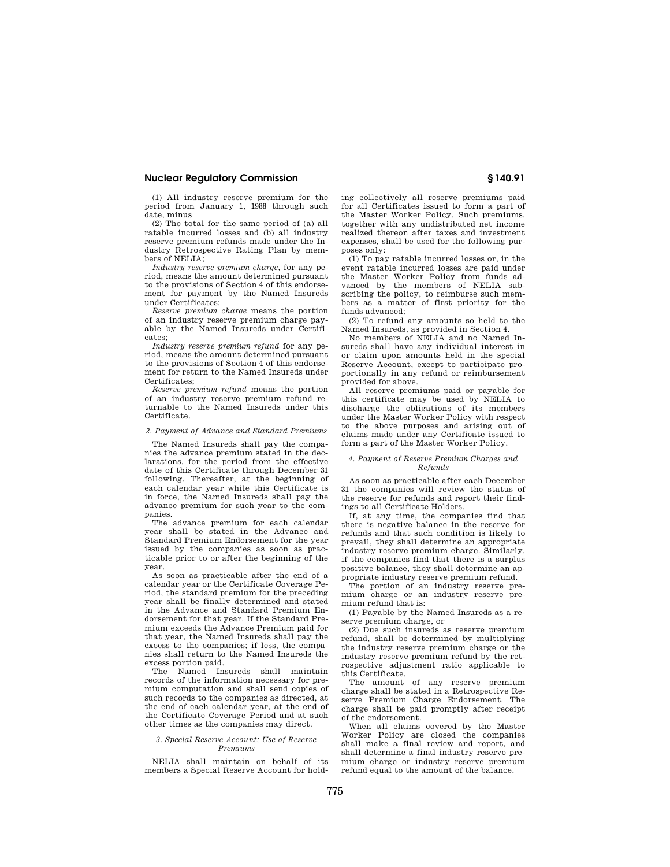(1) All industry reserve premium for the period from January 1, 1988 through such date, minus

(2) The total for the same period of (a) all ratable incurred losses and (b) all industry reserve premium refunds made under the Industry Retrospective Rating Plan by members of NELIA;

*Industry reserve premium charge,* for any period, means the amount determined pursuant to the provisions of Section 4 of this endorsement for payment by the Named Insureds under Certificates;

*Reserve premium charge* means the portion of an industry reserve premium charge payable by the Named Insureds under Certificates;

*Industry reserve premium refund* for any period, means the amount determined pursuant to the provisions of Section 4 of this endorsement for return to the Named Insureds under Certificates;

*Reserve premium refund* means the portion of an industry reserve premium refund returnable to the Named Insureds under this Certificate.

# *2. Payment of Advance and Standard Premiums*

The Named Insureds shall pay the companies the advance premium stated in the declarations, for the period from the effective date of this Certificate through December 31 following. Thereafter, at the beginning of each calendar year while this Certificate is in force, the Named Insureds shall pay the advance premium for such year to the companies.

The advance premium for each calendar year shall be stated in the Advance and Standard Premium Endorsement for the year issued by the companies as soon as practicable prior to or after the beginning of the year.

As soon as practicable after the end of a calendar year or the Certificate Coverage Period, the standard premium for the preceding year shall be finally determined and stated in the Advance and Standard Premium Endorsement for that year. If the Standard Premium exceeds the Advance Premium paid for that year, the Named Insureds shall pay the excess to the companies; if less, the companies shall return to the Named Insureds the excess portion paid.

The Named Insureds shall maintain records of the information necessary for premium computation and shall send copies of such records to the companies as directed, at the end of each calendar year, at the end of the Certificate Coverage Period and at such other times as the companies may direct.

### *3. Special Reserve Account; Use of Reserve Premiums*

NELIA shall maintain on behalf of its members a Special Reserve Account for holding collectively all reserve premiums paid for all Certificates issued to form a part of the Master Worker Policy. Such premiums, together with any undistributed net income realized thereon after taxes and investment expenses, shall be used for the following purposes only:

(1) To pay ratable incurred losses or, in the event ratable incurred losses are paid under the Master Worker Policy from funds advanced by the members of NELIA subscribing the policy, to reimburse such members as a matter of first priority for the funds advanced;

(2) To refund any amounts so held to the Named Insureds, as provided in Section 4.

No members of NELIA and no Named Insureds shall have any individual interest in or claim upon amounts held in the special Reserve Account, except to participate proportionally in any refund or reimbursement provided for above.

All reserve premiums paid or payable for this certificate may be used by NELIA to discharge the obligations of its members under the Master Worker Policy with respect to the above purposes and arising out of claims made under any Certificate issued to form a part of the Master Worker Policy.

#### *4. Payment of Reserve Premium Charges and Refunds*

As soon as practicable after each December 31 the companies will review the status of the reserve for refunds and report their findings to all Certificate Holders.

If, at any time, the companies find that there is negative balance in the reserve for refunds and that such condition is likely to prevail, they shall determine an appropriate industry reserve premium charge. Similarly, if the companies find that there is a surplus positive balance, they shall determine an appropriate industry reserve premium refund.

The portion of an industry reserve premium charge or an industry reserve premium refund that is:

(1) Payable by the Named Insureds as a reserve premium charge, or

(2) Due such insureds as reserve premium refund, shall be determined by multiplying the industry reserve premium charge or the industry reserve premium refund by the retrospective adjustment ratio applicable to this Certificate.

The amount of any reserve premium charge shall be stated in a Retrospective Reserve Premium Charge Endorsement. The charge shall be paid promptly after receipt of the endorsement.

When all claims covered by the Master Worker Policy are closed the companies shall make a final review and report, and shall determine a final industry reserve premium charge or industry reserve premium refund equal to the amount of the balance.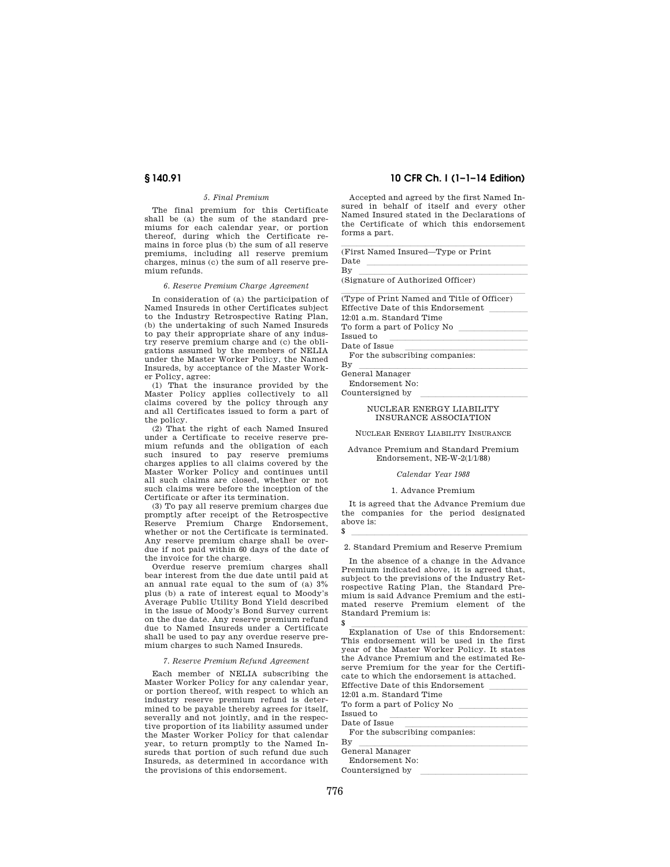# *5. Final Premium*

The final premium for this Certificate shall be (a) the sum of the standard premiums for each calendar year, or portion thereof, during which the Certificate remains in force plus (b) the sum of all reserve premiums, including all reserve premium charges, minus (c) the sum of all reserve premium refunds.

#### *6. Reserve Premium Charge Agreement*

In consideration of (a) the participation of Named Insureds in other Certificates subject to the Industry Retrospective Rating Plan, (b) the undertaking of such Named Insureds to pay their appropriate share of any industry reserve premium charge and (c) the obligations assumed by the members of NELIA under the Master Worker Policy, the Named Insureds, by acceptance of the Master Worker Policy, agree:

(1) That the insurance provided by the Master Policy applies collectively to all claims covered by the policy through any and all Certificates issued to form a part of the policy.

(2) That the right of each Named Insured under a Certificate to receive reserve premium refunds and the obligation of each such insured to pay reserve premiums charges applies to all claims covered by the Master Worker Policy and continues until all such claims are closed, whether or not such claims were before the inception of the Certificate or after its termination.

(3) To pay all reserve premium charges due promptly after receipt of the Retrospective Reserve Premium Charge Endorsement, whether or not the Certificate is terminated. Any reserve premium charge shall be overdue if not paid within 60 days of the date of the invoice for the charge.

Overdue reserve premium charges shall bear interest from the due date until paid at an annual rate equal to the sum of (a) 3% plus (b) a rate of interest equal to Moody's Average Public Utility Bond Yield described in the issue of Moody's Bond Survey current on the due date. Any reserve premium refund due to Named Insureds under a Certificate shall be used to pay any overdue reserve premium charges to such Named Insureds.

#### *7. Reserve Premium Refund Agreement*

Each member of NELIA subscribing the Master Worker Policy for any calendar year, or portion thereof, with respect to which an industry reserve premium refund is determined to be payable thereby agrees for itself, severally and not jointly, and in the respective proportion of its liability assumed under the Master Worker Policy for that calendar year, to return promptly to the Named Insureds that portion of such refund due such Insureds, as determined in accordance with the provisions of this endorsement.

# **§ 140.91 10 CFR Ch. I (1–1–14 Edition)**

Accepted and agreed by the first Named Insured in behalf of itself and every other Named Insured stated in the Declarations of the Certificate of which this endorsement forms a part.

(First Named Insured—Type or Print  $\begin{array}{ccc} \text{Date} & \text{Simplies} \ \text{Bimplies} & \text{Eimplies} \ \end{array}$ By<br>(Signature of Authorized Officer)

(Type of Print Named and Title of Officer) Effective Date of this Endorsement  $\_$ 12:01 a.m. Standard Time To form a part of Policy No<br>Issued to Date of Issue Date of Issue<br>For the subscribing companies: By lletter and Manager and Seneral Manager and Seneral Manager

Endorsement No:

Countersigned by

### NUCLEAR ENERGY LIABILITY INSURANCE ASSOCIATION

NUCLEAR ENERGY LIABILITY INSURANCE

Advance Premium and Standard Premium Endorsement, NE-W-2(1/1/88)

### *Calendar Year 1988*

#### 1. Advance Premium

It is agreed that the Advance Premium due the companies for the period designated above is:

# $\sim$ 2. Standard Premium and Reserve Premium

In the absence of a change in the Advance Premium indicated above, it is agreed that, subject to the previsions of the Industry Retrospective Rating Plan, the Standard Premium is said Advance Premium and the estimated reserve Premium element of the Standard Premium is:

\$ Explanation of Use of this Endorsement: This endorsement will be used in the first year of the Master Worker Policy. It states the Advance Premium and the estimated Reserve Premium for the year for the Certificate to which the endorsement is attached. Effective Date of this Endorsement 12:01 a.m. Standard Time To form a part of Policy No  $\overline{\phantom{a}}$ <br>Issued to Date of Issue Date of Issue<br>For the subscribing companies: By lletter and Manager and Seneral Manager and Seneral Manager

Endorsement No: Countersigned by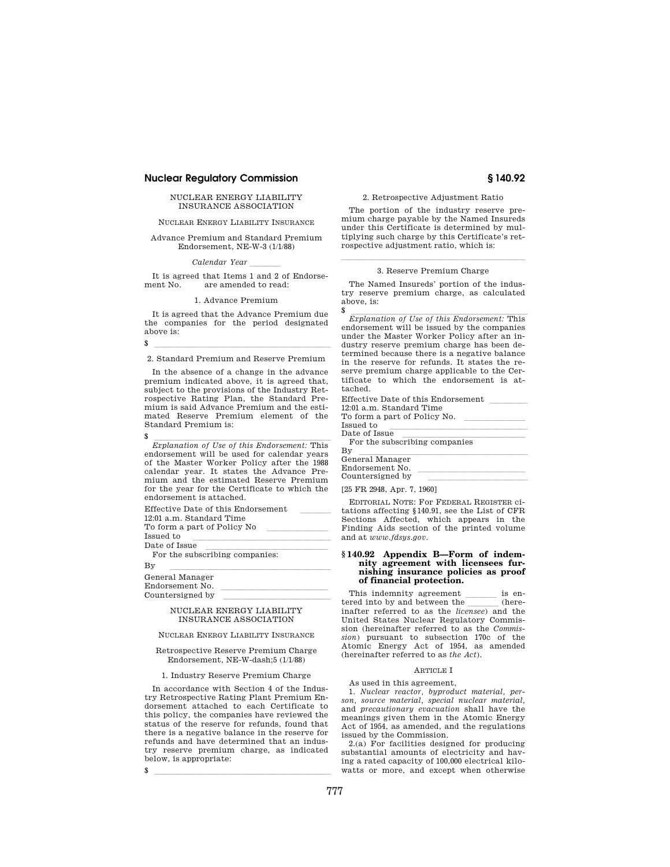# NUCLEAR ENERGY LIABILITY INSURANCE ASSOCIATION

# NUCLEAR ENERGY LIABILITY INSURANCE

# Advance Premium and Standard Premium Endorsement, NE-W-3 (1/1/88)

#### *Calendar Year*

It is agreed that Items 1 and 2 of Endorsement No. are amended to read:

#### 1. Advance Premium

It is agreed that the Advance Premium due the companies for the period designated above is:

\$ lllllllllllllllllllllll 2. Standard Premium and Reserve Premium

In the absence of a change in the advance premium indicated above, it is agreed that, subject to the provisions of the Industry Retrospective Rating Plan, the Standard Premium is said Advance Premium and the estimated Reserve Premium element of the Standard Premium is:

 $\frac{1}{\sqrt{\frac{1}{2}}\sum_{i=1}^{\infty} \frac{1}{i}}$  *Explanation of Use of this Endorsement:* This endorsement will be used for calendar years of the Master Worker Policy after the 1988 calendar year. It states the Advance Premium and the estimated Reserve Premium for the year for the Certificate to which the endorsement is attached.

| Effective Date of this Endorsement |  |
|------------------------------------|--|
| 12:01 a.m. Standard Time           |  |
| To form a part of Policy No        |  |
| Teened to                          |  |

Issued to<br>Date of Issue

Date of Issue<br>For the subscribing companies:

# By llementary controller and the set of the set of the set of the set of the set of the set of the set of the set of the set of the set of the set of the set of the set of the set of the set of the set of the set of the se

Endorsement No. Countersigned by

#### NUCLEAR ENERGY LIABILITY INSURANCE ASSOCIATION

### NUCLEAR ENERGY LIABILITY INSURANCE

#### Retrospective Reserve Premium Charge Endorsement, NE-W-dash;5 (1/1/88)

#### 1. Industry Reserve Premium Charge

In accordance with Section 4 of the Industry Retrospective Rating Plant Premium Endorsement attached to each Certificate to this policy, the companies have reviewed the status of the reserve for refunds, found that there is a negative balance in the reserve for refunds and have determined that an industry reserve premium charge, as indicated below, is appropriate:

 $\sim$ 

# 2. Retrospective Adjustment Ratio

The portion of the industry reserve premium charge payable by the Named Insureds under this Certificate is determined by multiplying such charge by this Certificate's retrospective adjustment ratio, which is:

#### lllalla sin anno 1980. I se anno 1980 anno 1980 anno 1980 anno 1980 anno 1980 anno 1980. 3. Reserve Premium Charge

The Named Insureds' portion of the industry reserve premium charge, as calculated above, is:

\$  $\frac{1}{Explanation\ of\ Use\ of\ this\ Endorsement: This}$ endorsement will be issued by the companies under the Master Worker Policy after an industry reserve premium charge has been determined because there is a negative balance in the reserve for refunds. It states the reserve premium charge applicable to the Certificate to which the endorsement is attached.

| Effective Date of this Endorsement |
|------------------------------------|
| 12:01 a.m. Standard Time           |
| To form a part of Policy No.       |
| Issued to                          |
| Date of Issue                      |
| For the subscribing companies      |
| $\mathbf{B}\mathbf{y}$             |
| General Manager                    |

| General Manager  |  |
|------------------|--|
| Endorsement No.  |  |
| Countersigned by |  |
|                  |  |

[25 FR 2948, Apr. 7, 1960]

EDITORIAL NOTE: For FEDERAL REGISTER citations affecting §140.91, see the List of CFR Sections Affected, which appears in the Finding Aids section of the printed volume and at *www.fdsys.gov.* 

#### **§ 140.92 Appendix B—Form of indemnity agreement with licensees furnishing insurance policies as proof of financial protection.**

This indemnity agreement  $\frac{\ }{\ }$  is entired into by and between the tered into by and between the *licensee*) and the linear referred to as the *licensee*) and the United States Nuclear Regulatory Commission (hereinafter referred to as the *Commission*) pursuant to subsection 170c of the Atomic Energy Act of 1954, as amended (hereinafter referred to as *the Act*).

# ARTICLE I

### As used in this agreement,

1. *Nuclear reactor, byproduct material, person, source material, special nuclear material,*  and *precautionary evacuation* shall have the meanings given them in the Atomic Energy Act of 1954, as amended, and the regulations issued by the Commission.

2.(a) For facilities designed for producing substantial amounts of electricity and having a rated capacity of 100,000 electrical kilowatts or more, and except when otherwise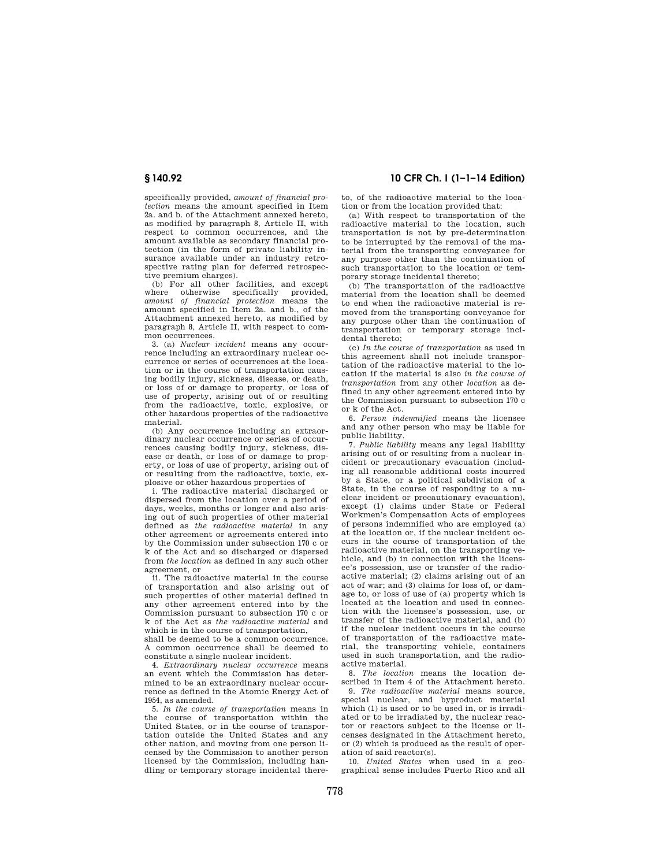specifically provided, *amount of financial protection* means the amount specified in Item 2a. and b. of the Attachment annexed hereto, as modified by paragraph 8, Article II, with respect to common occurrences, and the amount available as secondary financial protection (in the form of private liability insurance available under an industry retrospective rating plan for deferred retrospective premium charges).

(b) For all other facilities, and except where otherwise specifically provided, *amount of financial protection* means the amount specified in Item 2a. and b., of the Attachment annexed hereto, as modified by paragraph 8, Article II, with respect to common occurrences.

3. (a) *Nuclear incident* means any occurrence including an extraordinary nuclear occurrence or series of occurrences at the location or in the course of transportation causing bodily injury, sickness, disease, or death, or loss of or damage to property, or loss of use of property, arising out of or resulting from the radioactive, toxic, explosive, or other hazardous properties of the radioactive material.

(b) Any occurrence including an extraordinary nuclear occurrence or series of occurrences causing bodily injury, sickness, disease or death, or loss of or damage to property, or loss of use of property, arising out of or resulting from the radioactive, toxic, explosive or other hazardous properties of

i. The radioactive material discharged or dispersed from the location over a period of days, weeks, months or longer and also arising out of such properties of other material defined as *the radioactive material* in any other agreement or agreements entered into by the Commission under subsection 170 c or k of the Act and so discharged or dispersed from *the location* as defined in any such other agreement, or

ii. The radioactive material in the course of transportation and also arising out of such properties of other material defined in any other agreement entered into by the Commission pursuant to subsection 170 c or k of the Act as *the radioactive material* and which is in the course of transportation,

shall be deemed to be a common occurrence. A common occurrence shall be deemed to constitute a single nuclear incident.

4. *Extraordinary nuclear occurrence* means an event which the Commission has determined to be an extraordinary nuclear occurrence as defined in the Atomic Energy Act of 1954, as amended.

5. *In the course of transportation* means in the course of transportation within the United States, or in the course of transportation outside the United States and any other nation, and moving from one person licensed by the Commission to another person licensed by the Commission, including handling or temporary storage incidental there-

# **§ 140.92 10 CFR Ch. I (1–1–14 Edition)**

to, of the radioactive material to the location or from the location provided that:

(a) With respect to transportation of the radioactive material to the location, such transportation is not by pre-determination to be interrupted by the removal of the material from the transporting conveyance for any purpose other than the continuation of such transportation to the location or temporary storage incidental thereto;

(b) The transportation of the radioactive material from the location shall be deemed to end when the radioactive material is removed from the transporting conveyance for any purpose other than the continuation of transportation or temporary storage incidental thereto;

(c) *In the course of transportation* as used in this agreement shall not include transportation of the radioactive material to the location if the material is also *in the course of transportation* from any other *location* as defined in any other agreement entered into by the Commission pursuant to subsection 170 c or k of the Act.

6. *Person indemnified* means the licensee and any other person who may be liable for public liability.

7. *Public liability* means any legal liability arising out of or resulting from a nuclear incident or precautionary evacuation (including all reasonable additional costs incurred by a State, or a political subdivision of a State, in the course of responding to a nuclear incident or precautionary evacuation), except (1) claims under State or Federal Workmen's Compensation Acts of employees of persons indemnified who are employed (a) at the location or, if the nuclear incident occurs in the course of transportation of the radioactive material, on the transporting vehicle, and (b) in connection with the licensee's possession, use or transfer of the radioactive material; (2) claims arising out of an act of war; and (3) claims for loss of, or damage to, or loss of use of (a) property which is located at the location and used in connection with the licensee's possession, use, or transfer of the radioactive material, and (b) if the nuclear incident occurs in the course of transportation of the radioactive material, the transporting vehicle, containers used in such transportation, and the radioactive material.

8. *The location* means the location described in Item 4 of the Attachment hereto.

9. *The radioactive material* means source, special nuclear, and byproduct material which (1) is used or to be used in, or is irradiated or to be irradiated by, the nuclear reactor or reactors subject to the license or licenses designated in the Attachment hereto, or (2) which is produced as the result of operation of said reactor(s).

10. *United States* when used in a geographical sense includes Puerto Rico and all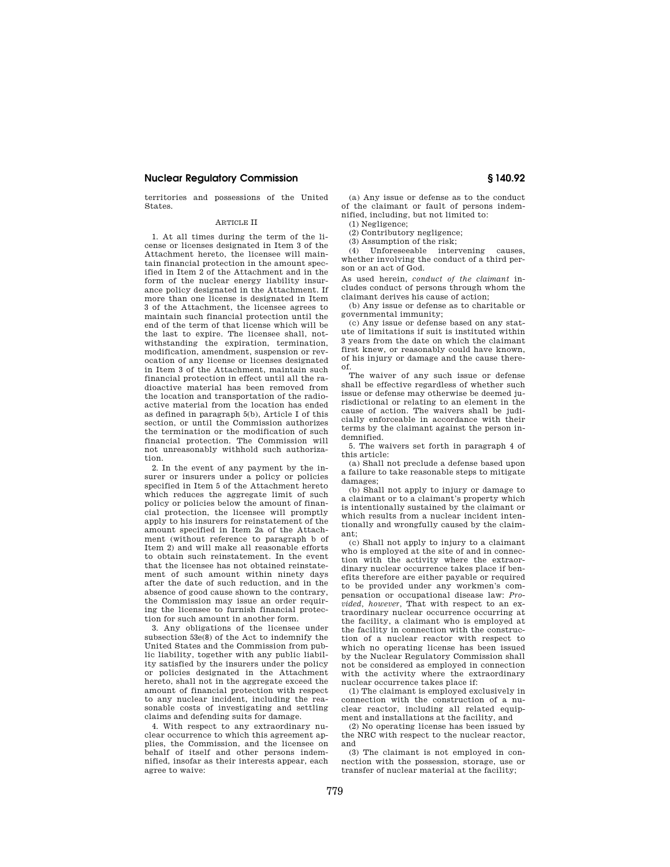territories and possessions of the United States.

#### ARTICLE II

1. At all times during the term of the license or licenses designated in Item 3 of the Attachment hereto, the licensee will maintain financial protection in the amount specified in Item 2 of the Attachment and in the form of the nuclear energy liability insurance policy designated in the Attachment. If more than one license is designated in Item 3 of the Attachment, the licensee agrees to maintain such financial protection until the end of the term of that license which will be the last to expire. The licensee shall, notwithstanding the expiration, termination, modification, amendment, suspension or revocation of any license or licenses designated in Item 3 of the Attachment, maintain such financial protection in effect until all the radioactive material has been removed from the location and transportation of the radioactive material from the location has ended as defined in paragraph 5(b), Article I of this section, or until the Commission authorizes the termination or the modification of such financial protection. The Commission will not unreasonably withhold such authorization.

2. In the event of any payment by the insurer or insurers under a policy or policies specified in Item 5 of the Attachment hereto which reduces the aggregate limit of such policy or policies below the amount of financial protection, the licensee will promptly apply to his insurers for reinstatement of the amount specified in Item 2a of the Attachment (without reference to paragraph b of Item 2) and will make all reasonable efforts to obtain such reinstatement. In the event that the licensee has not obtained reinstatement of such amount within ninety days after the date of such reduction, and in the absence of good cause shown to the contrary, the Commission may issue an order requiring the licensee to furnish financial protection for such amount in another form.

3. Any obligations of the licensee under subsection 53e(8) of the Act to indemnify the United States and the Commission from public liability, together with any public liability satisfied by the insurers under the policy or policies designated in the Attachment hereto, shall not in the aggregate exceed the amount of financial protection with respect to any nuclear incident, including the reasonable costs of investigating and settling claims and defending suits for damage.

4. With respect to any extraordinary nuclear occurrence to which this agreement applies, the Commission, and the licensee on behalf of itself and other persons indemnified, insofar as their interests appear, each agree to waive:

(a) Any issue or defense as to the conduct of the claimant or fault of persons indemnified, including, but not limited to:

(1) Negligence; (2) Contributory negligence;

(3) Assumption of the risk; (4) Unforeseeable intervening causes,

whether involving the conduct of a third person or an act of God.

As used herein, *conduct of the claimant* includes conduct of persons through whom the claimant derives his cause of action;

(b) Any issue or defense as to charitable or governmental immunity;

(c) Any issue or defense based on any statute of limitations if suit is instituted within 3 years from the date on which the claimant first knew, or reasonably could have known, of his injury or damage and the cause thereof.

The waiver of any such issue or defense shall be effective regardless of whether such issue or defense may otherwise be deemed jurisdictional or relating to an element in the cause of action. The waivers shall be judicially enforceable in accordance with their terms by the claimant against the person indemnified.

5. The waivers set forth in paragraph 4 of this article:

(a) Shall not preclude a defense based upon a failure to take reasonable steps to mitigate damages;

(b) Shall not apply to injury or damage to a claimant or to a claimant's property which is intentionally sustained by the claimant or which results from a nuclear incident intentionally and wrongfully caused by the claimant;

(c) Shall not apply to injury to a claimant who is employed at the site of and in connection with the activity where the extraordinary nuclear occurrence takes place if benefits therefore are either payable or required to be provided under any workmen's compensation or occupational disease law: *Provided, however,* That with respect to an extraordinary nuclear occurrence occurring at the facility, a claimant who is employed at the facility in connection with the construction of a nuclear reactor with respect to which no operating license has been issued by the Nuclear Regulatory Commission shall not be considered as employed in connection with the activity where the extraordinary nuclear occurrence takes place if:

(1) The claimant is employed exclusively in connection with the construction of a nuclear reactor, including all related equipment and installations at the facility, and

(2) No operating license has been issued by the NRC with respect to the nuclear reactor, and

(3) The claimant is not employed in connection with the possession, storage, use or transfer of nuclear material at the facility;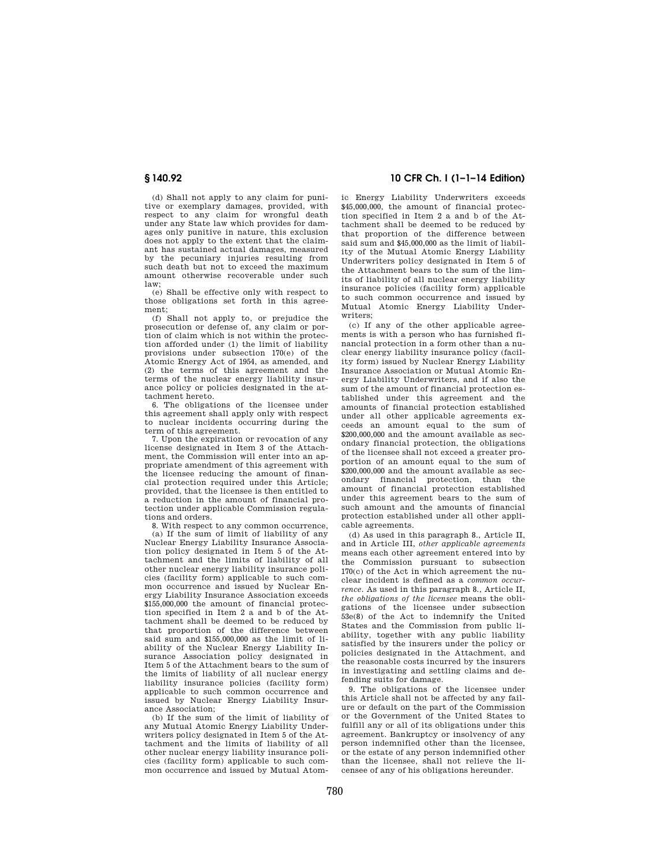(d) Shall not apply to any claim for punitive or exemplary damages, provided, with respect to any claim for wrongful death under any State law which provides for damages only punitive in nature, this exclusion does not apply to the extent that the claimant has sustained actual damages, measured by the pecuniary injuries resulting from such death but not to exceed the maximum amount otherwise recoverable under such law;

(e) Shall be effective only with respect to those obligations set forth in this agreement;

(f) Shall not apply to, or prejudice the prosecution or defense of, any claim or portion of claim which is not within the protection afforded under (1) the limit of liability provisions under subsection 170(e) of the Atomic Energy Act of 1954, as amended, and (2) the terms of this agreement and the terms of the nuclear energy liability insurance policy or policies designated in the attachment hereto.

6. The obligations of the licensee under this agreement shall apply only with respect to nuclear incidents occurring during the term of this agreement.

7. Upon the expiration or revocation of any license designated in Item 3 of the Attachment, the Commission will enter into an appropriate amendment of this agreement with the licensee reducing the amount of financial protection required under this Article; provided, that the licensee is then entitled to a reduction in the amount of financial protection under applicable Commission regulations and orders.

8. With respect to any common occurrence, (a) If the sum of limit of liability of any Nuclear Energy Liability Insurance Association policy designated in Item 5 of the Attachment and the limits of liability of all other nuclear energy liability insurance policies (facility form) applicable to such common occurrence and issued by Nuclear Energy Liability Insurance Association exceeds \$155,000,000 the amount of financial protection specified in Item 2 a and b of the Attachment shall be deemed to be reduced by that proportion of the difference between said sum and \$155,000,000 as the limit of liability of the Nuclear Energy Liability Insurance Association policy designated in Item 5 of the Attachment bears to the sum of the limits of liability of all nuclear energy liability insurance policies (facility form) applicable to such common occurrence and issued by Nuclear Energy Liability Insurance Association;

(b) If the sum of the limit of liability of any Mutual Atomic Energy Liability Underwriters policy designated in Item 5 of the Attachment and the limits of liability of all other nuclear energy liability insurance policies (facility form) applicable to such common occurrence and issued by Mutual Atom-

# **§ 140.92 10 CFR Ch. I (1–1–14 Edition)**

ic Energy Liability Underwriters exceeds \$45,000,000, the amount of financial protection specified in Item 2 a and b of the Attachment shall be deemed to be reduced by that proportion of the difference between said sum and \$45,000,000 as the limit of liability of the Mutual Atomic Energy Liability Underwriters policy designated in Item 5 of the Attachment bears to the sum of the limits of liability of all nuclear energy liability insurance policies (facility form) applicable to such common occurrence and issued by Mutual Atomic Energy Liability Underwriters;

(c) If any of the other applicable agreements is with a person who has furnished financial protection in a form other than a nuclear energy liability insurance policy (facility form) issued by Nuclear Energy Liability Insurance Association or Mutual Atomic Energy Liability Underwriters, and if also the sum of the amount of financial protection established under this agreement and the amounts of financial protection established under all other applicable agreements exceeds an amount equal to the sum of \$200,000,000 and the amount available as secondary financial protection, the obligations of the licensee shall not exceed a greater proportion of an amount equal to the sum of \$200,000,000 and the amount available as secondary financial protection, than the amount of financial protection established under this agreement bears to the sum of such amount and the amounts of financial protection established under all other applicable agreements.

(d) As used in this paragraph 8., Article II, and in Article III, *other applicable agreements*  means each other agreement entered into by the Commission pursuant to subsection 170(c) of the Act in which agreement the nuclear incident is defined as a *common occurrence.* As used in this paragraph 8., Article II, *the obligations of the licensee* means the obligations of the licensee under subsection 53e(8) of the Act to indemnify the United States and the Commission from public liability, together with any public liability satisfied by the insurers under the policy or policies designated in the Attachment, and the reasonable costs incurred by the insurers in investigating and settling claims and defending suits for damage.

9. The obligations of the licensee under this Article shall not be affected by any failure or default on the part of the Commission or the Government of the United States to fulfill any or all of its obligations under this agreement. Bankruptcy or insolvency of any person indemnified other than the licensee, or the estate of any person indemnified other than the licensee, shall not relieve the licensee of any of his obligations hereunder.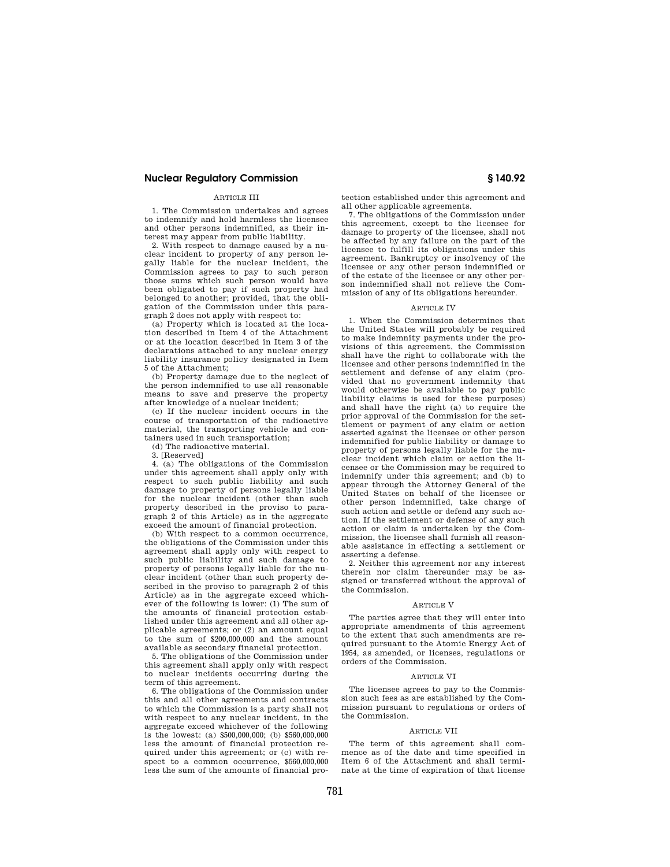# ARTICLE III

1. The Commission undertakes and agrees to indemnify and hold harmless the licensee and other persons indemnified, as their interest may appear from public liability.

2. With respect to damage caused by a nuclear incident to property of any person legally liable for the nuclear incident, the Commission agrees to pay to such person those sums which such person would have been obligated to pay if such property had belonged to another; provided, that the obligation of the Commission under this paragraph 2 does not apply with respect to:

(a) Property which is located at the location described in Item 4 of the Attachment or at the location described in Item 3 of the declarations attached to any nuclear energy liability insurance policy designated in Item 5 of the Attachment;

(b) Property damage due to the neglect of the person indemnified to use all reasonable means to save and preserve the property after knowledge of a nuclear incident;

(c) If the nuclear incident occurs in the course of transportation of the radioactive material, the transporting vehicle and containers used in such transportation;

(d) The radioactive material.

3. [Reserved]

4. (a) The obligations of the Commission under this agreement shall apply only with respect to such public liability and such damage to property of persons legally liable for the nuclear incident (other than such property described in the proviso to paragraph 2 of this Article) as in the aggregate exceed the amount of financial protection.

(b) With respect to a common occurrence, the obligations of the Commission under this agreement shall apply only with respect to such public liability and such damage to property of persons legally liable for the nuclear incident (other than such property described in the proviso to paragraph 2 of this Article) as in the aggregate exceed whichever of the following is lower: (1) The sum of the amounts of financial protection established under this agreement and all other applicable agreements; or (2) an amount equal to the sum of \$200,000,000 and the amount available as secondary financial protection.

5. The obligations of the Commission under this agreement shall apply only with respect to nuclear incidents occurring during the term of this agreement.

6. The obligations of the Commission under this and all other agreements and contracts to which the Commission is a party shall not with respect to any nuclear incident, in the aggregate exceed whichever of the following is the lowest: (a) \$500,000,000; (b) \$560,000,000 less the amount of financial protection required under this agreement; or (c) with respect to a common occurrence, \$560,000,000 less the sum of the amounts of financial protection established under this agreement and all other applicable agreements.

7. The obligations of the Commission under this agreement, except to the licensee for damage to property of the licensee, shall not be affected by any failure on the part of the licensee to fulfill its obligations under this agreement. Bankruptcy or insolvency of the licensee or any other person indemnified or of the estate of the licensee or any other person indemnified shall not relieve the Commission of any of its obligations hereunder.

#### ARTICLE IV

1. When the Commission determines that the United States will probably be required to make indemnity payments under the provisions of this agreement, the Commission shall have the right to collaborate with the licensee and other persons indemnified in the settlement and defense of any claim (provided that no government indemnity that would otherwise be available to pay public liability claims is used for these purposes) and shall have the right (a) to require the prior approval of the Commission for the settlement or payment of any claim or action asserted against the licensee or other person indemnified for public liability or damage to property of persons legally liable for the nuclear incident which claim or action the licensee or the Commission may be required to indemnify under this agreement; and (b) to appear through the Attorney General of the United States on behalf of the licensee or other person indemnified, take charge of such action and settle or defend any such action. If the settlement or defense of any such action or claim is undertaken by the Commission, the licensee shall furnish all reasonable assistance in effecting a settlement or asserting a defense.

2. Neither this agreement nor any interest therein nor claim thereunder may be assigned or transferred without the approval of the Commission.

#### ARTICLE V

The parties agree that they will enter into appropriate amendments of this agreement to the extent that such amendments are required pursuant to the Atomic Energy Act of 1954, as amended, or licenses, regulations or orders of the Commission.

#### ARTICLE VI

The licensee agrees to pay to the Commission such fees as are established by the Commission pursuant to regulations or orders of the Commission.

#### ARTICLE VII

The term of this agreement shall commence as of the date and time specified in Item 6 of the Attachment and shall terminate at the time of expiration of that license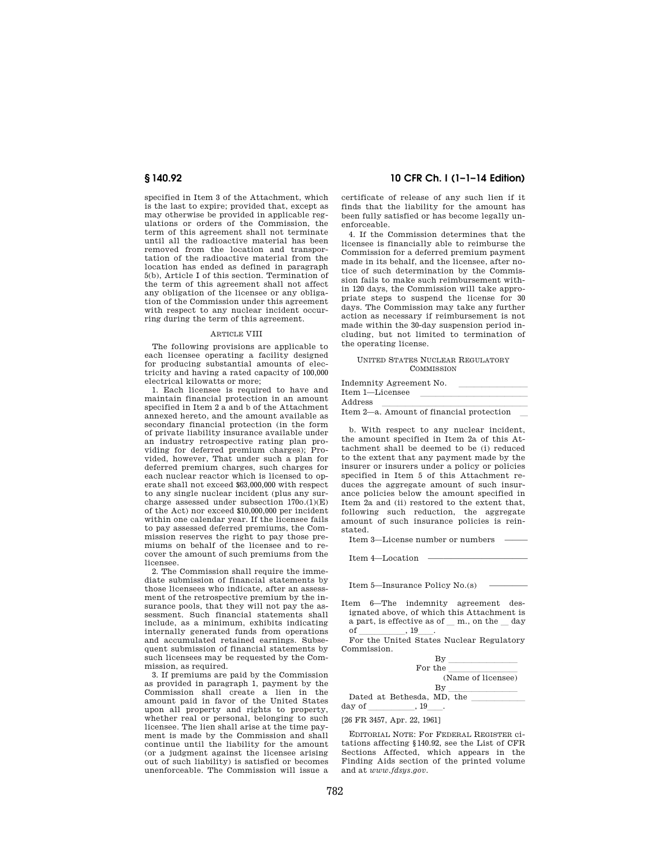specified in Item 3 of the Attachment, which is the last to expire; provided that, except as may otherwise be provided in applicable regulations or orders of the Commission, the term of this agreement shall not terminate until all the radioactive material has been removed from the location and transportation of the radioactive material from the location has ended as defined in paragraph 5(b), Article I of this section. Termination of the term of this agreement shall not affect any obligation of the licensee or any obligation of the Commission under this agreement with respect to any nuclear incident occurring during the term of this agreement.

#### ARTICLE VIII

The following provisions are applicable to each licensee operating a facility designed for producing substantial amounts of electricity and having a rated capacity of 100,000 electrical kilowatts or more;

1. Each licensee is required to have and maintain financial protection in an amount specified in Item 2 a and b of the Attachment annexed hereto, and the amount available as secondary financial protection (in the form of private liability insurance available under an industry retrospective rating plan providing for deferred premium charges); Provided, however, That under such a plan for deferred premium charges, such charges for each nuclear reactor which is licensed to operate shall not exceed \$63,000,000 with respect to any single nuclear incident (plus any surcharge assessed under subsection  $170o.(1)(E)$ of the Act) nor exceed \$10,000,000 per incident within one calendar year. If the licensee fails to pay assessed deferred premiums, the Commission reserves the right to pay those premiums on behalf of the licensee and to recover the amount of such premiums from the licensee.

2. The Commission shall require the immediate submission of financial statements by those licensees who indicate, after an assessment of the retrospective premium by the insurance pools, that they will not pay the assessment. Such financial statements shall include, as a minimum, exhibits indicating internally generated funds from operations and accumulated retained earnings. Subsequent submission of financial statements by such licensees may be requested by the Commission, as required.

3. If premiums are paid by the Commission as provided in paragraph 1, payment by the Commission shall create a lien in the amount paid in favor of the United States upon all property and rights to property, whether real or personal, belonging to such licensee. The lien shall arise at the time payment is made by the Commission and shall continue until the liability for the amount (or a judgment against the licensee arising out of such liability) is satisfied or becomes unenforceable. The Commission will issue a

# **§ 140.92 10 CFR Ch. I (1–1–14 Edition)**

certificate of release of any such lien if it finds that the liability for the amount has been fully satisfied or has become legally unenforceable.

4. If the Commission determines that the licensee is financially able to reimburse the Commission for a deferred premium payment made in its behalf, and the licensee, after notice of such determination by the Commission fails to make such reimbursement within 120 days, the Commission will take appropriate steps to suspend the license for 30 days. The Commission may take any further action as necessary if reimbursement is not made within the 30-day suspension period including, but not limited to termination of the operating license.

#### UNITED STATES NUCLEAR REGULATORY COMMISSION

Indemnity Agreement No.

| Item 1—Licensee |                                          |  |
|-----------------|------------------------------------------|--|
| Address         |                                          |  |
|                 | Item 2—a. Amount of financial protection |  |

b. With respect to any nuclear incident, the amount specified in Item 2a of this Attachment shall be deemed to be (i) reduced to the extent that any payment made by the insurer or insurers under a policy or policies specified in Item 5 of this Attachment reduces the aggregate amount of such insurance policies below the amount specified in Item 2a and (ii) restored to the extent that, following such reduction, the aggregate amount of such insurance policies is reinstated.

Item 3—License number or numbers —

Item 4—Location -

Item 5—Insurance Policy No.(s) —

Item 6—The indemnity agreement designated above, of which this Attachment is a part, is effective as of  $\_\,$  m., on the  $\_\,$  day of  $\_\,$ , 19 $\_\,$ . of \_\_\_\_\_\_\_\_\_\_, 19\_\_\_\_.<br>For the United States Nuclear Regulatory

Commission.

| Βv                         |
|----------------------------|
| For the                    |
| (Name of licensee)         |
| By                         |
| Dated at Bethesda, MD, the |
| 19                         |
|                            |

[26 FR 3457, Apr. 22, 1961]

EDITORIAL NOTE: For FEDERAL REGISTER citations affecting §140.92, see the List of CFR Sections Affected, which appears in the Finding Aids section of the printed volume and at *www.fdsys.gov.*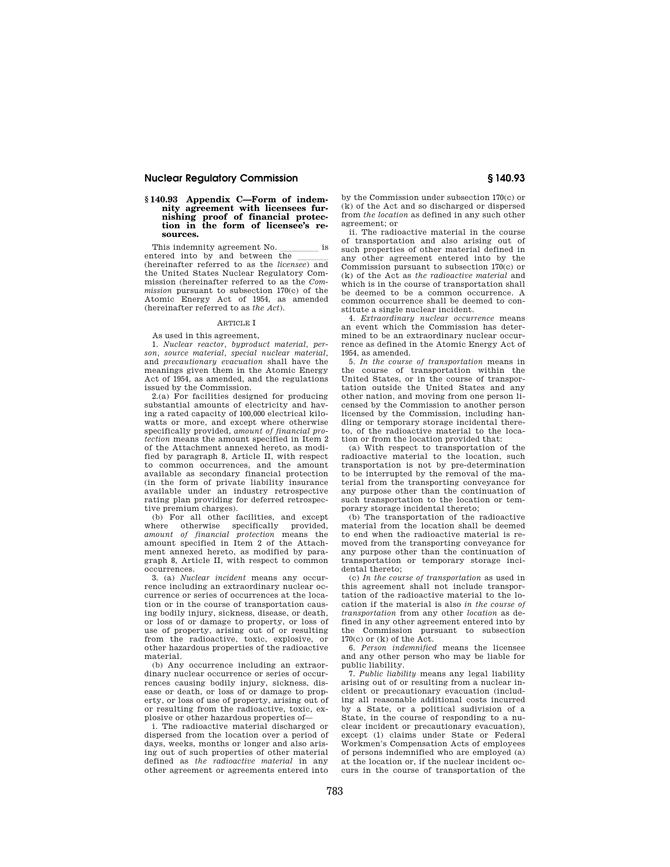# **§ 140.93 Appendix C—Form of indemnity agreement with licensees furnishing proof of financial protec-tion in the form of licensee's resources.**

This indemnity agreement No. \_\_\_\_\_\_\_\_\_ is entered into by and between  $\overline{\text{the}}$ (hereinafter referred to as the *licensee*) and

the United States Nuclear Regulatory Commission (hereinafter referred to as the *Commission* pursuant to subsection 170(c) of the Atomic Energy Act of 1954, as amended (hereinafter referred to as *the Act*).

# ARTICLE I

As used in this agreement,

1. *Nuclear reactor, byproduct material, person, source material, special nuclear material,*  and *precautionary evacuation* shall have the meanings given them in the Atomic Energy Act of 1954, as amended, and the regulations issued by the Commission.

2.(a) For facilities designed for producing substantial amounts of electricity and having a rated capacity of 100,000 electrical kilowatts or more, and except where otherwise specifically provided, *amount of financial protection* means the amount specified in Item 2 of the Attachment annexed hereto, as modified by paragraph 8, Article II, with respect to common occurrences, and the amount available as secondary financial protection (in the form of private liability insurance available under an industry retrospective rating plan providing for deferred retrospective premium charges).

(b) For all other facilities, and except where otherwise specifically provided, *amount of financial protection* means the amount specified in Item 2 of the Attachment annexed hereto, as modified by paragraph 8, Article II, with respect to common occurrences.

3. (a) *Nuclear incident* means any occurrence including an extraordinary nuclear occurrence or series of occurrences at the location or in the course of transportation causing bodily injury, sickness, disease, or death, or loss of or damage to property, or loss of use of property, arising out of or resulting from the radioactive, toxic, explosive, or other hazardous properties of the radioactive material.

(b) Any occurrence including an extraordinary nuclear occurrence or series of occurrences causing bodily injury, sickness, disease or death, or loss of or damage to property, or loss of use of property, arising out of or resulting from the radioactive, toxic, explosive or other hazardous properties of—

i. The radioactive material discharged or dispersed from the location over a period of days, weeks, months or longer and also arising out of such properties of other material defined as *the radioactive material* in any other agreement or agreements entered into by the Commission under subsection 170(c) or (k) of the Act and so discharged or dispersed from *the location* as defined in any such other agreement; or

ii. The radioactive material in the course of transportation and also arising out of such properties of other material defined in any other agreement entered into by the Commission pursuant to subsection 170(c) or (k) of the Act as *the radioactive material* and which is in the course of transportation shall be deemed to be a common occurrence. A common occurrence shall be deemed to constitute a single nuclear incident.

4. *Extraordinary nuclear occurrence* means an event which the Commission has determined to be an extraordinary nuclear occurrence as defined in the Atomic Energy Act of 1954, as amended.

5. *In the course of transportation* means in the course of transportation within the United States, or in the course of transportation outside the United States and any other nation, and moving from one person licensed by the Commission to another person licensed by the Commission, including handling or temporary storage incidental thereto, of the radioactive material to the location or from the location provided that:

(a) With respect to transportation of the radioactive material to the location, such transportation is not by pre-determination to be interrupted by the removal of the material from the transporting conveyance for any purpose other than the continuation of such transportation to the location or temporary storage incidental thereto;

(b) The transportation of the radioactive material from the location shall be deemed to end when the radioactive material is removed from the transporting conveyance for any purpose other than the continuation of transportation or temporary storage incidental thereto;

(c) *In the course of transportation* as used in this agreement shall not include transportation of the radioactive material to the location if the material is also *in the course of transportation* from any other *location* as defined in any other agreement entered into by the Commission pursuant to subsection 170(c) or (k) of the Act.

6. *Person indemnified* means the licensee and any other person who may be liable for public liability.

7. *Public liability* means any legal liability arising out of or resulting from a nuclear incident or precautionary evacuation (including all reasonable additional costs incurred by a State, or a political sudivision of a State, in the course of responding to a nuclear incident or precautionary evacuation), except (1) claims under State or Federal Workmen's Compensation Acts of employees of persons indemnified who are employed (a) at the location or, if the nuclear incident occurs in the course of transportation of the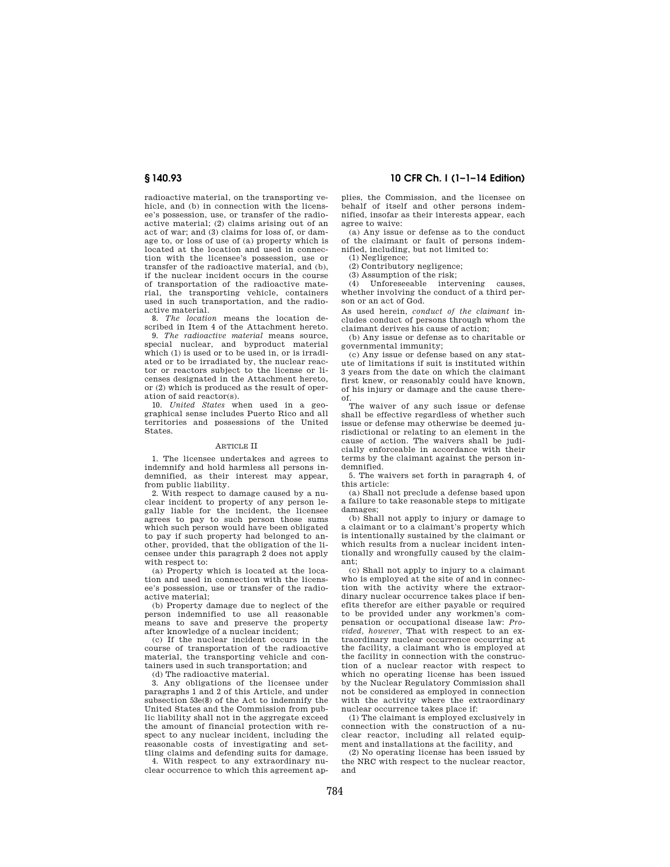radioactive material, on the transporting vehicle, and (b) in connection with the licensee's possession, use, or transfer of the radioactive material; (2) claims arising out of an act of war; and (3) claims for loss of, or damage to, or loss of use of (a) property which is located at the location and used in connection with the licensee's possession, use or transfer of the radioactive material, and (b), if the nuclear incident occurs in the course of transportation of the radioactive material, the transporting vehicle, containers used in such transportation, and the radioactive material.

8. *The location* means the location described in Item 4 of the Attachment hereto.

9. *The radioactive material* means source, special nuclear, and byproduct material which (1) is used or to be used in, or is irradiated or to be irradiated by, the nuclear reactor or reactors subject to the license or licenses designated in the Attachment hereto, or (2) which is produced as the result of operation of said reactor(s).

10. *United States* when used in a geographical sense includes Puerto Rico and all territories and possessions of the United States.

# ARTICLE II

1. The licensee undertakes and agrees to indemnify and hold harmless all persons indemnified, as their interest may appear, from public liability.

2. With respect to damage caused by a nuclear incident to property of any person legally liable for the incident, the licensee agrees to pay to such person those sums which such person would have been obligated to pay if such property had belonged to another, provided, that the obligation of the licensee under this paragraph 2 does not apply with respect to:

(a) Property which is located at the location and used in connection with the licensee's possession, use or transfer of the radioactive material;

(b) Property damage due to neglect of the person indemnified to use all reasonable means to save and preserve the property after knowledge of a nuclear incident;

(c) If the nuclear incident occurs in the course of transportation of the radioactive material, the transporting vehicle and containers used in such transportation; and

(d) The radioactive material.

3. Any obligations of the licensee under paragraphs 1 and 2 of this Article, and under subsection 53e(8) of the Act to indemnify the United States and the Commission from public liability shall not in the aggregate exceed the amount of financial protection with respect to any nuclear incident, including the reasonable costs of investigating and settling claims and defending suits for damage.

4. With respect to any extraordinary nuclear occurrence to which this agreement ap-

# **§ 140.93 10 CFR Ch. I (1–1–14 Edition)**

plies, the Commission, and the licensee on behalf of itself and other persons indemnified, insofar as their interests appear, each agree to waive:

(a) Any issue or defense as to the conduct of the claimant or fault of persons indemnified, including, but not limited to:

(1) Negligence;

(2) Contributory negligence;

(3) Assumption of the risk;

(4) Unforeseeable intervening causes, whether involving the conduct of a third person or an act of God.

As used herein, *conduct of the claimant* includes conduct of persons through whom the claimant derives his cause of action;

(b) Any issue or defense as to charitable or governmental immunity;

(c) Any issue or defense based on any statute of limitations if suit is instituted within 3 years from the date on which the claimant first knew, or reasonably could have known, of his injury or damage and the cause thereof.

The waiver of any such issue or defense shall be effective regardless of whether such issue or defense may otherwise be deemed jurisdictional or relating to an element in the cause of action. The waivers shall be judicially enforceable in accordance with their terms by the claimant against the person indemnified.

5. The waivers set forth in paragraph 4, of this article:

(a) Shall not preclude a defense based upon a failure to take reasonable steps to mitigate damages;

(b) Shall not apply to injury or damage to a claimant or to a claimant's property which is intentionally sustained by the claimant or which results from a nuclear incident intentionally and wrongfully caused by the claimant;

(c) Shall not apply to injury to a claimant who is employed at the site of and in connection with the activity where the extraordinary nuclear occurrence takes place if benefits therefor are either payable or required to be provided under any workmen's compensation or occupational disease law: *Provided, however,* That with respect to an extraordinary nuclear occurrence occurring at the facility, a claimant who is employed at the facility in connection with the construction of a nuclear reactor with respect to which no operating license has been issued by the Nuclear Regulatory Commission shall not be considered as employed in connection with the activity where the extraordinary nuclear occurrence takes place if:

(1) The claimant is employed exclusively in connection with the construction of a nuclear reactor, including all related equipment and installations at the facility, and

(2) No operating license has been issued by the NRC with respect to the nuclear reactor, and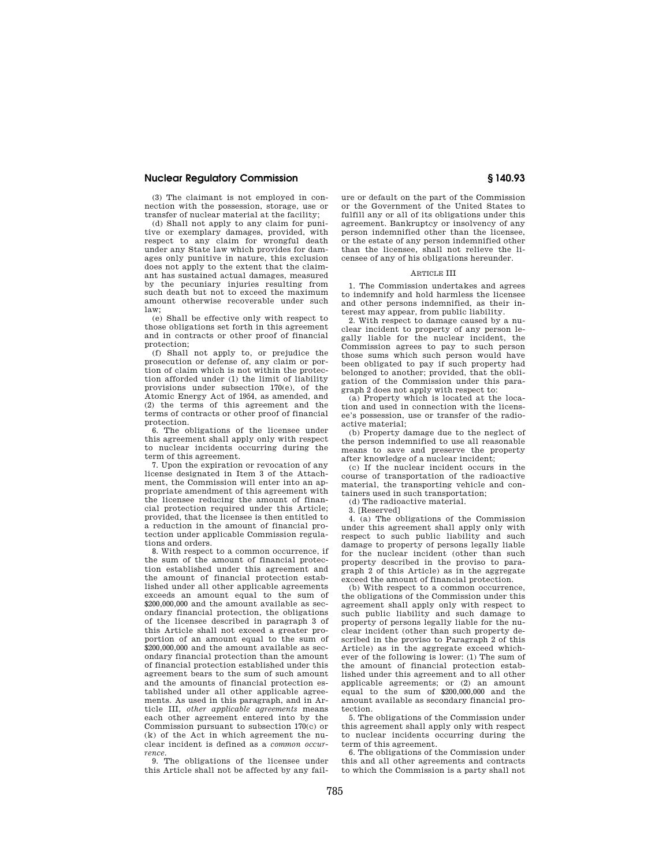(3) The claimant is not employed in connection with the possession, storage, use or transfer of nuclear material at the facility;

(d) Shall not apply to any claim for punitive or exemplary damages, provided, with respect to any claim for wrongful death under any State law which provides for damages only punitive in nature, this exclusion does not apply to the extent that the claimant has sustained actual damages, measured by the pecuniary injuries resulting from such death but not to exceed the maximum amount otherwise recoverable under such law;

(e) Shall be effective only with respect to those obligations set forth in this agreement and in contracts or other proof of financial protection;

(f) Shall not apply to, or prejudice the prosecution or defense of, any claim or portion of claim which is not within the protection afforded under (1) the limit of liability provisions under subsection 170(e), of the Atomic Energy Act of 1954, as amended, and (2) the terms of this agreement and the terms of contracts or other proof of financial protection.

6. The obligations of the licensee under this agreement shall apply only with respect to nuclear incidents occurring during the term of this agreement.

7. Upon the expiration or revocation of any license designated in Item 3 of the Attachment, the Commission will enter into an appropriate amendment of this agreement with the licensee reducing the amount of financial protection required under this Article; provided, that the licensee is then entitled to a reduction in the amount of financial protection under applicable Commission regulations and orders.

8. With respect to a common occurrence, if the sum of the amount of financial protection established under this agreement and the amount of financial protection established under all other applicable agreements exceeds an amount equal to the sum of \$200,000,000 and the amount available as secondary financial protection, the obligations of the licensee described in paragraph 3 of this Article shall not exceed a greater proportion of an amount equal to the sum of \$200,000,000 and the amount available as secondary financial protection than the amount of financial protection established under this agreement bears to the sum of such amount and the amounts of financial protection established under all other applicable agreements. As used in this paragraph, and in Article III, *other applicable agreements* means each other agreement entered into by the Commission pursuant to subsection 170(c) or (k) of the Act in which agreement the nuclear incident is defined as a *common occurrence.* 

9. The obligations of the licensee under this Article shall not be affected by any fail-

ure or default on the part of the Commission or the Government of the United States to fulfill any or all of its obligations under this agreement. Bankruptcy or insolvency of any person indemnified other than the licensee, or the estate of any person indemnified other than the licensee, shall not relieve the licensee of any of his obligations hereunder.

#### ARTICLE III

1. The Commission undertakes and agrees to indemnify and hold harmless the licensee and other persons indemnified, as their interest may appear, from public liability.

2. With respect to damage caused by a nuclear incident to property of any person legally liable for the nuclear incident, the Commission agrees to pay to such person those sums which such person would have been obligated to pay if such property had belonged to another; provided, that the obligation of the Commission under this paragraph 2 does not apply with respect to:

(a) Property which is located at the location and used in connection with the licensee's possession, use or transfer of the radioactive material;

(b) Property damage due to the neglect of the person indemnified to use all reasonable means to save and preserve the property after knowledge of a nuclear incident;

(c) If the nuclear incident occurs in the course of transportation of the radioactive material, the transporting vehicle and containers used in such transportation;

(d) The radioactive material.

3. [Reserved]

4. (a) The obligations of the Commission under this agreement shall apply only with respect to such public liability and such damage to property of persons legally liable for the nuclear incident (other than such property described in the proviso to paragraph 2 of this Article) as in the aggregate exceed the amount of financial protection.

(b) With respect to a common occurrence, the obligations of the Commission under this agreement shall apply only with respect to such public liability and such damage to property of persons legally liable for the nuclear incident (other than such property described in the proviso to Paragraph 2 of this Article) as in the aggregate exceed whichever of the following is lower: (1) The sum of the amount of financial protection established under this agreement and to all other applicable agreements; or (2) an amount equal to the sum of \$200,000,000 and the amount available as secondary financial protection.

5. The obligations of the Commission under this agreement shall apply only with respect to nuclear incidents occurring during the term of this agreement.

6. The obligations of the Commission under this and all other agreements and contracts to which the Commission is a party shall not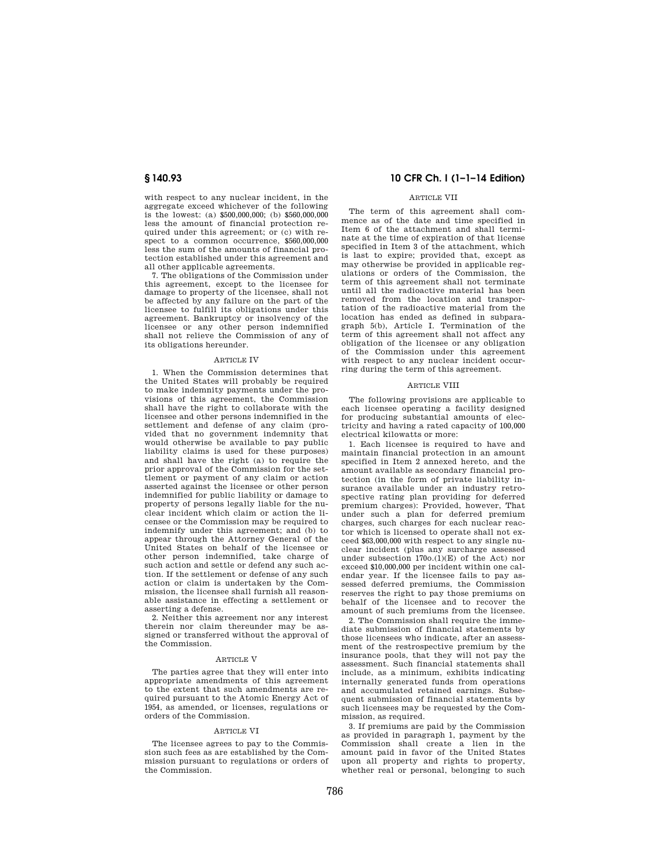with respect to any nuclear incident, in the aggregate exceed whichever of the following is the lowest: (a) \$500,000,000; (b) \$560,000,000 less the amount of financial protection required under this agreement; or (c) with respect to a common occurrence, \$560,000,000 less the sum of the amounts of financial protection established under this agreement and all other applicable agreements.

7. The obligations of the Commission under this agreement, except to the licensee for damage to property of the licensee, shall not be affected by any failure on the part of the licensee to fulfill its obligations under this agreement. Bankruptcy or insolvency of the licensee or any other person indemnified shall not relieve the Commission of any of its obligations hereunder.

#### ARTICLE IV

1. When the Commission determines that the United States will probably be required to make indemnity payments under the provisions of this agreement, the Commission shall have the right to collaborate with the licensee and other persons indemnified in the settlement and defense of any claim (provided that no government indemnity that would otherwise be available to pay public liability claims is used for these purposes) and shall have the right (a) to require the prior approval of the Commission for the settlement or payment of any claim or action asserted against the licensee or other person indemnified for public liability or damage to property of persons legally liable for the nuclear incident which claim or action the licensee or the Commission may be required to indemnify under this agreement; and (b) to appear through the Attorney General of the United States on behalf of the licensee or other person indemnified, take charge of such action and settle or defend any such action. If the settlement or defense of any such action or claim is undertaken by the Commission, the licensee shall furnish all reasonable assistance in effecting a settlement or asserting a defense.

2. Neither this agreement nor any interest therein nor claim thereunder may be assigned or transferred without the approval of the Commission.

#### ARTICLE V

The parties agree that they will enter into appropriate amendments of this agreement to the extent that such amendments are required pursuant to the Atomic Energy Act of 1954, as amended, or licenses, regulations or orders of the Commission.

#### ARTICLE VI

The licensee agrees to pay to the Commission such fees as are established by the Commission pursuant to regulations or orders of the Commission.

# **§ 140.93 10 CFR Ch. I (1–1–14 Edition)**

# ARTICLE VII

The term of this agreement shall commence as of the date and time specified in Item 6 of the attachment and shall terminate at the time of expiration of that license specified in Item 3 of the attachment, which is last to expire; provided that, except as may otherwise be provided in applicable regulations or orders of the Commission, the term of this agreement shall not terminate until all the radioactive material has been removed from the location and transportation of the radioactive material from the location has ended as defined in subparagraph 5(b), Article I. Termination of the term of this agreement shall not affect any obligation of the licensee or any obligation of the Commission under this agreement with respect to any nuclear incident occurring during the term of this agreement.

#### **ARTICLE VIII**

The following provisions are applicable to each licensee operating a facility designed for producing substantial amounts of electricity and having a rated capacity of 100,000 electrical kilowatts or more:

1. Each licensee is required to have and maintain financial protection in an amount specified in Item 2 annexed hereto, and the amount available as secondary financial protection (in the form of private liability insurance available under an industry retrospective rating plan providing for deferred premium charges): Provided, however, That under such a plan for deferred premium charges, such charges for each nuclear reactor which is licensed to operate shall not exceed \$63,000,000 with respect to any single nuclear incident (plus any surcharge assessed under subsection  $170o(1)(E)$  of the Act) nor exceed \$10,000,000 per incident within one calendar year. If the licensee fails to pay assessed deferred premiums, the Commission reserves the right to pay those premiums on behalf of the licensee and to recover the amount of such premiums from the licensee.

2. The Commission shall require the immediate submission of financial statements by those licensees who indicate, after an assessment of the restrospective premium by the insurance pools, that they will not pay the assessment. Such financial statements shall include, as a minimum, exhibits indicating internally generated funds from operations and accumulated retained earnings. Subsequent submission of financial statements by such licensees may be requested by the Commission, as required.

3. If premiums are paid by the Commission as provided in paragraph 1, payment by the Commission shall create a lien in the amount paid in favor of the United States upon all property and rights to property, whether real or personal, belonging to such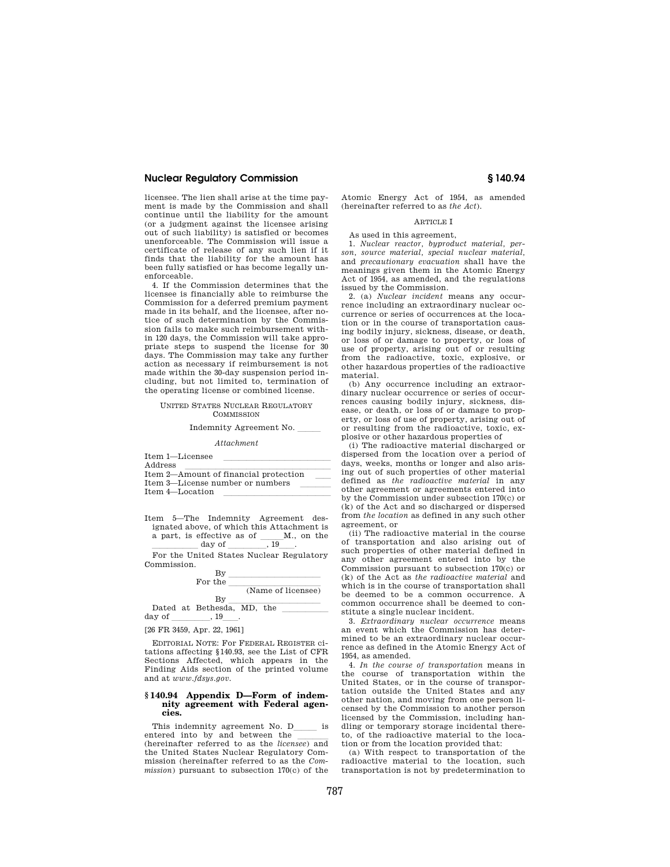licensee. The lien shall arise at the time payment is made by the Commission and shall continue until the liability for the amount (or a judgment against the licensee arising out of such liability) is satisfied or becomes unenforceable. The Commission will issue a certificate of release of any such lien if it finds that the liability for the amount has been fully satisfied or has become legally unenforceable.

4. If the Commission determines that the licensee is financially able to reimburse the Commission for a deferred premium payment made in its behalf, and the licensee, after notice of such determination by the Commission fails to make such reimbursement within 120 days, the Commission will take appropriate steps to suspend the license for 30 days. The Commission may take any further action as necessary if reimbursement is not made within the 30-day suspension period including, but not limited to, termination of the operating license or combined license.

#### UNITED STATES NUCLEAR REGULATORY **COMMISSION**

#### Indemnity Agreement No.

#### *Attachment*

| Item 1-Licensee                       |  |
|---------------------------------------|--|
| Address                               |  |
| Item 2-Amount of financial protection |  |
| Item 3—License number or numbers      |  |
| Item 4-Location                       |  |
|                                       |  |

Item 5—The Indemnity Agreement designated above, of which this Attachment is a part, is effective as of  $\text{M.}$ , on the day of

 $\frac{day \text{ of } 19}{\text{Ren the United States Nucleon Poisson}}$ . For the United States Nuclear Regulatory Commission.

> $\frac{\text{By}}{\text{the}}$ For the

|        | r or ene                   |  |                    |
|--------|----------------------------|--|--------------------|
|        |                            |  | (Name of licensee) |
|        | Βv                         |  |                    |
|        | Dated at Bethesda, MD, the |  |                    |
| day of |                            |  |                    |

[26 FR 3459, Apr. 22, 1961]

EDITORIAL NOTE: For FEDERAL REGISTER citations affecting §140.93, see the List of CFR Sections Affected, which appears in the Finding Aids section of the printed volume and at *www.fdsys.gov.* 

#### **§ 140.94 Appendix D—Form of indemnity agreement with Federal agencies.**

This indemnity agreement No. D\_\_\_\_\_\_ is entered into by and between the (hereinafter referred to as the *licensee*) and the United States Nuclear Regulatory Commission (hereinafter referred to as the *Commission*) pursuant to subsection 170(c) of the Atomic Energy Act of 1954, as amended (hereinafter referred to as *the Act*).

# ARTICLE I

As used in this agreement,

1. *Nuclear reactor, byproduct material, person, source material, special nuclear material,*  and *precautionary evacuation* shall have the meanings given them in the Atomic Energy Act of 1954, as amended, and the regulations issued by the Commission.

2. (a) *Nuclear incident* means any occurrence including an extraordinary nuclear occurrence or series of occurrences at the location or in the course of transportation causing bodily injury, sickness, disease, or death, or loss of or damage to property, or loss of use of property, arising out of or resulting from the radioactive, toxic, explosive, or other hazardous properties of the radioactive material.

(b) Any occurrence including an extraordinary nuclear occurrence or series of occurrences causing bodily injury, sickness, disease, or death, or loss of or damage to property, or loss of use of property, arising out of or resulting from the radioactive, toxic, explosive or other hazardous properties of

(i) The radioactive material discharged or dispersed from the location over a period of days, weeks, months or longer and also arising out of such properties of other material defined as *the radioactive material* in any other agreement or agreements entered into by the Commission under subsection 170(c) or (k) of the Act and so discharged or dispersed from *the location* as defined in any such other agreement, or

(ii) The radioactive material in the course of transportation and also arising out of such properties of other material defined in any other agreement entered into by the Commission pursuant to subsection 170(c) or (k) of the Act as *the radioactive material* and which is in the course of transportation shall be deemed to be a common occurrence. A common occurrence shall be deemed to constitute a single nuclear incident.

3. *Extraordinary nuclear occurrence* means an event which the Commission has determined to be an extraordinary nuclear occurrence as defined in the Atomic Energy Act of 1954, as amended.

4. *In the course of transportation* means in the course of transportation within the United States, or in the course of transportation outside the United States and any other nation, and moving from one person licensed by the Commission to another person licensed by the Commission, including handling or temporary storage incidental thereto, of the radioactive material to the location or from the location provided that:

(a) With respect to transportation of the radioactive material to the location, such transportation is not by predetermination to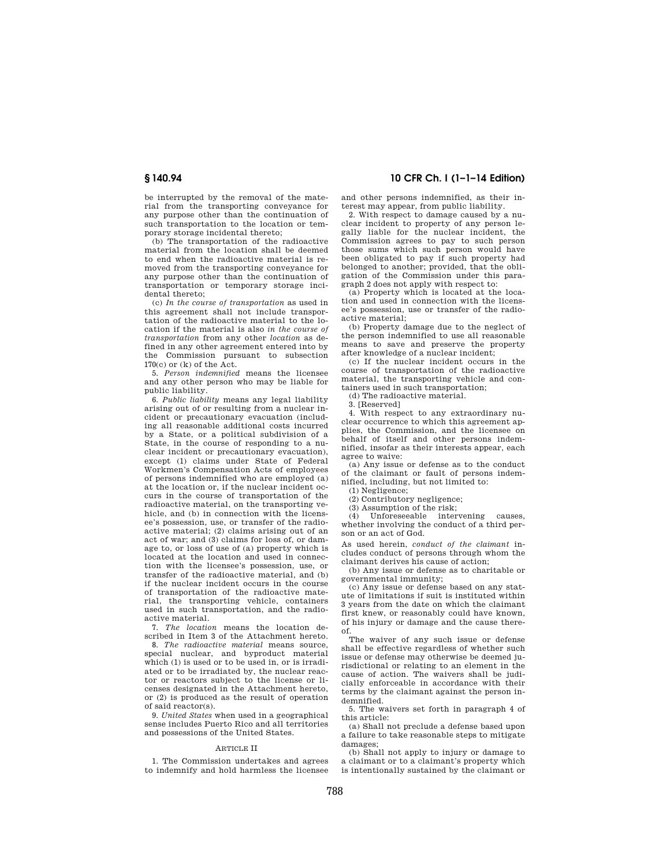be interrupted by the removal of the material from the transporting conveyance for any purpose other than the continuation of such transportation to the location or temporary storage incidental thereto;

(b) The transportation of the radioactive material from the location shall be deemed to end when the radioactive material is removed from the transporting conveyance for any purpose other than the continuation of transportation or temporary storage incidental thereto;

(c) *In the course of transportation* as used in this agreement shall not include transportation of the radioactive material to the location if the material is also *in the course of transportation* from any other *location* as defined in any other agreement entered into by the Commission pursuant to subsection  $170(c)$  or  $(k)$  of the Act.

5. *Person indemnified* means the licensee and any other person who may be liable for public liability.

6. *Public liability* means any legal liability arising out of or resulting from a nuclear incident or precautionary evacuation (including all reasonable additional costs incurred by a State, or a political subdivision of a State, in the course of responding to a nuclear incident or precautionary evacuation), except (1) claims under State of Federal Workmen's Compensation Acts of employees of persons indemnified who are employed (a) at the location or, if the nuclear incident occurs in the course of transportation of the radioactive material, on the transporting vehicle, and (b) in connection with the licensee's possession, use, or transfer of the radioactive material; (2) claims arising out of an act of war; and (3) claims for loss of, or damage to, or loss of use of (a) property which is located at the location and used in connection with the licensee's possession, use, or transfer of the radioactive material, and (b) if the nuclear incident occurs in the course of transportation of the radioactive material, the transporting vehicle, containers used in such transportation, and the radioactive material.

7. *The location* means the location described in Item 3 of the Attachment hereto.

8. *The radioactive material* means source, special nuclear, and byproduct material which (1) is used or to be used in, or is irradiated or to be irradiated by, the nuclear reactor or reactors subject to the license or licenses designated in the Attachment hereto, or (2) is produced as the result of operation of said reactor(s).

9. *United States* when used in a geographical sense includes Puerto Rico and all territories and possessions of the United States.

### ARTICLE II

1. The Commission undertakes and agrees to indemnify and hold harmless the licensee

# **§ 140.94 10 CFR Ch. I (1–1–14 Edition)**

and other persons indemnified, as their interest may appear, from public liability.

2. With respect to damage caused by a nuclear incident to property of any person legally liable for the nuclear incident, the Commission agrees to pay to such person those sums which such person would have been obligated to pay if such property had belonged to another; provided, that the obligation of the Commission under this paragraph 2 does not apply with respect to:

(a) Property which is located at the location and used in connection with the licensee's possession, use or transfer of the radioactive material;

(b) Property damage due to the neglect of the person indemnified to use all reasonable means to save and preserve the property after knowledge of a nuclear incident;

(c) If the nuclear incident occurs in the course of transportation of the radioactive material, the transporting vehicle and containers used in such transportation;

(d) The radioactive material.

3. [Reserved]

4. With respect to any extraordinary nuclear occurrence to which this agreement applies, the Commission, and the licensee on behalf of itself and other persons indemnified, insofar as their interests appear, each agree to waive:

(a) Any issue or defense as to the conduct of the claimant or fault of persons indemnified, including, but not limited to:

(1) Negligence;

(2) Contributory negligence;

(3) Assumption of the risk;

(4) Unforeseeable intervening causes, whether involving the conduct of a third person or an act of God.

As used herein, *conduct of the claimant* includes conduct of persons through whom the claimant derives his cause of action;

(b) Any issue or defense as to charitable or governmental immunity;

(c) Any issue or defense based on any statute of limitations if suit is instituted within 3 years from the date on which the claimant first knew, or reasonably could have known, of his injury or damage and the cause thereof.

The waiver of any such issue or defense shall be effective regardless of whether such issue or defense may otherwise be deemed jurisdictional or relating to an element in the cause of action. The waivers shall be judicially enforceable in accordance with their terms by the claimant against the person indemnified.

5. The waivers set forth in paragraph 4 of this article:

(a) Shall not preclude a defense based upon a failure to take reasonable steps to mitigate damages;

(b) Shall not apply to injury or damage to a claimant or to a claimant's property which is intentionally sustained by the claimant or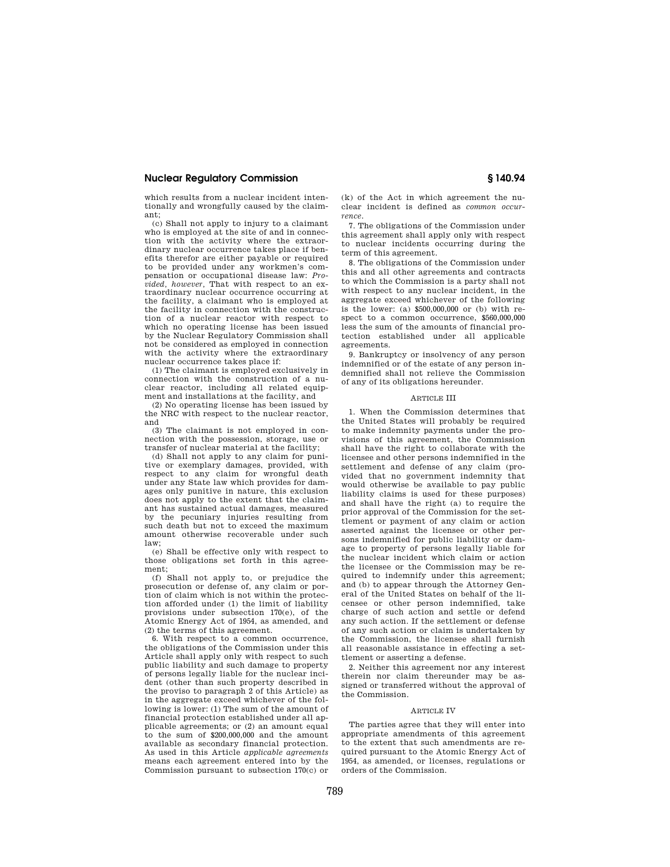which results from a nuclear incident intentionally and wrongfully caused by the claimant;

(c) Shall not apply to injury to a claimant who is employed at the site of and in connection with the activity where the extraordinary nuclear occurrence takes place if benefits therefor are either payable or required to be provided under any workmen's compensation or occupational disease law: *Provided, however,* That with respect to an extraordinary nuclear occurrence occurring at the facility, a claimant who is employed at the facility in connection with the construction of a nuclear reactor with respect to which no operating license has been issued by the Nuclear Regulatory Commission shall not be considered as employed in connection with the activity where the extraordinary nuclear occurrence takes place if:

(1) The claimant is employed exclusively in connection with the construction of a nuclear reactor, including all related equipment and installations at the facility, and

(2) No operating license has been issued by the NRC with respect to the nuclear reactor, and

(3) The claimant is not employed in connection with the possession, storage, use or transfer of nuclear material at the facility;

(d) Shall not apply to any claim for punitive or exemplary damages, provided, with respect to any claim for wrongful death under any State law which provides for damages only punitive in nature, this exclusion does not apply to the extent that the claimant has sustained actual damages, measured by the pecuniary injuries resulting from such death but not to exceed the maximum amount otherwise recoverable under such law;

(e) Shall be effective only with respect to those obligations set forth in this agreement;

(f) Shall not apply to, or prejudice the prosecution or defense of, any claim or portion of claim which is not within the protection afforded under (1) the limit of liability provisions under subsection 170(e), of the Atomic Energy Act of 1954, as amended, and (2) the terms of this agreement.

6. With respect to a common occurrence, the obligations of the Commission under this Article shall apply only with respect to such public liability and such damage to property of persons legally liable for the nuclear incident (other than such property described in the proviso to paragraph 2 of this Article) as in the aggregate exceed whichever of the following is lower: (1) The sum of the amount of financial protection established under all applicable agreements; or (2) an amount equal to the sum of \$200,000,000 and the amount available as secondary financial protection. As used in this Article *applicable agreements*  means each agreement entered into by the Commission pursuant to subsection 170(c) or

(k) of the Act in which agreement the nuclear incident is defined as *common occurrence.* 

7. The obligations of the Commission under this agreement shall apply only with respect to nuclear incidents occurring during the term of this agreement.

8. The obligations of the Commission under this and all other agreements and contracts to which the Commission is a party shall not with respect to any nuclear incident, in the aggregate exceed whichever of the following is the lower: (a) \$500,000,000 or (b) with respect to a common occurrence, \$560,000,000 less the sum of the amounts of financial protection established under all applicable agreements.

9. Bankruptcy or insolvency of any person indemnified or of the estate of any person indemnified shall not relieve the Commission of any of its obligations hereunder.

#### ARTICLE III

1. When the Commission determines that the United States will probably be required to make indemnity payments under the provisions of this agreement, the Commission shall have the right to collaborate with the licensee and other persons indemnified in the settlement and defense of any claim (provided that no government indemnity that would otherwise be available to pay public liability claims is used for these purposes) and shall have the right (a) to require the prior approval of the Commission for the settlement or payment of any claim or action asserted against the licensee or other persons indemnified for public liability or damage to property of persons legally liable for the nuclear incident which claim or action the licensee or the Commission may be required to indemnify under this agreement; and (b) to appear through the Attorney General of the United States on behalf of the licensee or other person indemnified, take charge of such action and settle or defend any such action. If the settlement or defense of any such action or claim is undertaken by the Commission, the licensee shall furnish all reasonable assistance in effecting a settlement or asserting a defense.

2. Neither this agreement nor any interest therein nor claim thereunder may be assigned or transferred without the approval of the Commission.

#### ARTICLE IV

The parties agree that they will enter into appropriate amendments of this agreement to the extent that such amendments are required pursuant to the Atomic Energy Act of 1954, as amended, or licenses, regulations or orders of the Commission.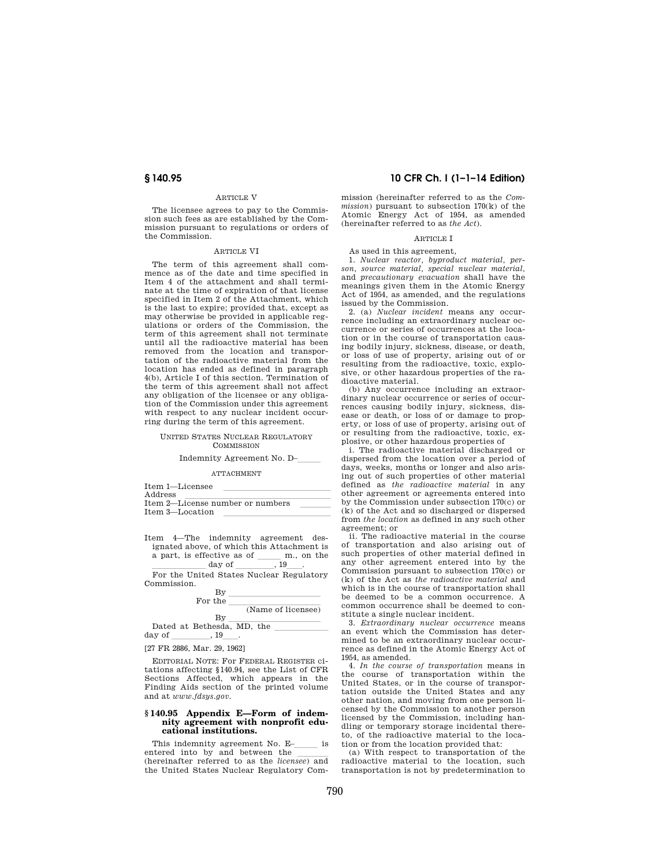#### ARTICLE V

The licensee agrees to pay to the Commission such fees as are established by the Commission pursuant to regulations or orders of the Commission.

### ARTICLE VI

The term of this agreement shall commence as of the date and time specified in Item 4 of the attachment and shall terminate at the time of expiration of that license specified in Item 2 of the Attachment, which is the last to expire; provided that, except as may otherwise be provided in applicable regulations or orders of the Commission, the term of this agreement shall not terminate until all the radioactive material has been removed from the location and transportation of the radioactive material from the location has ended as defined in paragraph 4(b), Article I of this section. Termination of the term of this agreement shall not affect any obligation of the licensee or any obligation of the Commission under this agreement with respect to any nuclear incident occurring during the term of this agreement.

#### UNITED STATES NUCLEAR REGULATORY **COMMISSION**

# Indemnity Agreement No. D-

ATTACHMENT

| Item 1-Licensee                  |  |
|----------------------------------|--|
| Address                          |  |
| Item 2-License number or numbers |  |
| Item 3—Location                  |  |
|                                  |  |

Item 4—The indemnity agreement designated above, of which this Attachment is a part, is effective as of  $\frac{m}{19}$ .

lllllll day of lllll, 19ll. For the United States Nuclear Regulatory Commission.



day of  $\_\_\_\_$ , 19 $\_\_\_$ .

EDITORIAL NOTE: For FEDERAL REGISTER citations affecting §140.94, see the List of CFR Sections Affected, which appears in the Finding Aids section of the printed volume and at *www.fdsys.gov.* 

#### **§ 140.95 Appendix E—Form of indemnity agreement with nonprofit educational institutions.**

This indemnity agreement No.  $E_{\text{---}}$  is intered into by and between the entered into by and between the  $\frac{1}{2}$ <br>(bereinafter referred to as the *licensee*) and (hereinafter referred to as the *licensee*) and the United States Nuclear Regulatory Com-

# **§ 140.95 10 CFR Ch. I (1–1–14 Edition)**

mission (hereinafter referred to as the *Commission*) pursuant to subsection 170(k) of the Atomic Energy Act of 1954, as amended (hereinafter referred to as *the Act*).

# ARTICLE I

As used in this agreement,

1. *Nuclear reactor, byproduct material, person, source material, special nuclear material,*  and *precautionary evacuation* shall have the meanings given them in the Atomic Energy Act of 1954, as amended, and the regulations issued by the Commission.

2. (a) *Nuclear incident* means any occurrence including an extraordinary nuclear occurrence or series of occurrences at the location or in the course of transportation causing bodily injury, sickness, disease, or death, or loss of use of property, arising out of or resulting from the radioactive, toxic, explosive, or other hazardous properties of the radioactive material.

(b) Any occurrence including an extraordinary nuclear occurrence or series of occurrences causing bodily injury, sickness, disease or death, or loss of or damage to property, or loss of use of property, arising out of or resulting from the radioactive, toxic, explosive, or other hazardous properties of

i. The radioactive material discharged or dispersed from the location over a period of days, weeks, months or longer and also arising out of such properties of other material defined as *the radioactive material* in any other agreement or agreements entered into by the Commission under subsection 170(c) or (k) of the Act and so discharged or dispersed from *the location* as defined in any such other agreement; or

ii. The radioactive material in the course of transportation and also arising out of such properties of other material defined in any other agreement entered into by the Commission pursuant to subsection 170(c) or (k) of the Act as *the radioactive material* and which is in the course of transportation shall be deemed to be a common occurrence. A common occurrence shall be deemed to constitute a single nuclear incident.

3. *Extraordinary nuclear occurrence* means an event which the Commission has determined to be an extraordinary nuclear occurrence as defined in the Atomic Energy Act of 1954, as amended.

4. *In the course of transportation* means in the course of transportation within the United States, or in the course of transportation outside the United States and any other nation, and moving from one person licensed by the Commission to another person licensed by the Commission, including handling or temporary storage incidental thereto, of the radioactive material to the location or from the location provided that:

(a) With respect to transportation of the radioactive material to the location, such transportation is not by predetermination to

<sup>[27</sup> FR 2886, Mar. 29, 1962]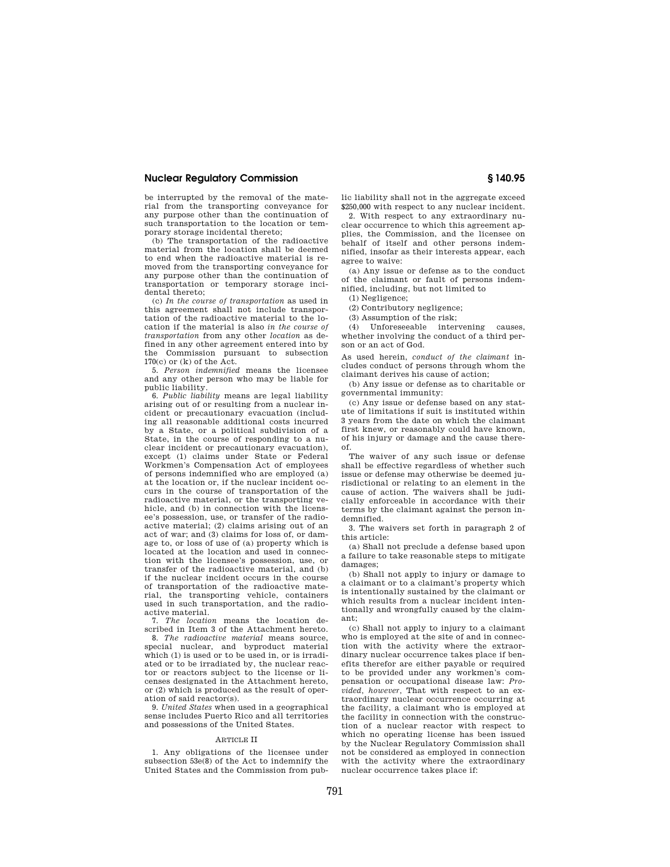be interrupted by the removal of the material from the transporting conveyance for any purpose other than the continuation of such transportation to the location or temporary storage incidental thereto;

(b) The transportation of the radioactive material from the location shall be deemed to end when the radioactive material is removed from the transporting conveyance for any purpose other than the continuation of transportation or temporary storage incidental thereto;

(c) *In the course of transportation* as used in this agreement shall not include transportation of the radioactive material to the location if the material is also *in the course of transportation* from any other *location* as defined in any other agreement entered into by the Commission pursuant to subsection 170(c) or (k) of the Act.

5. *Person indemnified* means the licensee and any other person who may be liable for public liability.

6. *Public liability* means are legal liability arising out of or resulting from a nuclear incident or precautionary evacuation (including all reasonable additional costs incurred by a State, or a political subdivision of a State, in the course of responding to a nuclear incident or precautionary evacuation), except (1) claims under State or Federal Workmen's Compensation Act of employees of persons indemnified who are employed (a) at the location or, if the nuclear incident occurs in the course of transportation of the radioactive material, or the transporting vehicle, and (b) in connection with the licensee's possession, use, or transfer of the radioactive material; (2) claims arising out of an act of war; and (3) claims for loss of, or damage to, or loss of use of (a) property which is located at the location and used in connection with the licensee's possession, use, or transfer of the radioactive material, and (b) if the nuclear incident occurs in the course of transportation of the radioactive material, the transporting vehicle, containers used in such transportation, and the radioactive material.

7. *The location* means the location described in Item 3 of the Attachment hereto.

8. *The radioactive material* means source, special nuclear, and byproduct material which (1) is used or to be used in, or is irradiated or to be irradiated by, the nuclear reactor or reactors subject to the license or licenses designated in the Attachment hereto, or (2) which is produced as the result of operation of said reactor(s).

9. *United States* when used in a geographical sense includes Puerto Rico and all territories and possessions of the United States.

#### ARTICLE II

1. Any obligations of the licensee under subsection 53e(8) of the Act to indemnify the United States and the Commission from public liability shall not in the aggregate exceed \$250,000 with respect to any nuclear incident.

2. With respect to any extraordinary nuclear occurrence to which this agreement applies, the Commission, and the licensee on behalf of itself and other persons indemnified, insofar as their interests appear, each agree to waive:

(a) Any issue or defense as to the conduct of the claimant or fault of persons indemnified, including, but not limited to

(1) Negligence;

(2) Contributory negligence;

(3) Assumption of the risk;

(4) Unforeseeable intervening causes, whether involving the conduct of a third person or an act of God.

As used herein, *conduct of the claimant* includes conduct of persons through whom the claimant derives his cause of action;

(b) Any issue or defense as to charitable or governmental immunity:

(c) Any issue or defense based on any statute of limitations if suit is instituted within 3 years from the date on which the claimant first knew, or reasonably could have known, of his injury or damage and the cause thereof.

The waiver of any such issue or defense shall be effective regardless of whether such issue or defense may otherwise be deemed jurisdictional or relating to an element in the cause of action. The waivers shall be judicially enforceable in accordance with their terms by the claimant against the person indemnified.

3. The waivers set forth in paragraph 2 of this article:

(a) Shall not preclude a defense based upon a failure to take reasonable steps to mitigate damages;

(b) Shall not apply to injury or damage to a claimant or to a claimant's property which is intentionally sustained by the claimant or which results from a nuclear incident intentionally and wrongfully caused by the claimant;

(c) Shall not apply to injury to a claimant who is employed at the site of and in connection with the activity where the extraordinary nuclear occurrence takes place if benefits therefor are either payable or required to be provided under any workmen's compensation or occupational disease law: *Provided, however,* That with respect to an extraordinary nuclear occurrence occurring at the facility, a claimant who is employed at the facility in connection with the construction of a nuclear reactor with respect to which no operating license has been issued by the Nuclear Regulatory Commission shall not be considered as employed in connection with the activity where the extraordinary nuclear occurrence takes place if: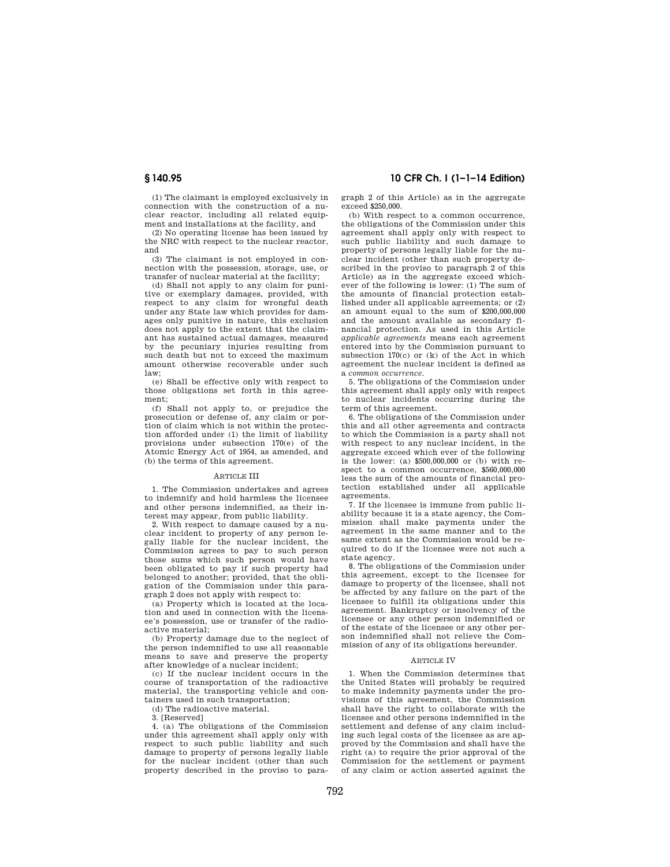(1) The claimant is employed exclusively in connection with the construction of a nuclear reactor, including all related equipment and installations at the facility, and

(2) No operating license has been issued by the NRC with respect to the nuclear reactor, and

(3) The claimant is not employed in connection with the possession, storage, use, or transfer of nuclear material at the facility;

(d) Shall not apply to any claim for punitive or exemplary damages, provided, with respect to any claim for wrongful death under any State law which provides for damages only punitive in nature, this exclusion does not apply to the extent that the claimant has sustained actual damages, measured by the pecuniary injuries resulting from such death but not to exceed the maximum amount otherwise recoverable under such law;

(e) Shall be effective only with respect to those obligations set forth in this agreement;

(f) Shall not apply to, or prejudice the prosecution or defense of, any claim or portion of claim which is not within the protection afforded under (1) the limit of liability provisions under subsection 170(e) of the Atomic Energy Act of 1954, as amended, and (b) the terms of this agreement.

#### ARTICLE III

1. The Commission undertakes and agrees to indemnify and hold harmless the licensee and other persons indemnified, as their interest may appear, from public liability.

2. With respect to damage caused by a nuclear incident to property of any person legally liable for the nuclear incident, the Commission agrees to pay to such person those sums which such person would have been obligated to pay if such property had belonged to another; provided, that the obligation of the Commission under this paragraph 2 does not apply with respect to:

(a) Property which is located at the location and used in connection with the licensee's possession, use or transfer of the radioactive material;

(b) Property damage due to the neglect of the person indemnified to use all reasonable means to save and preserve the property after knowledge of a nuclear incident;

(c) If the nuclear incident occurs in the course of transportation of the radioactive material, the transporting vehicle and containers used in such transportation;

(d) The radioactive material.

3. [Reserved]

4. (a) The obligations of the Commission under this agreement shall apply only with respect to such public liability and such damage to property of persons legally liable for the nuclear incident (other than such property described in the proviso to para-

# **§ 140.95 10 CFR Ch. I (1–1–14 Edition)**

graph 2 of this Article) as in the aggregate exceed \$250,000.

(b) With respect to a common occurrence, the obligations of the Commission under this agreement shall apply only with respect to such public liability and such damage to property of persons legally liable for the nuclear incident (other than such property described in the proviso to paragraph 2 of this Article) as in the aggregate exceed whichever of the following is lower: (1) The sum of the amounts of financial protection established under all applicable agreements; or (2) an amount equal to the sum of \$200,000,000 and the amount available as secondary financial protection. As used in this Article *applicable agreements* means each agreement entered into by the Commission pursuant to subsection 170(c) or (k) of the Act in which agreement the nuclear incident is defined as a *common occurrence.* 

5. The obligations of the Commission under this agreement shall apply only with respect to nuclear incidents occurring during the term of this agreement.

6. The obligations of the Commission under this and all other agreements and contracts to which the Commission is a party shall not with respect to any nuclear incident, in the aggregate exceed which ever of the following is the lower: (a) \$500,000,000 or (b) with respect to a common occurrence, \$560,000,000 less the sum of the amounts of financial protection established under all applicable agreements.

7. If the licensee is immune from public liability because it is a state agency, the Commission shall make payments under the agreement in the same manner and to the same extent as the Commission would be required to do if the licensee were not such a state agency.

8. The obligations of the Commission under this agreement, except to the licensee for damage to property of the licensee, shall not be affected by any failure on the part of the licensee to fulfill its obligations under this agreement. Bankruptcy or insolvency of the licensee or any other person indemnified or of the estate of the licensee or any other person indemnified shall not relieve the Commission of any of its obligations hereunder.

#### **ARTICLE IV**

1. When the Commission determines that the United States will probably be required to make indemnity payments under the provisions of this agreement, the Commission shall have the right to collaborate with the licensee and other persons indemnified in the settlement and defense of any claim including such legal costs of the licensee as are approved by the Commission and shall have the right (a) to require the prior approval of the Commission for the settlement or payment of any claim or action asserted against the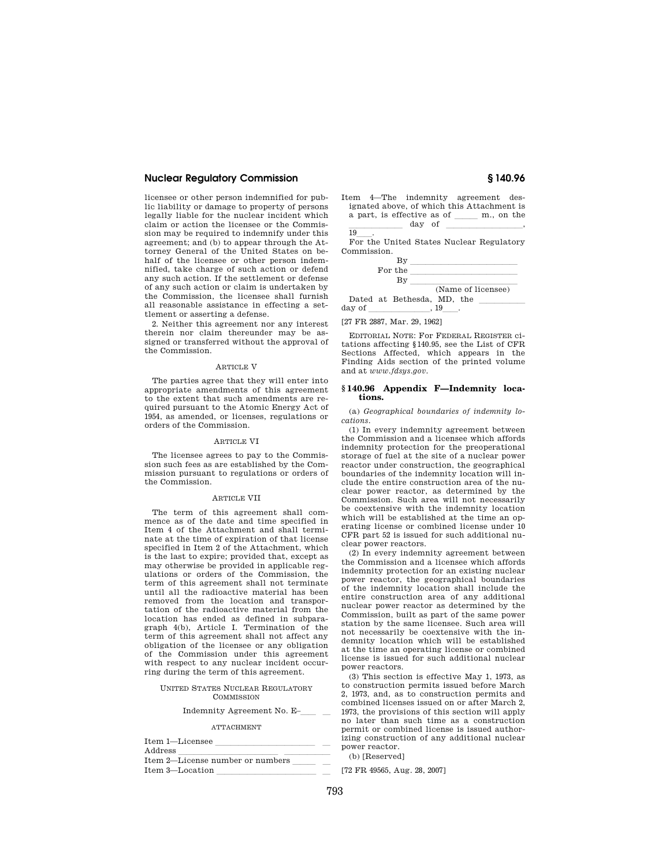licensee or other person indemnified for public liability or damage to property of persons legally liable for the nuclear incident which claim or action the licensee or the Commission may be required to indemnify under this agreement; and (b) to appear through the Attorney General of the United States on behalf of the licensee or other person indemnified, take charge of such action or defend any such action. If the settlement or defense of any such action or claim is undertaken by the Commission, the licensee shall furnish all reasonable assistance in effecting a settlement or asserting a defense.

2. Neither this agreement nor any interest therein nor claim thereunder may be assigned or transferred without the approval of the Commission.

### ARTICLE V

The parties agree that they will enter into appropriate amendments of this agreement to the extent that such amendments are required pursuant to the Atomic Energy Act of 1954, as amended, or licenses, regulations or orders of the Commission.

#### ARTICLE VI

The licensee agrees to pay to the Commission such fees as are established by the Commission pursuant to regulations or orders of the Commission.

# ARTICLE VII

The term of this agreement shall commence as of the date and time specified in Item 4 of the Attachment and shall terminate at the time of expiration of that license specified in Item 2 of the Attachment, which is the last to expire; provided that, except as may otherwise be provided in applicable regulations or orders of the Commission, the term of this agreement shall not terminate until all the radioactive material has been removed from the location and transportation of the radioactive material from the location has ended as defined in subparagraph 4(b), Article I. Termination of the term of this agreement shall not affect any obligation of the licensee or any obligation of the Commission under this agreement with respect to any nuclear incident occurring during the term of this agreement.

#### UNITED STATES NUCLEAR REGULATORY **COMMISSION**

# Indemnity Agreement No. E- $\qquad$

#### ATTACHMENT

| Item 1-Licensee                  |  |
|----------------------------------|--|
| Address                          |  |
| Item 2—License number or numbers |  |
| Item 3-Location                  |  |
|                                  |  |

Item 4—The indemnity agreement designated above, of which this Attachment is  $a$  part, is effective as of  $\_\_\_\_\$ m., on the  $\frac{1}{19}$  day of  $\frac{1}{19}$ 

19\_\_\_\_.<br>For the United States Nuclear Regulatory Commission.



[27 FR 2887, Mar. 29, 1962]

EDITORIAL NOTE: For FEDERAL REGISTER citations affecting §140.95, see the List of CFR Sections Affected, which appears in the Finding Aids section of the printed volume and at *www.fdsys.gov.* 

#### **§ 140.96 Appendix F—Indemnity locations.**

(a) *Geographical boundaries of indemnity locations.* 

(1) In every indemnity agreement between the Commission and a licensee which affords indemnity protection for the preoperational storage of fuel at the site of a nuclear power reactor under construction, the geographical boundaries of the indemnity location will include the entire construction area of the nuclear power reactor, as determined by the Commission. Such area will not necessarily be coextensive with the indemnity location which will be established at the time an operating license or combined license under 10 CFR part 52 is issued for such additional nuclear power reactors.

(2) In every indemnity agreement between the Commission and a licensee which affords indemnity protection for an existing nuclear power reactor, the geographical boundaries of the indemnity location shall include the entire construction area of any additional nuclear power reactor as determined by the Commission, built as part of the same power station by the same licensee. Such area will not necessarily be coextensive with the indemnity location which will be established at the time an operating license or combined license is issued for such additional nuclear power reactors.

(3) This section is effective May 1, 1973, as to construction permits issued before March 2, 1973, and, as to construction permits and combined licenses issued on or after March 2, 1973, the provisions of this section will apply no later than such time as a construction permit or combined license is issued authorizing construction of any additional nuclear power reactor.

(b) [Reserved]

[72 FR 49565, Aug. 28, 2007]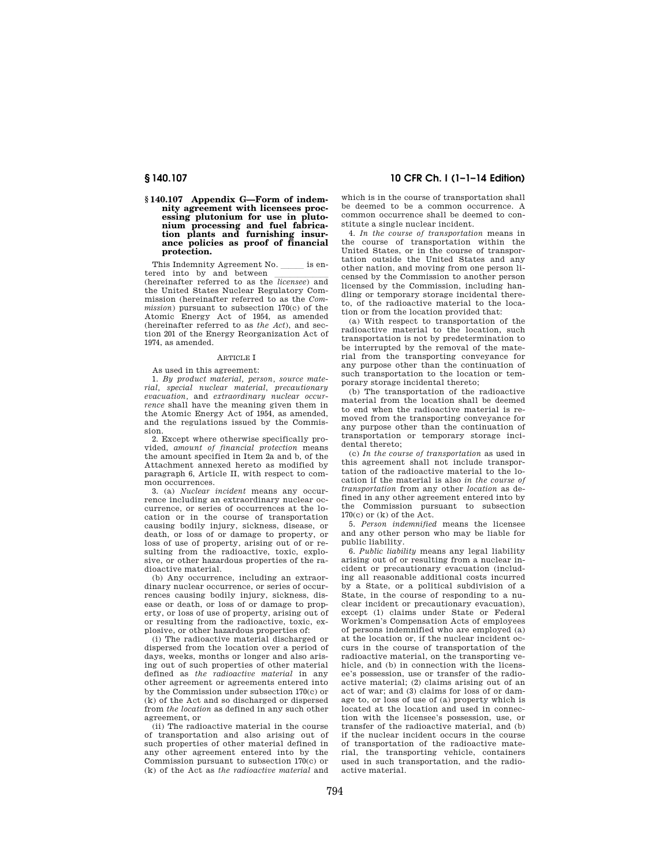# **§ 140.107 Appendix G—Form of indemnity agreement with licensees processing plutonium for use in plutonium processing and fuel fabrica-tion plants and furnishing insurance policies as proof of financial protection.**

This Indemnity Agreement No. \_\_\_\_\_\_ is entered into by and between

tered into by and between<br>(hereinafter referred to as the *licensee*) and the United States Nuclear Regulatory Commission (hereinafter referred to as the *Commission*) pursuant to subsection 170(c) of the Atomic Energy Act of 1954, as amended (hereinafter referred to as *the Act*), and section 201 of the Energy Reorganization Act of 1974, as amended.

# ARTICLE I

As used in this agreement:

1. *By product material, person, source material, special nuclear material, precautionary evacuation,* and *extraordinary nuclear occurrence* shall have the meaning given them in the Atomic Energy Act of 1954, as amended, and the regulations issued by the Commission.

2. Except where otherwise specifically provided, *amount of financial protection* means the amount specified in Item 2a and b, of the Attachment annexed hereto as modified by paragraph 6, Article II, with respect to common occurrences.

3. (a) *Nuclear incident* means any occurrence including an extraordinary nuclear occurrence, or series of occurrences at the location or in the course of transportation causing bodily injury, sickness, disease, or death, or loss of or damage to property, or loss of use of property, arising out of or resulting from the radioactive, toxic, explosive, or other hazardous properties of the radioactive material.

(b) Any occurrence, including an extraordinary nuclear occurrence, or series of occurrences causing bodily injury, sickness, disease or death, or loss of or damage to property, or loss of use of property, arising out of or resulting from the radioactive, toxic, explosive, or other hazardous properties of:

(i) The radioactive material discharged or dispersed from the location over a period of days, weeks, months or longer and also arising out of such properties of other material defined as *the radioactive material* in any other agreement or agreements entered into by the Commission under subsection 170(c) or (k) of the Act and so discharged or dispersed from *the location* as defined in any such other agreement, or

(ii) The radioactive material in the course of transportation and also arising out of such properties of other material defined in any other agreement entered into by the Commission pursuant to subsection 170(c) or (k) of the Act as *the radioactive material* and

# **§ 140.107 10 CFR Ch. I (1–1–14 Edition)**

which is in the course of transportation shall be deemed to be a common occurrence. A common occurrence shall be deemed to constitute a single nuclear incident.

4. *In the course of transportation* means in the course of transportation within the United States, or in the course of transportation outside the United States and any other nation, and moving from one person licensed by the Commission to another person licensed by the Commission, including handling or temporary storage incidental thereto, of the radioactive material to the location or from the location provided that:

(a) With respect to transportation of the radioactive material to the location, such transportation is not by predetermination to be interrupted by the removal of the material from the transporting conveyance for any purpose other than the continuation of such transportation to the location or temporary storage incidental thereto;

(b) The transportation of the radioactive material from the location shall be deemed to end when the radioactive material is removed from the transporting conveyance for any purpose other than the continuation of transportation or temporary storage incidental thereto;

(c) *In the course of transportation* as used in this agreement shall not include transportation of the radioactive material to the location if the material is also *in the course of transportation* from any other *location* as defined in any other agreement entered into by the Commission pursuant to subsection  $170(c)$  or  $(k)$  of the Act.

5. *Person indemnified* means the licensee and any other person who may be liable for public liability.

6. *Public liability* means any legal liability arising out of or resulting from a nuclear incident or precautionary evacuation (including all reasonable additional costs incurred by a State, or a political subdivision of a State, in the course of responding to a nuclear incident or precautionary evacuation), except (1) claims under State or Federal Workmen's Compensation Acts of employees of persons indemnified who are employed (a) at the location or, if the nuclear incident occurs in the course of transportation of the radioactive material, on the transporting vehicle, and (b) in connection with the licensee's possession, use or transfer of the radioactive material; (2) claims arising out of an act of war; and (3) claims for loss of or damage to, or loss of use of (a) property which is located at the location and used in connection with the licensee's possession, use, or transfer of the radioactive material, and (b) if the nuclear incident occurs in the course of transportation of the radioactive material, the transporting vehicle, containers used in such transportation, and the radioactive material.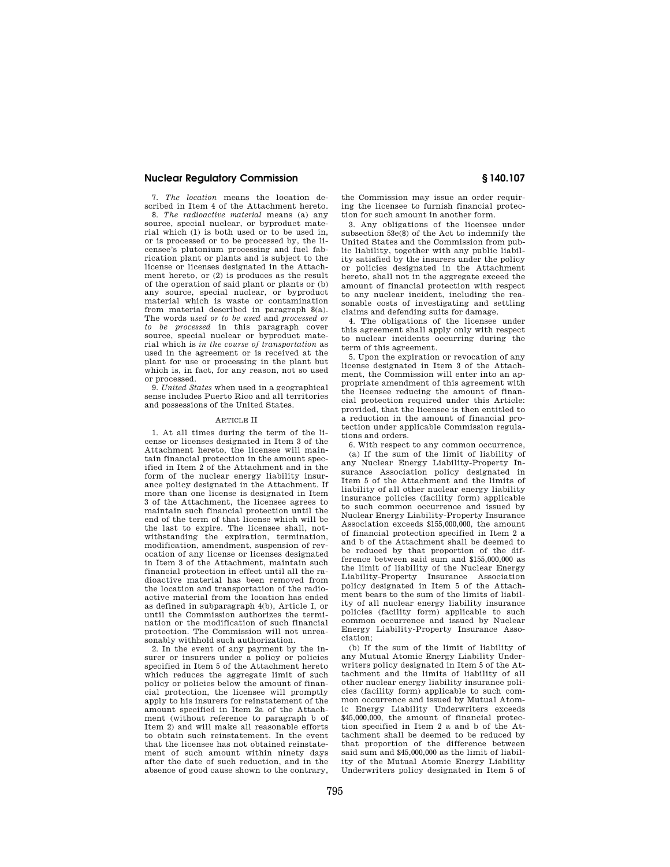7. *The location* means the location described in Item 4 of the Attachment hereto. 8. *The radioactive material* means (a) any source, special nuclear, or byproduct material which (1) is both used or to be used in, or is processed or to be processed by, the licensee's plutonium processing and fuel fabrication plant or plants and is subject to the license or licenses designated in the Attachment hereto, or (2) is produces as the result of the operation of said plant or plants or (b) any source, special nuclear, or byproduct material which is waste or contamination from material described in paragraph 8(a). The words *used or to be used* and *processed or to be processed* in this paragraph cover source, special nuclear or byproduct material which is *in the course of transportation* as used in the agreement or is received at the plant for use or processing in the plant but which is, in fact, for any reason, not so used or processed.

9. *United States* when used in a geographical sense includes Puerto Rico and all territories and possessions of the United States.

#### ARTICLE II

1. At all times during the term of the license or licenses designated in Item 3 of the Attachment hereto, the licensee will maintain financial protection in the amount specified in Item 2 of the Attachment and in the form of the nuclear energy liability insurance policy designated in the Attachment. If more than one license is designated in Item 3 of the Attachment, the licensee agrees to maintain such financial protection until the end of the term of that license which will be the last to expire. The licensee shall, notwithstanding the expiration, termination, modification, amendment, suspension of revocation of any license or licenses designated in Item 3 of the Attachment, maintain such financial protection in effect until all the radioactive material has been removed from the location and transportation of the radioactive material from the location has ended as defined in subparagraph 4(b), Article I, or until the Commission authorizes the termination or the modification of such financial protection. The Commission will not unreasonably withhold such authorization.

2. In the event of any payment by the insurer or insurers under a policy or policies specified in Item 5 of the Attachment hereto which reduces the aggregate limit of such policy or policies below the amount of financial protection, the licensee will promptly apply to his insurers for reinstatement of the amount specified in Item 2a of the Attachment (without reference to paragraph b of Item 2) and will make all reasonable efforts to obtain such reinstatement. In the event that the licensee has not obtained reinstatement of such amount within ninety days after the date of such reduction, and in the absence of good cause shown to the contrary,

the Commission may issue an order requiring the licensee to furnish financial protection for such amount in another form.

3. Any obligations of the licensee under subsection 53e(8) of the Act to indemnify the United States and the Commission from public liability, together with any public liability satisfied by the insurers under the policy or policies designated in the Attachment hereto, shall not in the aggregate exceed the amount of financial protection with respect to any nuclear incident, including the reasonable costs of investigating and settling claims and defending suits for damage.

4. The obligations of the licensee under this agreement shall apply only with respect to nuclear incidents occurring during the term of this agreement.

5. Upon the expiration or revocation of any license designated in Item 3 of the Attachment, the Commission will enter into an appropriate amendment of this agreement with the licensee reducing the amount of financial protection required under this Article: provided, that the licensee is then entitled to a reduction in the amount of financial protection under applicable Commission regulations and orders.

6. With respect to any common occurrence, (a) If the sum of the limit of liability of any Nuclear Energy Liability-Property Insurance Association policy designated in Item 5 of the Attachment and the limits of liability of all other nuclear energy liability insurance policies (facility form) applicable to such common occurrence and issued by Nuclear Energy Liability-Property Insurance Association exceeds \$155,000,000, the amount of financial protection specified in Item 2 a and b of the Attachment shall be deemed to be reduced by that proportion of the difference between said sum and \$155,000,000 as the limit of liability of the Nuclear Energy Liability-Property Insurance Association policy designated in Item 5 of the Attachment bears to the sum of the limits of liability of all nuclear energy liability insurance policies (facility form) applicable to such common occurrence and issued by Nuclear Energy Liability-Property Insurance Association;

(b) If the sum of the limit of liability of any Mutual Atomic Energy Liability Underwriters policy designated in Item 5 of the Attachment and the limits of liability of all other nuclear energy liability insurance policies (facility form) applicable to such common occurrence and issued by Mutual Atomic Energy Liability Underwriters exceeds \$45,000,000, the amount of financial protection specified in Item 2 a and b of the Attachment shall be deemed to be reduced by that proportion of the difference between said sum and \$45,000,000 as the limit of liability of the Mutual Atomic Energy Liability Underwriters policy designated in Item 5 of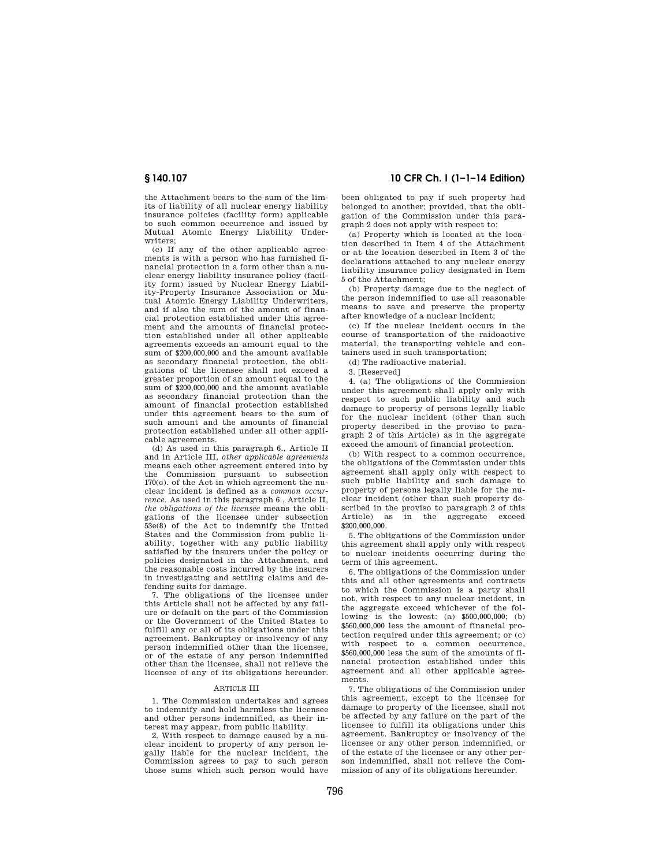the Attachment bears to the sum of the limits of liability of all nuclear energy liability insurance policies (facility form) applicable to such common occurrence and issued by Mutual Atomic Energy Liability Underwriters;

(c) If any of the other applicable agreements is with a person who has furnished financial protection in a form other than a nuclear energy liability insurance policy (facility form) issued by Nuclear Energy Liability-Property Insurance Association or Mutual Atomic Energy Liability Underwriters, and if also the sum of the amount of financial protection established under this agreement and the amounts of financial protection established under all other applicable agreements exceeds an amount equal to the sum of \$200,000,000 and the amount available as secondary financial protection, the obligations of the licensee shall not exceed a greater proportion of an amount equal to the sum of \$200,000,000 and the amount available as secondary financial protection than the amount of financial protection established under this agreement bears to the sum of such amount and the amounts of financial protection established under all other applicable agreements.

(d) As used in this paragraph 6., Article II and in Article III, *other applicable agreements*  means each other agreement entered into by the Commission pursuant to subsection 170(c). of the Act in which agreement the nuclear incident is defined as a *common occurrence.* As used in this paragraph 6., Article II, *the obligations of the licensee* means the obligations of the licensee under subsection 53e(8) of the Act to indemnify the United States and the Commission from public liability, together with any public liability satisfied by the insurers under the policy or policies designated in the Attachment, and the reasonable costs incurred by the insurers in investigating and settling claims and defending suits for damage.

7. The obligations of the licensee under this Article shall not be affected by any failure or default on the part of the Commission or the Government of the United States to fulfill any or all of its obligations under this agreement. Bankruptcy or insolvency of any person indemnified other than the licensee, or of the estate of any person indemnified other than the licensee, shall not relieve the licensee of any of its obligations hereunder.

#### ARTICLE III

1. The Commission undertakes and agrees to indemnify and hold harmless the licensee and other persons indemnified, as their interest may appear, from public liability.

2. With respect to damage caused by a nuclear incident to property of any person legally liable for the nuclear incident, the Commission agrees to pay to such person those sums which such person would have

**§ 140.107 10 CFR Ch. I (1–1–14 Edition)** 

been obligated to pay if such property had belonged to another; provided, that the obligation of the Commission under this paragraph 2 does not apply with respect to:

(a) Property which is located at the location described in Item 4 of the Attachment or at the location described in Item 3 of the declarations attached to any nuclear energy liability insurance policy designated in Item 5 of the Attachment;

(b) Property damage due to the neglect of the person indemnified to use all reasonable means to save and preserve the property after knowledge of a nuclear incident;

(c) If the nuclear incident occurs in the course of transportation of the raidoactive material, the transporting vehicle and containers used in such transportation;

(d) The radioactive material.

3. [Reserved]

4. (a) The obligations of the Commission under this agreement shall apply only with respect to such public liability and such damage to property of persons legally liable for the nuclear incident (other than such property described in the proviso to paragraph 2 of this Article) as in the aggregate exceed the amount of financial protection.

(b) With respect to a common occurrence, the obligations of the Commission under this agreement shall apply only with respect to such public liability and such damage to property of persons legally liable for the nuclear incident (other than such property described in the proviso to paragraph 2 of this Article) as in the aggregate exceed \$200,000,000.

5. The obligations of the Commission under this agreement shall apply only with respect to nuclear incidents occurring during the term of this agreement.

6. The obligations of the Commission under this and all other agreements and contracts to which the Commission is a party shall not, with respect to any nuclear incident, in the aggregate exceed whichever of the following is the lowest: (a) \$500,000,000; (b) \$560,000,000 less the amount of financial protection required under this agreement; or (c) with respect to a common occurrence, \$560,000,000 less the sum of the amounts of financial protection established under this agreement and all other applicable agreements.

7. The obligations of the Commission under this agreement, except to the licensee for damage to property of the licensee, shall not be affected by any failure on the part of the licensee to fulfill its obligations under this agreement. Bankruptcy or insolvency of the licensee or any other person indemnified, or of the estate of the licensee or any other person indemnified, shall not relieve the Commission of any of its obligations hereunder.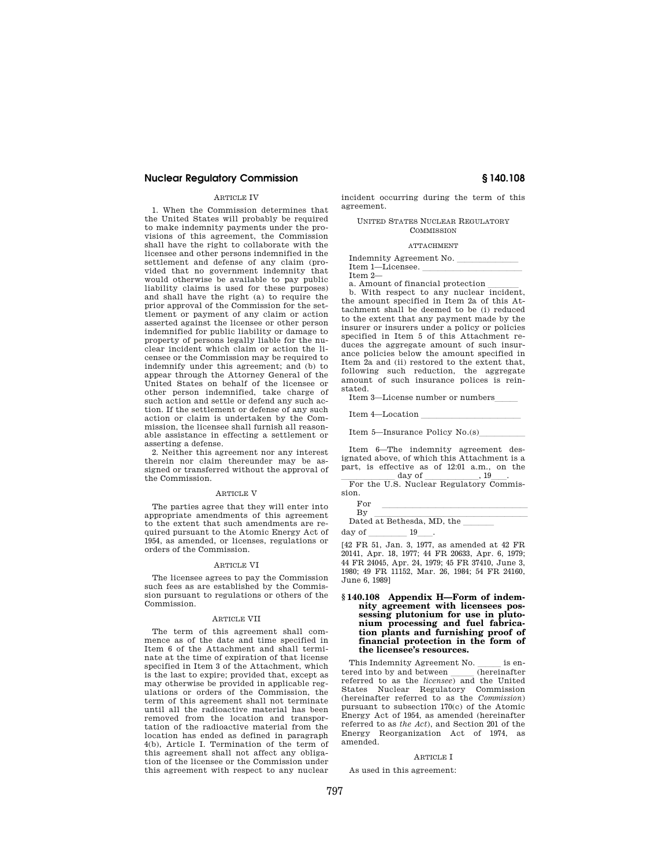#### **ARTICLE IV**

1. When the Commission determines that the United States will probably be required to make indemnity payments under the provisions of this agreement, the Commission shall have the right to collaborate with the licensee and other persons indemnified in the settlement and defense of any claim (provided that no government indemnity that would otherwise be available to pay public liability claims is used for these purposes) and shall have the right (a) to require the prior approval of the Commission for the settlement or payment of any claim or action asserted against the licensee or other person indemnified for public liability or damage to property of persons legally liable for the nuclear incident which claim or action the licensee or the Commission may be required to indemnify under this agreement; and (b) to appear through the Attorney General of the United States on behalf of the licensee or other person indemnified, take charge of such action and settle or defend any such action. If the settlement or defense of any such action or claim is undertaken by the Commission, the licensee shall furnish all reasonable assistance in effecting a settlement or asserting a defense.

2. Neither this agreement nor any interest therein nor claim thereunder may be assigned or transferred without the approval of the Commission.

#### ARTICLE V

The parties agree that they will enter into appropriate amendments of this agreement to the extent that such amendments are required pursuant to the Atomic Energy Act of 1954, as amended, or licenses, regulations or orders of the Commission.

#### ARTICLE VI

The licensee agrees to pay the Commission such fees as are established by the Commission pursuant to regulations or others of the Commission.

#### ARTICLE VII

The term of this agreement shall commence as of the date and time specified in Item 6 of the Attachment and shall terminate at the time of expiration of that license specified in Item 3 of the Attachment, which is the last to expire; provided that, except as may otherwise be provided in applicable regulations or orders of the Commission, the term of this agreement shall not terminate until all the radioactive material has been removed from the location and transportation of the radioactive material from the location has ended as defined in paragraph 4(b), Article I. Termination of the term of this agreement shall not affect any obligation of the licensee or the Commission under this agreement with respect to any nuclear

incident occurring during the term of this agreement.

UNITED STATES NUCLEAR REGULATORY COMMISSION

### ATTACHMENT

Indemnity Agreement No. Item 1-Licensee.

Item 2—<br>a. Amount of financial protection

a. Amount of financial protection llll b. With respect to any nuclear incident, the amount specified in Item 2a of this Attachment shall be deemed to be (i) reduced to the extent that any payment made by the insurer or insurers under a policy or policies specified in Item 5 of this Attachment reduces the aggregate amount of such insurance policies below the amount specified in Item 2a and (ii) restored to the extent that, following such reduction, the aggregate amount of such insurance polices is reinstated.

Item 3—License number or numbers

Item  $4$ —Location

Item  $5$ —Insurance Policy No.(s)

Item 6—The indemnity agreement designated above, of which this Attachment is a part, is effective as of 12:01 a.m., on the  $\underbrace{\hspace{1cm}}$  day of  $\underbrace{\hspace{1cm}}$  , 19  $\underline{\hspace{1cm}}$  $\frac{day \text{ of }{y}}{y}$ , 19 $\frac{19}{x}$ .

sion.

 $\begin{array}{ccc} \mathrm{For} & \multicolumn{2}{c}{} & \multicolumn{2}{c}{} & \multicolumn{2}{c}{} & \multicolumn{2}{c}{} & \multicolumn{2}{c}{} & \multicolumn{2}{c}{} & \multicolumn{2}{c}{} & \multicolumn{2}{c}{} & \multicolumn{2}{c}{} & \multicolumn{2}{c}{} & \multicolumn{2}{c}{} & \multicolumn{2}{c}{} & \multicolumn{2}{c}{} & \multicolumn{2}{c}{} & \multicolumn{2}{c}{} & \multicolumn{2}{c}{} & \multicolumn{2}{c}{} & \multicolumn{2}{c}{} & \multicolumn{2}{c}$ 

By llllllllllllllllllll Dated at Bethesda, MD, the llll

day of \_\_\_\_\_\_\_\_\_ 19\_\_\_\_.<br>[42 FR 51, Jan. 3, 1977, as amended at 42 FR 20141, Apr. 18, 1977; 44 FR 20633, Apr. 6, 1979; 44 FR 24045, Apr. 24, 1979; 45 FR 37410, June 3, 1980; 49 FR 11152, Mar. 26, 1984; 54 FR 24160, June 6, 1989]

#### **§ 140.108 Appendix H—Form of indemnity agreement with licensees possessing plutonium for use in plutonium processing and fuel fabrication plants and furnishing proof of financial protection in the form of the licensee's resources.**

This Indemnity Agreement No.  $\frac{\phantom{1}}{\phantom{1}}$  is entered into by and between  $\frac{\phantom{1}}{\phantom{1}}$ tered into by and between <u>less</u> (hereinafter referred to as the *licensee*) and the United States Nuclear Regulatory Commission (hereinafter referred to as the *Commission*) pursuant to subsection 170(c) of the Atomic Energy Act of 1954, as amended (hereinafter referred to as *the Act*), and Section 201 of the Energy Reorganization Act of 1974, as amended.

#### ARTICLE I

As used in this agreement: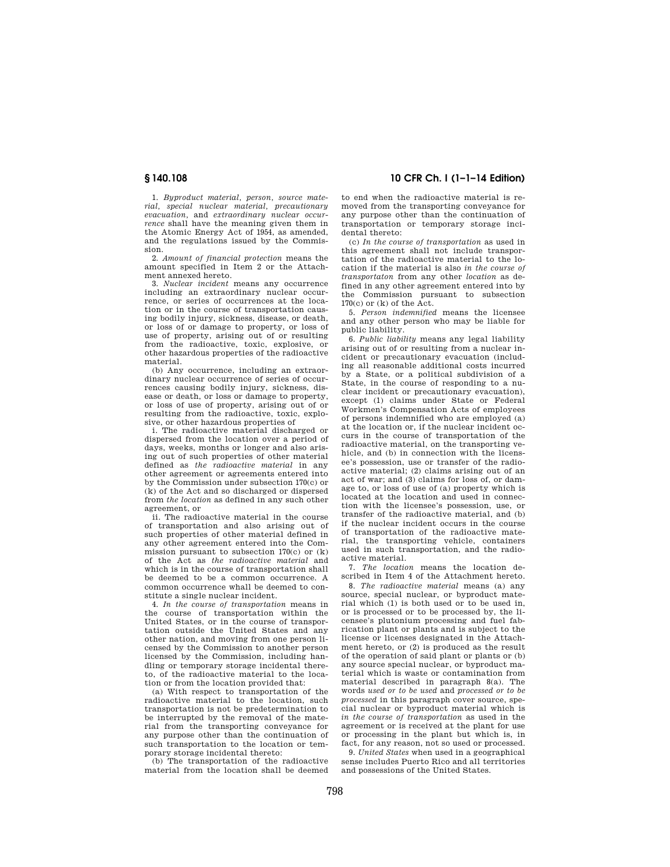1. *Byproduct material, person, source material, special nuclear material, precautionary evacuation,* and *extraordinary nuclear occurrence* shall have the meaning given them in the Atomic Energy Act of 1954, as amended, and the regulations issued by the Commission.

2. *Amount of financial protection* means the amount specified in Item 2 or the Attachment annexed hereto.

3. *Nuclear incident* means any occurrence including an extraordinary nuclear occurrence, or series of occurrences at the location or in the course of transportation causing bodily injury, sickness, disease, or death, or loss of or damage to property, or loss of use of property, arising out of or resulting from the radioactive, toxic, explosive, or other hazardous properties of the radioactive material.

(b) Any occurrence, including an extraordinary nuclear occurrence of series of occurrences causing bodily injury, sickness, disease or death, or loss or damage to property, or loss of use of property, arising out of or resulting from the radioactive, toxic, explosive, or other hazardous properties of

i. The radioactive material discharged or dispersed from the location over a period of days, weeks, months or longer and also arising out of such properties of other material defined as *the radioactive material* in any other agreement or agreements entered into by the Commission under subsection 170(c) or (k) of the Act and so discharged or dispersed from *the location* as defined in any such other agreement, or

ii. The radioactive material in the course of transportation and also arising out of such properties of other material defined in any other agreement entered into the Commission pursuant to subsection 170(c) or (k) of the Act as *the radioactive material* and which is in the course of transportation shall be deemed to be a common occurrence. A common occurrence whall be deemed to constitute a single nuclear incident.

4. *In the course of transportation* means in the course of transportation within the United States, or in the course of transportation outside the United States and any other nation, and moving from one person licensed by the Commission to another person licensed by the Commission, including handling or temporary storage incidental thereto, of the radioactive material to the location or from the location provided that:

(a) With respect to transportation of the radioactive material to the location, such transportation is not be predetermination to be interrupted by the removal of the material from the transporting conveyance for any purpose other than the continuation of such transportation to the location or temporary storage incidental thereto:

(b) The transportation of the radioactive material from the location shall be deemed

**§ 140.108 10 CFR Ch. I (1–1–14 Edition)** 

to end when the radioactive material is removed from the transporting conveyance for any purpose other than the continuation of transportation or temporary storage incidental thereto:

(c) *In the course of transportation* as used in this agreement shall not include transportation of the radioactive material to the location if the material is also *in the course of transportaton* from any other *location* as defined in any other agreement entered into by the Commission pursuant to subsection 170(c) or (k) of the Act.

5. *Person indemnified* means the licensee and any other person who may be liable for public liability.

6. *Public liability* means any legal liability arising out of or resulting from a nuclear incident or precautionary evacuation (including all reasonable additional costs incurred by a State, or a political subdivision of a State, in the course of responding to a nuclear incident or precautionary evacuation), except (1) claims under State or Federal Workmen's Compensation Acts of employees of persons indemnified who are employed (a) at the location or, if the nuclear incident occurs in the course of transportation of the radioactive material, on the transporting vehicle, and (b) in connection with the licensee's possession, use or transfer of the radioactive material; (2) claims arising out of an act of war; and (3) claims for loss of, or damage to, or loss of use of (a) property which is located at the location and used in connection with the licensee's possession, use, or transfer of the radioactive material, and (b) if the nuclear incident occurs in the course of transportation of the radioactive material, the transporting vehicle, containers used in such transportation, and the radioactive material.

7. *The location* means the location described in Item 4 of the Attachment hereto.

8. *The radioactive material* means (a) any source, special nuclear, or byproduct material which (1) is both used or to be used in, or is processed or to be processed by, the licensee's plutonium processing and fuel fabrication plant or plants and is subject to the license or licenses designated in the Attachment hereto, or (2) is produced as the result of the operation of said plant or plants or (b) any source special nuclear, or byproduct material which is waste or contamination from material described in paragraph 8(a). The words *used or to be used* and *processed or to be processed* in this paragraph cover source, special nuclear or byproduct material which is *in the course of transportation* as used in the agreement or is received at the plant for use or processing in the plant but which is, in fact, for any reason, not so used or processed.

9. *United States* when used in a geographical sense includes Puerto Rico and all territories and possessions of the United States.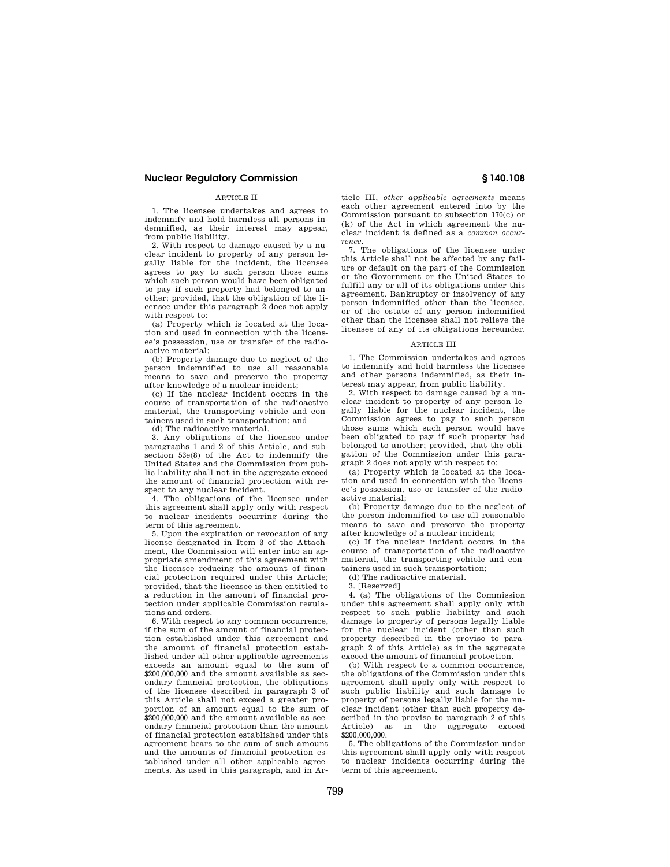# ARTICLE II

1. The licensee undertakes and agrees to indemnify and hold harmless all persons indemnified, as their interest may appear, from public liability.

2. With respect to damage caused by a nuclear incident to property of any person legally liable for the incident, the licensee agrees to pay to such person those sums which such person would have been obligated to pay if such property had belonged to another; provided, that the obligation of the licensee under this paragraph 2 does not apply with respect to:

(a) Property which is located at the location and used in connection with the licensee's possession, use or transfer of the radioactive material;

(b) Property damage due to neglect of the person indemnified to use all reasonable means to save and preserve the property after knowledge of a nuclear incident;

(c) If the nuclear incident occurs in the course of transportation of the radioactive material, the transporting vehicle and containers used in such transportation; and

(d) The radioactive material.

3. Any obligations of the licensee under paragraphs 1 and 2 of this Article, and subsection 53e(8) of the Act to indemnify the United States and the Commission from public liability shall not in the aggregate exceed the amount of financial protection with respect to any nuclear incident.

4. The obligations of the licensee under this agreement shall apply only with respect to nuclear incidents occurring during the term of this agreement.

5. Upon the expiration or revocation of any license designated in Item 3 of the Attachment, the Commission will enter into an appropriate amendment of this agreement with the licensee reducing the amount of financial protection required under this Article; provided, that the licensee is then entitled to a reduction in the amount of financial protection under applicable Commission regulations and orders.

6. With respect to any common occurrence, if the sum of the amount of financial protection established under this agreement and the amount of financial protection established under all other applicable agreements exceeds an amount equal to the sum of \$200,000,000 and the amount available as secondary financial protection, the obligations of the licensee described in paragraph 3 of this Article shall not exceed a greater proportion of an amount equal to the sum of \$200,000,000 and the amount available as secondary financial protection than the amount of financial protection established under this agreement bears to the sum of such amount and the amounts of financial protection established under all other applicable agreements. As used in this paragraph, and in Ar-

ticle III, *other applicable agreements* means each other agreement entered into by the Commission pursuant to subsection 170(c) or (k) of the Act in which agreement the nuclear incident is defined as a *common occurrence.* 

7. The obligations of the licensee under this Article shall not be affected by any failure or default on the part of the Commission or the Government or the United States to fulfill any or all of its obligations under this agreement. Bankruptcy or insolvency of any person indemnified other than the licensee, or of the estate of any person indemnified other than the licensee shall not relieve the licensee of any of its obligations hereunder.

# ARTICLE III

1. The Commission undertakes and agrees to indemnify and hold harmless the licensee and other persons indemnified, as their interest may appear, from public liability.

2. With respect to damage caused by a nuclear incident to property of any person legally liable for the nuclear incident, the Commission agrees to pay to such person those sums which such person would have been obligated to pay if such property had belonged to another; provided, that the obligation of the Commission under this paragraph 2 does not apply with respect to:

(a) Property which is located at the location and used in connection with the licensee's possession, use or transfer of the radioactive material;

(b) Property damage due to the neglect of the person indemnified to use all reasonable means to save and preserve the property after knowledge of a nuclear incident;

(c) If the nuclear incident occurs in the course of transportation of the radioactive material, the transporting vehicle and containers used in such transportation;

(d) The radioactive material.

3. [Reserved]

4. (a) The obligations of the Commission under this agreement shall apply only with respect to such public liability and such damage to property of persons legally liable for the nuclear incident (other than such property described in the proviso to paragraph 2 of this Article) as in the aggregate exceed the amount of financial protection.

(b) With respect to a common occurrence, the obligations of the Commission under this agreement shall apply only with respect to such public liability and such damage to property of persons legally liable for the nuclear incident (other than such property described in the proviso to paragraph 2 of this Article) as in the aggregate exceed \$200,000,000.

5. The obligations of the Commission under this agreement shall apply only with respect to nuclear incidents occurring during the term of this agreement.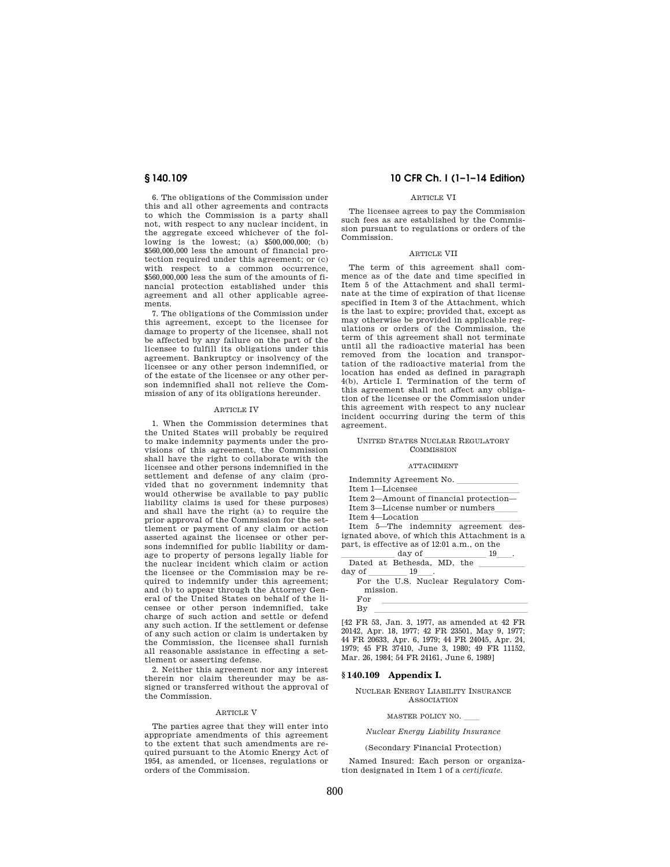6. The obligations of the Commission under this and all other agreements and contracts to which the Commission is a party shall not, with respect to any nuclear incident, in the aggregate exceed whichever of the following is the lowest; (a) \$500,000,000; (b) \$560,000,000 less the amount of financial protection required under this agreement; or (c) with respect to a common occurrence. \$560,000,000 less the sum of the amounts of financial protection established under this agreement and all other applicable agreements.

7. The obligations of the Commission under this agreement, except to the licensee for damage to property of the licensee, shall not be affected by any failure on the part of the licensee to fulfill its obligations under this agreement. Bankruptcy or insolvency of the licensee or any other person indemnified, or of the estate of the licensee or any other person indemnified shall not relieve the Commission of any of its obligations hereunder.

#### ARTICLE IV

1. When the Commission determines that the United States will probably be required to make indemnity payments under the provisions of this agreement, the Commission shall have the right to collaborate with the licensee and other persons indemnified in the settlement and defense of any claim (provided that no government indemnity that would otherwise be available to pay public liability claims is used for these purposes) and shall have the right (a) to require the prior approval of the Commission for the settlement or payment of any claim or action asserted against the licensee or other persons indemnified for public liability or damage to property of persons legally liable for the nuclear incident which claim or action the licensee or the Commission may be required to indemnify under this agreement; and (b) to appear through the Attorney General of the United States on behalf of the licensee or other person indemnified, take charge of such action and settle or defend any such action. If the settlement or defense of any such action or claim is undertaken by the Commission, the licensee shall furnish all reasonable assistance in effecting a settlement or asserting defense.

2. Neither this agreement nor any interest therein nor claim thereunder may be assigned or transferred without the approval of the Commission.

#### ARTICLE V

The parties agree that they will enter into appropriate amendments of this agreement to the extent that such amendments are required pursuant to the Atomic Energy Act of 1954, as amended, or licenses, regulations or orders of the Commission.

# **§ 140.109 10 CFR Ch. I (1–1–14 Edition)**

#### ARTICLE VI

The licensee agrees to pay the Commission such fees as are established by the Commission pursuant to regulations or orders of the Commission.

#### ARTICLE VII

The term of this agreement shall commence as of the date and time specified in Item 5 of the Attachment and shall terminate at the time of expiration of that license specified in Item 3 of the Attachment, which is the last to expire; provided that, except as may otherwise be provided in applicable regulations or orders of the Commission, the term of this agreement shall not terminate until all the radioactive material has been removed from the location and transportation of the radioactive material from the location has ended as defined in paragraph 4(b), Article I. Termination of the term of this agreement shall not affect any obligation of the licensee or the Commission under this agreement with respect to any nuclear incident occurring during the term of this agreement.

#### UNITED STATES NUCLEAR REGULATORY **COMMISSION**

#### ATTACHMENT

| Indemnity Agreement No.                      |  |
|----------------------------------------------|--|
| Item 1-Licensee                              |  |
| Item 2-Amount of financial protection-       |  |
| Item 3—License number or numbers             |  |
| Item 4-Location                              |  |
| Item 5—The indemnity agreement des-          |  |
| ignated above, of which this Attachment is a |  |
| part, is effective as of 12:01 a.m., on the  |  |
| $A$ <sub>0</sub> $\tau$ r <sub>0</sub> $f$   |  |

 $\frac{\text{day of}}{\text{Dated at Bathesda} \text{ MD} + \text{he}}$ Dated at Bethesda, MD, the  $\frac{\phantom{1}}{2}$ day of \_\_\_\_\_\_\_\_\_ 19\_\_\_\_.<br>For the U.S. Nuclear Regulatory Com-

mission.

# $\begin{array}{ccc}\n\text{For} & \text{non-}\n\end{array}$ By llllllllllllllllllll [42 FR 53, Jan. 3, 1977, as amended at 42 FR

20142, Apr. 18, 1977; 42 FR 23501, May 9, 1977; 44 FR 20633, Apr. 6, 1979; 44 FR 24045, Apr. 24, 1979; 45 FR 37410, June 3, 1980; 49 FR 11152, Mar. 26, 1984; 54 FR 24161, June 6, 1989]

#### **§ 140.109 Appendix I.**

NUCLEAR ENERGY LIABILITY INSURANCE ASSOCIATION

MASTER POLICY NO.

# *Nuclear Energy Liability Insurance*

#### (Secondary Financial Protection)

Named Insured: Each person or organization designated in Item 1 of a *certificate.*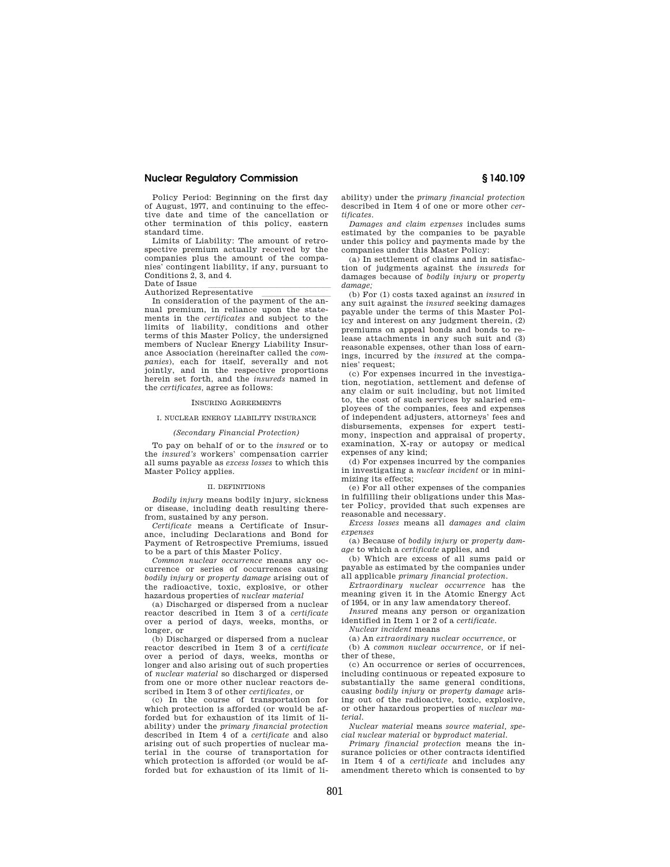Policy Period: Beginning on the first day of August, 1977, and continuing to the effective date and time of the cancellation or other termination of this policy, eastern standard time.

Limits of Liability: The amount of retrospective premium actually received by the companies plus the amount of the companies' contingent liability, if any, pursuant to Conditions 2, 3, and 4.

Authorized Representative

Authorized Representative<br>In consideration of the payment of the annual premium, in reliance upon the statements in the *certificates* and subject to the limits of liability, conditions and other terms of this Master Policy, the undersigned members of Nuclear Energy Liability Insurance Association (hereinafter called the *companies*), each for itself, severally and not jointly, and in the respective proportions herein set forth, and the *insureds* named in the *certificates,* agree as follows:

# INSURING AGREEMENTS

### I. NUCLEAR ENERGY LIABILITY INSURANCE

# *(Secondary Financial Protection)*

To pay on behalf of or to the *insured* or to the *insured's* workers' compensation carrier all sums payable as *excess losses* to which this Master Policy applies.

#### II. DEFINITIONS

*Bodily injury* means bodily injury, sickness or disease, including death resulting therefrom, sustained by any person.

*Certificate* means a Certificate of Insurance, including Declarations and Bond for Payment of Retrospective Premiums, issued to be a part of this Master Policy.

*Common nuclear occurrence* means any occurrence or series of occurrences causing *bodily injury* or *property damage* arising out of the radioactive, toxic, explosive, or other hazardous properties of *nuclear material* 

(a) Discharged or dispersed from a nuclear reactor described in Item 3 of a *certificate*  over a period of days, weeks, months, or longer, or

(b) Discharged or dispersed from a nuclear reactor described in Item 3 of a *certificate*  over a period of days, weeks, months or longer and also arising out of such properties of *nuclear material* so discharged or dispersed from one or more other nuclear reactors described in Item 3 of other *certificates,* or

(c) In the course of transportation for which protection is afforded (or would be afforded but for exhaustion of its limit of liability) under the *primary financial protection*  described in Item 4 of a *certificate* and also arising out of such properties of nuclear material in the course of transportation for which protection is afforded (or would be afforded but for exhaustion of its limit of liability) under the *primary financial protection*  described in Item 4 of one or more other *certificates.* 

*Damages and claim expenses* includes sums estimated by the companies to be payable under this policy and payments made by the companies under this Master Policy:

(a) In settlement of claims and in satisfaction of judgments against the *insureds* for damages because of *bodily injury* or *property damage;* 

(b) For (1) costs taxed against an *insured* in any suit against the *insured* seeking damages payable under the terms of this Master Policy and interest on any judgment therein, (2) premiums on appeal bonds and bonds to release attachments in any such suit and (3) reasonable expenses, other than loss of earnings, incurred by the *insured* at the companies' request;

(c) For expenses incurred in the investigation, negotiation, settlement and defense of any claim or suit including, but not limited to, the cost of such services by salaried employees of the companies, fees and expenses of independent adjusters, attorneys' fees and disbursements, expenses for expert testimony, inspection and appraisal of property, examination, X-ray or autopsy or medical expenses of any kind;

(d) For expenses incurred by the companies in investigating a *nuclear incident* or in minimizing its effects;

(e) For all other expenses of the companies in fulfilling their obligations under this Master Policy, provided that such expenses are reasonable and necessary.

*Excess losses* means all *damages and claim expenses* 

(a) Because of *bodily injury* or *property damage* to which a *certificate* applies, and

(b) Which are excess of all sums paid or payable as estimated by the companies under all applicable *primary financial protection.* 

*Extraordinary nuclear occurrence* has the meaning given it in the Atomic Energy Act of 1954, or in any law amendatory thereof.

*Insured* means any person or organization identified in Item 1 or 2 of a *certificate.* 

*Nuclear incident* means

(a) An *extraordinary nuclear occurrence,* or

(b) A *common nuclear occurrence,* or if neither of these,

(c) An occurrence or series of occurrences, including continuous or repeated exposure to substantially the same general conditions, causing *bodily injury* or *property damage* arising out of the radioactive, toxic, explosive, or other hazardous properties of *nuclear material.* 

*Nuclear material* means *source material, special nuclear material* or *byproduct material.* 

*Primary financial protection* means the insurance policies or other contracts identified in Item 4 of a *certificate* and includes any amendment thereto which is consented to by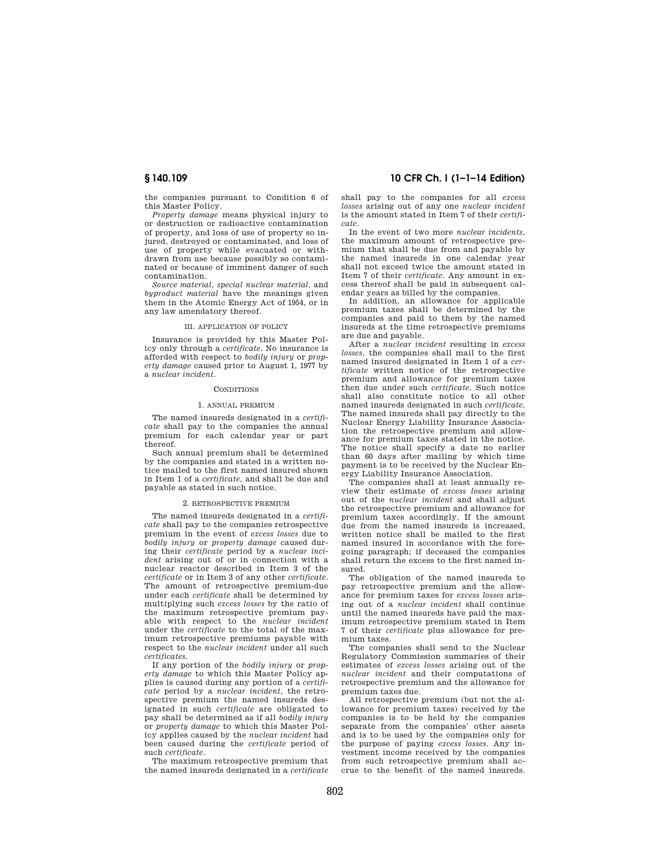the companies pursuant to Condition 6 of this Master Policy.

*Property damage* means physical injury to or destruction or radioactive contamination of property, and loss of use of property so injured, destroyed or contaminated, and loss of use of property while evacuated or withdrawn from use because possibly so contaminated or because of imminent danger of such contamination.

*Source material, special nuclear material,* and *byproduct material* have the meanings given them in the Atomic Energy Act of 1954, or in any law amendatory thereof.

#### III. APPLICATION OF POLICY

Insurance is provided by this Master Policy only through a *certificate.* No insurance is afforded with respect to *bodily injury* or *property damage* caused prior to August 1, 1977 by a *nuclear incident.* 

# **CONDITIONS**

#### 1. ANNUAL PREMIUM

The named insureds designated in a *certificate* shall pay to the companies the annual premium for each calendar year or part thereof.

Such annual premium shall be determined by the companies and stated in a written notice mailed to the first named insured shown in Item 1 of a *certificate,* and shall be due and payable as stated in such notice.

#### 2. RETROSPECTIVE PREMIUM

The named insureds designated in a *certificate* shall pay to the companies retrospective premium in the event of *excess losses* due to *bodily injury* or *property damage* caused during their *certificate* period by a *nuclear incident* arising out of or in connection with a nuclear reactor described in Item 3 of the *certificate* or in Item 3 of any other *certificate.*  The amount of retrospective premium-due under each *certificate* shall be determined by multiplying such *excess losses* by the ratio of the maximum retrospective premium payable with respect to the *nuclear incident*  under the *certificate* to the total of the maximum retrospective premiums payable with respect to the *nuclear incident* under all such *certificates.* 

If any portion of the *bodily injury* or *property damage* to which this Master Policy applies is caused during any portion of a *certificate* period by a *nuclear incident,* the retrospective premium the named insureds designated in such *certificate* are obligated to pay shall be determined as if all *bodily injury*  or *property damage* to which this Master Policy applies caused by the *nuclear incident* had been caused during the *certificate* period of such *certificate.* 

The maximum retrospective premium that the named insureds designated in a *certificate* 

# **§ 140.109 10 CFR Ch. I (1–1–14 Edition)**

shall pay to the companies for all *excess losses* arising out of any one *nuclear incident*  is the amount stated in Item 7 of their *certificate.* 

In the event of two more *nuclear incidents,*  the maximum amount of retrospective premium that shall be due from and payable by the named insureds in one calendar year shall not exceed twice the amount stated in Item 7 of their *certificate.* Any amount in excess thereof shall be paid in subsequent calendar years as billed by the companies.

In addition, an allowance for applicable premium taxes shall be determined by the companies and paid to them by the named insureds at the time retrospective premiums are due and payable.

After a *nuclear incident* resulting in *excess losses,* the companies shall mail to the first named insured designated in Item 1 of a *certificate* written notice of the retrospective premium and allowance for premium taxes then due under such *certificate.* Such notice shall also constitute notice to all other named insureds designated in such *certificate.*  The named insureds shall pay directly to the Nuclear Energy Liability Insurance Association the retrospective premium and allowance for premium taxes stated in the notice. The notice shall specify a date no earlier than 60 days after mailing by which time payment is to be received by the Nuclear Energy Liability Insurance Association.

The companies shall at least annually review their estimate of *excess losses* arising out of the *nuclear incident* and shall adjust the retrospective premium and allowance for premium taxes accordingly. If the amount due from the named insureds is increased, written notice shall be mailed to the first named insured in accordance with the foregoing paragraph; if deceased the companies shall return the excess to the first named insured.

The obligation of the named insureds to pay retrospective premium and the allowance for premium taxes for *excess losses* arising out of a *nuclear incident* shall continue until the named insureds have paid the maximum retrospective premium stated in Item 7 of their *certificate* plus allowance for premium taxes.

The companies shall send to the Nuclear Regulatory Commission summaries of their estimates of *excess losses* arising out of the *nuclear incident* and their computations of retrospective premium and the allowance for premium taxes due.

All retrospective premium (but not the allowance for premium taxes) received by the companies is to be held by the companies separate from the companies' other assets and is to be used by the companies only for the purpose of paying *excess losses.* Any investment income received by the companies from such retrospective premium shall accrue to the benefit of the named insureds.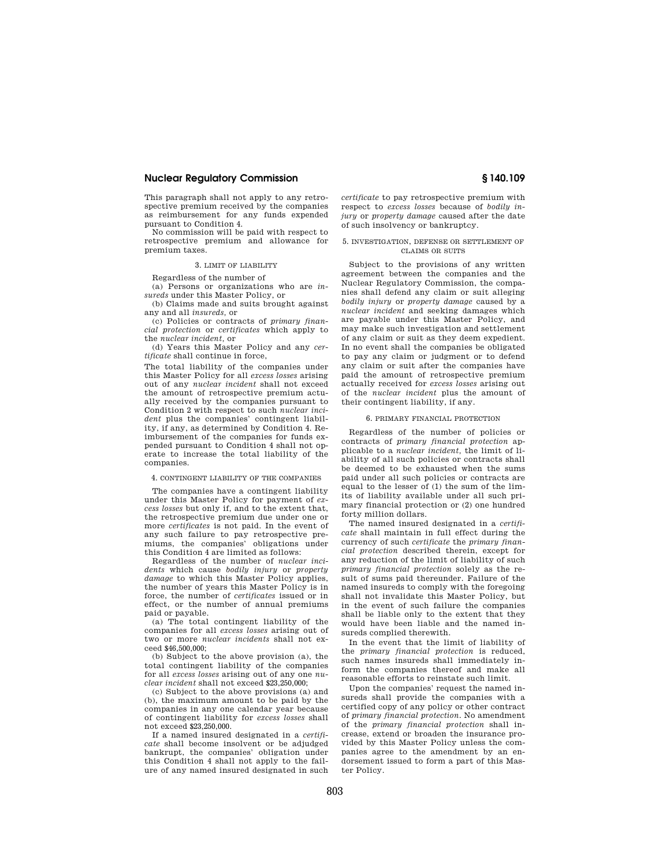This paragraph shall not apply to any retrospective premium received by the companies as reimbursement for any funds expended pursuant to Condition 4.

No commission will be paid with respect to retrospective premium and allowance for premium taxes.

#### 3. LIMIT OF LIABILITY

Regardless of the number of

(a) Persons or organizations who are *insureds* under this Master Policy, or

(b) Claims made and suits brought against any and all *insureds,* or

(c) Policies or contracts of *primary financial protection* or *certificates* which apply to the *nuclear incident,* or

(d) Years this Master Policy and any *certificate* shall continue in force,

The total liability of the companies under this Master Policy for all *excess losses* arising out of any *nuclear incident* shall not exceed the amount of retrospective premium actually received by the companies pursuant to Condition 2 with respect to such *nuclear incident* plus the companies' contingent liability, if any, as determined by Condition 4. Reimbursement of the companies for funds expended pursuant to Condition 4 shall not operate to increase the total liability of the companies.

#### 4. CONTINGENT LIABILITY OF THE COMPANIES

The companies have a contingent liability under this Master Policy for payment of *excess losses* but only if, and to the extent that, the retrospective premium due under one or more *certificates* is not paid. In the event of any such failure to pay retrospective premiums, the companies' obligations under this Condition 4 are limited as follows:

Regardless of the number of *nuclear incidents* which cause *bodily injury* or *property damage* to which this Master Policy applies, the number of years this Master Policy is in force, the number of *certificates* issued or in effect, or the number of annual premiums paid or payable.

(a) The total contingent liability of the companies for all *excess losses* arising out of two or more *nuclear incidents* shall not exceed \$46,500,000;

(b) Subject to the above provision (a), the total contingent liability of the companies for all *excess losses* arising out of any one *nuclear incident* shall not exceed \$23,250,000;

(c) Subject to the above provisions (a) and (b), the maximum amount to be paid by the companies in any one calendar year because of contingent liability for *excess losses* shall not exceed \$23,250,000.

If a named insured designated in a *certificate* shall become insolvent or be adjudged bankrupt, the companies' obligation under this Condition 4 shall not apply to the failure of any named insured designated in such *certificate* to pay retrospective premium with respect to *excess losses* because of *bodily injury* or *property damage* caused after the date of such insolvency or bankruptcy.

#### 5. INVESTIGATION, DEFENSE OR SETTLEMENT OF CLAIMS OR SUITS

Subject to the provisions of any written agreement between the companies and the Nuclear Regulatory Commission, the companies shall defend any claim or suit alleging *bodily injury* or *property damage* caused by a *nuclear incident* and seeking damages which are payable under this Master Policy, and may make such investigation and settlement of any claim or suit as they deem expedient. In no event shall the companies be obligated to pay any claim or judgment or to defend any claim or suit after the companies have paid the amount of retrospective premium actually received for *excess losses* arising out of the *nuclear incident* plus the amount of their contingent liability, if any.

#### 6. PRIMARY FINANCIAL PROTECTION

Regardless of the number of policies or contracts of *primary financial protection* applicable to a *nuclear incident,* the limit of liability of all such policies or contracts shall be deemed to be exhausted when the sums paid under all such policies or contracts are equal to the lesser of  $(1)$  the sum of the limits of liability available under all such primary financial protection or (2) one hundred forty million dollars.

The named insured designated in a *certificate* shall maintain in full effect during the currency of such *certificate* the *primary financial protection* described therein, except for any reduction of the limit of liability of such *primary financial protection* solely as the result of sums paid thereunder. Failure of the named insureds to comply with the foregoing shall not invalidate this Master Policy, but in the event of such failure the companies shall be liable only to the extent that they would have been liable and the named insureds complied therewith.

In the event that the limit of liability of the *primary financial protection* is reduced, such names insureds shall immediately inform the companies thereof and make all reasonable efforts to reinstate such limit.

Upon the companies' request the named insureds shall provide the companies with a certified copy of any policy or other contract of *primary financial protection.* No amendment of the *primary financial protection* shall increase, extend or broaden the insurance provided by this Master Policy unless the companies agree to the amendment by an endorsement issued to form a part of this Master Policy.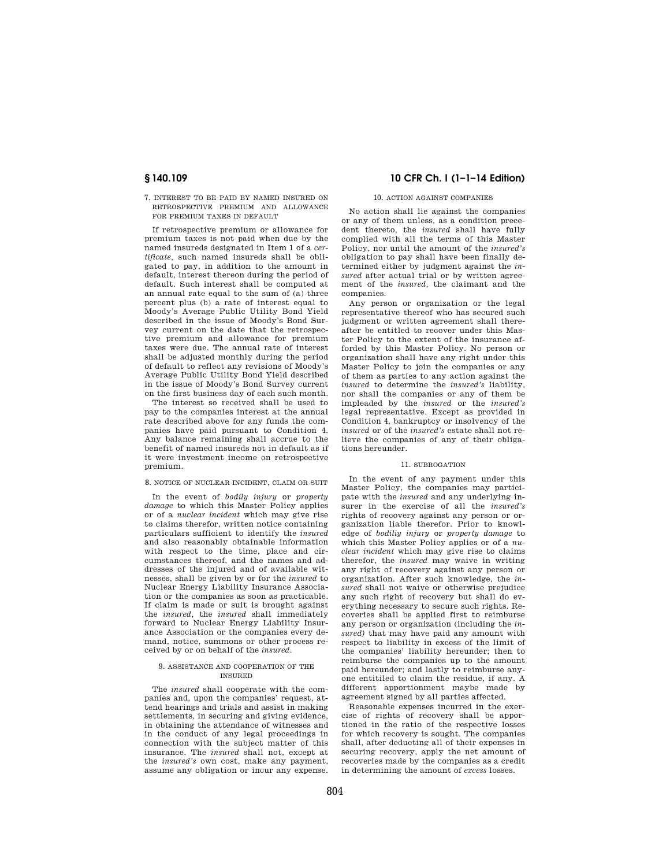7. INTEREST TO BE PAID BY NAMED INSURED ON RETROSPECTIVE PREMIUM AND ALLOWANCE FOR PREMIUM TAXES IN DEFAULT

If retrospective premium or allowance for premium taxes is not paid when due by the named insureds designated in Item 1 of a *certificate,* such named insureds shall be obligated to pay, in addition to the amount in default, interest thereon during the period of default. Such interest shall be computed at an annual rate equal to the sum of (a) three percent plus (b) a rate of interest equal to Moody's Average Public Utility Bond Yield described in the issue of Moody's Bond Survey current on the date that the retrospective premium and allowance for premium taxes were due. The annual rate of interest shall be adjusted monthly during the period of default to reflect any revisions of Moody's Average Public Utility Bond Yield described in the issue of Moody's Bond Survey current on the first business day of each such month.

The interest so received shall be used to pay to the companies interest at the annual rate described above for any funds the companies have paid pursuant to Condition 4. Any balance remaining shall accrue to the benefit of named insureds not in default as if it were investment income on retrospective premium.

# 8. NOTICE OF NUCLEAR INCIDENT, CLAIM OR SUIT

In the event of *bodily injury* or *property damage* to which this Master Policy applies or of a *nuclear incident* which may give rise to claims therefor, written notice containing particulars sufficient to identify the *insured*  and also reasonably obtainable information with respect to the time, place and circumstances thereof, and the names and addresses of the injured and of available witnesses, shall be given by or for the *insured* to Nuclear Energy Liability Insurance Association or the companies as soon as practicable. If claim is made or suit is brought against the *insured,* the *insured* shall immediately forward to Nuclear Energy Liability Insurance Association or the companies every demand, notice, summons or other process received by or on behalf of the *insured.* 

#### 9. ASSISTANCE AND COOPERATION OF THE INSURED

The *insured* shall cooperate with the companies and, upon the companies' request, attend hearings and trials and assist in making settlements, in securing and giving evidence, in obtaining the attendance of witnesses and in the conduct of any legal proceedings in connection with the subject matter of this insurance. The *insured* shall not, except at the *insured's* own cost, make any payment, assume any obligation or incur any expense.

# **§ 140.109 10 CFR Ch. I (1–1–14 Edition)**

#### 10. ACTION AGAINST COMPANIES

No action shall lie against the companies or any of them unless, as a condition precedent thereto, the *insured* shall have fully complied with all the terms of this Master Policy, nor until the amount of the *insured's*  obligation to pay shall have been finally determined either by judgment against the *insured* after actual trial or by written agreement of the *insured,* the claimant and the companies.

Any person or organization or the legal representative thereof who has secured such judgment or written agreement shall thereafter be entitled to recover under this Master Policy to the extent of the insurance afforded by this Master Policy. No person or organization shall have any right under this Master Policy to join the companies or any of them as parties to any action against the *insured* to determine the *insured's* liability, nor shall the companies or any of them be impleaded by the *insured* or the *insured's*  legal representative. Except as provided in Condition 4, bankruptcy or insolvency of the *insured* or of the *insured's* estate shall not relieve the companies of any of their obligations hereunder.

#### 11. SUBROGATION

In the event of any payment under this Master Policy, the companies may participate with the *insured* and any underlying insurer in the exercise of all the *insured's*  rights of recovery against any person or organization liable therefor. Prior to knowledge of *bodiliy injury* or *property damage* to which this Master Policy applies or of a *nuclear incident* which may give rise to claims therefor, the *insured* may waive in writing any right of recovery against any person or organization. After such knowledge, the *insured* shall not waive or otherwise prejudice any such right of recovery but shall do everything necessary to secure such rights. Recoveries shall be applied first to reimburse any person or organization (including the *insured)* that may have paid any amount with respect to liability in excess of the limit of the companies' liability hereunder; then to reimburse the companies up to the amount paid hereunder; and lastly to reimburse anyone entitiled to claim the residue, if any. A different apportionment maybe made by agreement signed by all parties affected.

Reasonable expenses incurred in the exercise of rights of recovery shall be apportioned in the ratio of the respective losses for which recovery is sought. The companies shall, after deducting all of their expenses in securing recovery, apply the net amount of recoveries made by the companies as a credit in determining the amount of *excess* losses.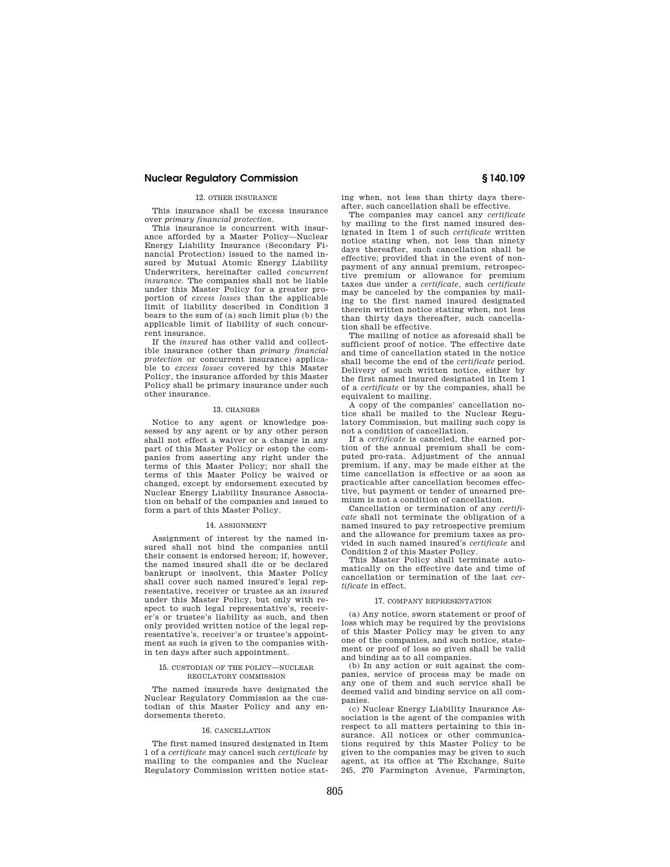#### 12. OTHER INSURANCE

This insurance shall be excess insurance over *primary financial protection.* 

This insurance is concurrent with insurance afforded by a Master Policy—Nuclear Energy Liability Insurance (Secondary Financial Protection) issued to the named insured by Mutual Atomic Energy Liability Underwriters, hereinafter called *concurrent insurance.* The companies shall not be liable under this Master Policy for a greater proportion of *excess losses* than the applicable limit of liability described in Condition 3 bears to the sum of (a) such limit plus (b) the applicable limit of liability of such concurrent insurance.

If the *insured* has other valid and collectible insurance (other than *primary financial protection* or concurrent insurance) applicable to *excess losses* covered by this Master Policy, the insurance afforded by this Master Policy shall be primary insurance under such other insurance.

#### 13. CHANGES

Notice to any agent or knowledge possessed by any agent or by any other person shall not effect a waiver or a change in any part of this Master Policy or estop the companies from asserting any right under the terms of this Master Policy; nor shall the terms of this Master Policy be waived or changed, except by endorsement executed by Nuclear Energy Liability Insurance Association on behalf of the companies and issued to form a part of this Master Policy.

#### 14. ASSIGNMENT

Assignment of interest by the named insured shall not bind the companies until their consent is endorsed hereon; if, however, the named insured shall die or be declared bankrupt or insolvent, this Master Policy shall cover such named insured's legal representative, receiver or trustee as an *insured*  under this Master Policy, but only with respect to such legal representative's, receiver's or trustee's liability as such, and then only provided written notice of the legal representative's, receiver's or trustee's appointment as such is given to the companies within ten days after such appointment.

#### 15. CUSTODIAN OF THE POLICY—NUCLEAR REGULATORY COMMISSION

The named insureds have designated the Nuclear Regulatory Commission as the custodian of this Master Policy and any endorsements thereto.

#### 16. CANCELLATION

The first named insured designated in Item 1 of a *certificate* may cancel such *certificate* by mailing to the companies and the Nuclear Regulatory Commission written notice stat-

ing when, not less than thirty days thereafter, such cancellation shall be effective.

The companies may cancel any *certificate*  by mailing to the first named insured designated in Item 1 of such *certificate* written notice stating when, not less than ninety days thereafter, such cancellation shall be effective; provided that in the event of nonpayment of any annual premium, retrospective premium or allowance for premium taxes due under a *certificate,* such *certificate*  may be canceled by the companies by mailing to the first named insured designated therein written notice stating when, not less than thirty days thereafter, such cancellation shall be effective.

The mailing of notice as aforesaid shall be sufficient proof of notice. The effective date and time of cancellation stated in the notice shall become the end of the *certificate* period. Delivery of such written notice, either by the first named insured designated in Item 1 of a *certificate* or by the companies, shall be equivalent to mailing.

A copy of the companies' cancellation notice shall be mailed to the Nuclear Regulatory Commission, but mailing such copy is not a condition of cancellation.

If a *certificate* is canceled, the earned portion of the annual premium shall be computed pro-rata. Adjustment of the annual premium, if any, may be made either at the time cancellation is effective or as soon as practicable after cancellation becomes effective, but payment or tender of unearned premium is not a condition of cancellation.

Cancellation or termination of any *certificate* shall not terminate the obligation of a named insured to pay retrospective premium and the allowance for premium taxes as provided in such named insured's *certificate* and Condition 2 of this Master Policy.

This Master Policy shall terminate automatically on the effective date and time of cancellation or termination of the last *certificate* in effect.

#### 17. COMPANY REPRESENTATION

(a) Any notice, sworn statement or proof of loss which may be required by the provisions of this Master Policy may be given to any one of the companies, and such notice, statement or proof of loss so given shall be valid and binding as to all companies.

(b) In any action or suit against the companies, service of process may be made on any one of them and such service shall be deemed valid and binding service on all companies.

(c) Nuclear Energy Liability Insurance Association is the agent of the companies with respect to all matters pertaining to this insurance. All notices or other communications required by this Master Policy to be given to the companies may be given to such agent, at its office at The Exchange, Suite 245, 270 Farmington Avenue, Farmington,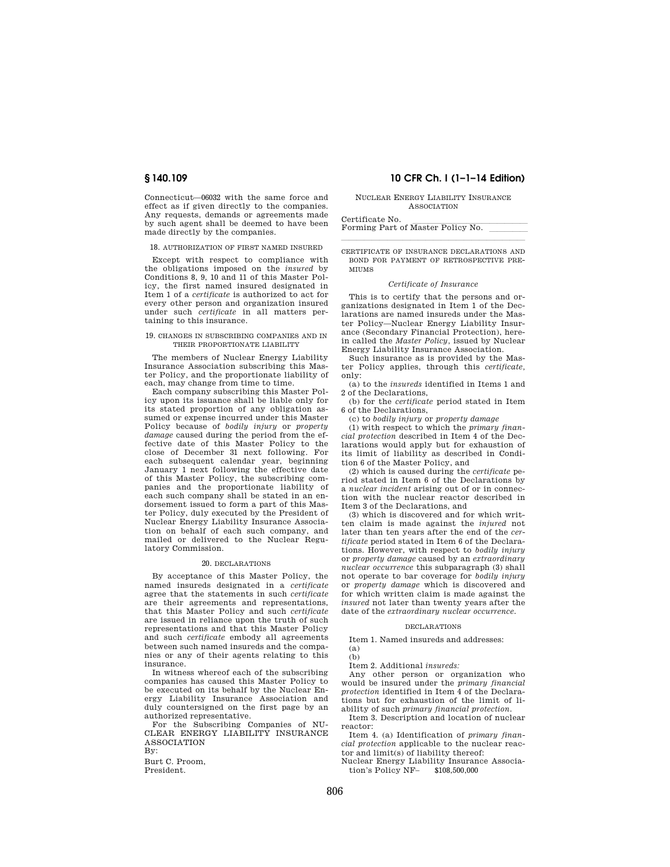Connecticut—06032 with the same force and effect as if given directly to the companies. Any requests, demands or agreements made by such agent shall be deemed to have been made directly by the companies.

18. AUTHORIZATION OF FIRST NAMED INSURED

Except with respect to compliance with the obligations imposed on the *insured* by Conditions 8, 9, 10 and 11 of this Master Policy, the first named insured designated in Item 1 of a *certificate* is authorized to act for every other person and organization insured under such *certificate* in all matters pertaining to this insurance.

#### 19. CHANGES IN SUBSCRIBING COMPANIES AND IN THEIR PROPORTIONATE LIABILITY

The members of Nuclear Energy Liability Insurance Association subscribing this Master Policy, and the proportionate liability of each, may change from time to time.

Each company subscribing this Master Policy upon its issuance shall be liable only for its stated proportion of any obligation assumed or expense incurred under this Master Policy because of *bodily injury* or *property damage* caused during the period from the effective date of this Master Policy to the close of December 31 next following. For each subsequent calendar year, beginning January 1 next following the effective date of this Master Policy, the subscribing companies and the proportionate liability of each such company shall be stated in an endorsement issued to form a part of this Master Policy, duly executed by the President of Nuclear Energy Liability Insurance Association on behalf of each such company, and mailed or delivered to the Nuclear Regulatory Commission.

#### 20. DECLARATIONS

By acceptance of this Master Policy, the named insureds designated in a *certificate*  agree that the statements in such *certificate*  are their agreements and representations, that this Master Policy and such *certificate*  are issued in reliance upon the truth of such representations and that this Master Policy and such *certificate* embody all agreements between such named insureds and the companies or any of their agents relating to this insurance.

In witness whereof each of the subscribing companies has caused this Master Policy to be executed on its behalf by the Nuclear Energy Liability Insurance Association and duly countersigned on the first page by an authorized representative.

For the Subscribing Companies of NU-CLEAR ENERGY LIABILITY INSURANCE ASSOCIATION

By:

Burt C. Proom, President.

# **§ 140.109 10 CFR Ch. I (1–1–14 Edition)**

#### NUCLEAR ENERGY LIABILITY INSURANCE ASSOCIATION

Certificate No.<br>Forming Part of Master Policy No. \_\_\_\_\_\_\_\_\_

lllalla sin anno 1980. I se anno 1980 anno 1980 anno 1980 anno 1980 anno 1980 anno 1980. CERTIFICATE OF INSURANCE DECLARATIONS AND BOND FOR PAYMENT OF RETROSPECTIVE PRE-MIUMS

#### *Certificate of Insurance*

This is to certify that the persons and organizations designated in Item 1 of the Declarations are named insureds under the Master Policy—Nuclear Energy Liability Insurance (Secondary Financial Protection), herein called the *Master Policy,* issued by Nuclear Energy Liability Insurance Association.

Such insurance as is provided by the Master Policy applies, through this *certificate,*  only:

(a) to the *insureds* identified in Items 1 and 2 of the Declarations,

(b) for the *certificate* period stated in Item 6 of the Declarations,

(c) to *bodily injury* or *property damage* 

(1) with respect to which the *primary financial protection* described in Item 4 of the Declarations would apply but for exhaustion of its limit of liability as described in Condition 6 of the Master Policy, and

(2) which is caused during the *certificate* period stated in Item 6 of the Declarations by a *nuclear incident* arising out of or in connection with the nuclear reactor described in Item 3 of the Declarations, and

(3) which is discovered and for which written claim is made against the *injured* not later than ten years after the end of the *certificate* period stated in Item 6 of the Declarations. However, with respect to *bodily injury*  or *property damage* caused by an *extraordinary nuclear occurrence* this subparagraph (3) shall not operate to bar coverage for *bodily injury*  or *property damage* which is discovered and for which written claim is made against the *insured* not later than twenty years after the date of the *extraordinary nuclear occurrence.* 

#### DECLARATIONS

Item 1. Named insureds and addresses: (a)

 $(h)$ 

Item 2. Additional *insureds:* 

Any other person or organization who would be insured under the *primary financial protection* identified in Item 4 of the Declarations but for exhaustion of the limit of liability of such *primary financial protection.* 

Item 3. Description and location of nuclear reactor:

Item 4. (a) Identification of *primary financial protection* applicable to the nuclear reactor and limit(s) of liability thereof:

Nuclear Energy Liability Insurance Association's Policy NF– \$108,500,000